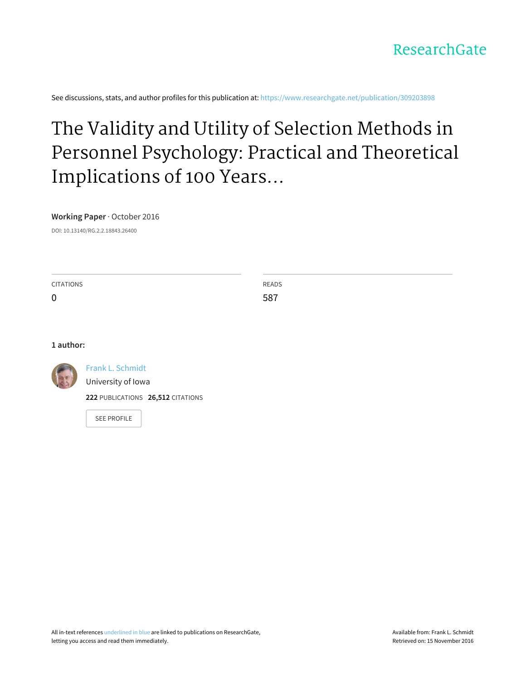

See discussions, stats, and author profiles for this publication at: [https://www.researchgate.net/publication/309203898](https://www.researchgate.net/publication/309203898_The_Validity_and_Utility_of_Selection_Methods_in_Personnel_Psychology_Practical_and_Theoretical_Implications_of_100_Years_of_Research_Findings?enrichId=rgreq-ac03d29ee90470b28e65c5b16b199479-XXX&enrichSource=Y292ZXJQYWdlOzMwOTIwMzg5ODtBUzo0MTgyNTE3OTMyODkyMThAMTQ3NjczMDQwNjU0Mw%3D%3D&el=1_x_2)

# The Validity and Utility of Selection Methods in Personnel Psychology: Practical and Theoretical Implications of 100 Years...

**Working Paper** · October 2016

DOI: 10.13140/RG.2.2.18843.26400

| <b>CITATIONS</b> | <b>READS</b> |
|------------------|--------------|
| 0                | 587          |

#### **1 author:**



Frank L. [Schmidt](https://www.researchgate.net/profile/Frank_Schmidt10?enrichId=rgreq-ac03d29ee90470b28e65c5b16b199479-XXX&enrichSource=Y292ZXJQYWdlOzMwOTIwMzg5ODtBUzo0MTgyNTE3OTMyODkyMThAMTQ3NjczMDQwNjU0Mw%3D%3D&el=1_x_5)

[University](https://www.researchgate.net/institution/University_of_Iowa?enrichId=rgreq-ac03d29ee90470b28e65c5b16b199479-XXX&enrichSource=Y292ZXJQYWdlOzMwOTIwMzg5ODtBUzo0MTgyNTE3OTMyODkyMThAMTQ3NjczMDQwNjU0Mw%3D%3D&el=1_x_6) of Iowa

**222** PUBLICATIONS **26,512** CITATIONS

SEE [PROFILE](https://www.researchgate.net/profile/Frank_Schmidt10?enrichId=rgreq-ac03d29ee90470b28e65c5b16b199479-XXX&enrichSource=Y292ZXJQYWdlOzMwOTIwMzg5ODtBUzo0MTgyNTE3OTMyODkyMThAMTQ3NjczMDQwNjU0Mw%3D%3D&el=1_x_7)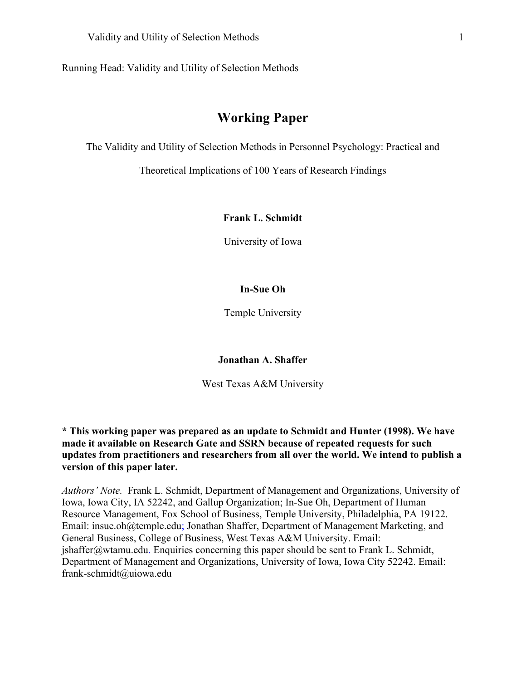Running Head: Validity and Utility of Selection Methods

# **Working Paper**

The Validity and Utility of Selection Methods in Personnel Psychology: Practical and

Theoretical Implications of 100 Years of Research Findings

# **Frank L. Schmidt**

University of Iowa

# **In-Sue Oh**

Temple University

**Jonathan A. Shaffer**

West Texas A&M University

**\* This working paper was prepared as an update to Schmidt and Hunter (1998). We have made it available on Research Gate and SSRN because of repeated requests for such updates from practitioners and researchers from all over the world. We intend to publish a version of this paper later.** 

*Authors' Note.* Frank L. Schmidt, Department of Management and Organizations, University of Iowa, Iowa City, IA 52242, and Gallup Organization; In-Sue Oh, Department of Human Resource Management, Fox School of Business, Temple University, Philadelphia, PA 19122. Email: insue.oh@temple.edu; Jonathan Shaffer, Department of Management Marketing, and General Business, College of Business, West Texas A&M University. Email: jshaffer@wtamu.edu. Enquiries concerning this paper should be sent to Frank L. Schmidt, Department of Management and Organizations, University of Iowa, Iowa City 52242. Email: frank-schmidt@uiowa.edu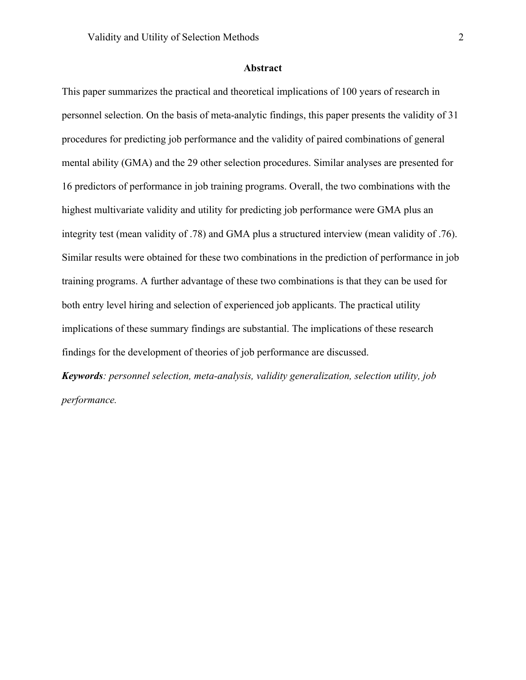#### **Abstract**

This paper summarizes the practical and theoretical implications of 100 years of research in personnel selection. On the basis of meta-analytic findings, this paper presents the validity of 31 procedures for predicting job performance and the validity of paired combinations of general mental ability (GMA) and the 29 other selection procedures. Similar analyses are presented for 16 predictors of performance in job training programs. Overall, the two combinations with the highest multivariate validity and utility for predicting job performance were GMA plus an integrity test (mean validity of .78) and GMA plus a structured interview (mean validity of .76). Similar results were obtained for these two combinations in the prediction of performance in job training programs. A further advantage of these two combinations is that they can be used for both entry level hiring and selection of experienced job applicants. The practical utility implications of these summary findings are substantial. The implications of these research findings for the development of theories of job performance are discussed.

*Keywords: personnel selection, meta-analysis, validity generalization, selection utility, job performance.*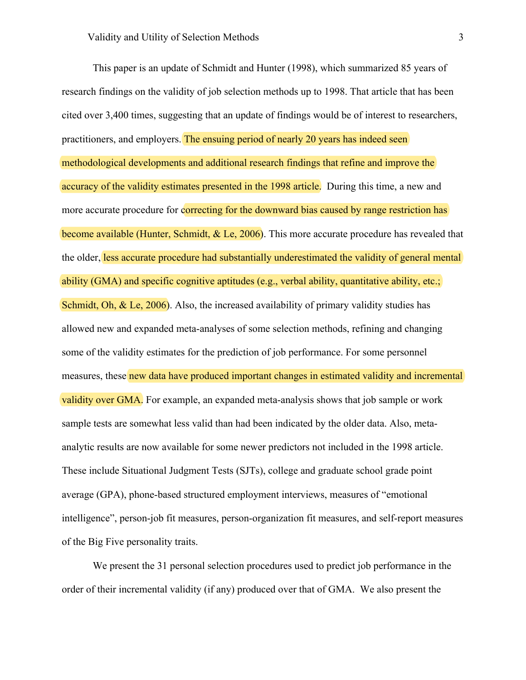This paper is an update of Schmidt and Hunter (1998), which summarized 85 years of research findings on the validity of job selection methods up to 1998. That article that has been cited over 3,400 times, suggesting that an update of findings would be of interest to researchers, practitioners, and employers. The ensuing period of nearly 20 years has indeed seen methodological developments and additional research findings that refine and improve the accuracy of the validity estimates presented in the 1998 article. During this time, a new and more accurate procedure for correcting for the downward bias caused by range restriction has become available (Hunter, Schmidt, & Le, 2006). This more accurate procedure has revealed that the older, less accurate procedure had substantially underestimated the validity of general mental ability (GMA) and specific cognitive aptitudes (e.g., verbal ability, quantitative ability, etc.; Schmidt, Oh, & Le, 2006). Also, the increased availability of primary validity studies has allowed new and expanded meta-analyses of some selection methods, refining and changing some of the validity estimates for the prediction of job performance. For some personnel measures, these new data have produced important changes in estimated validity and incremental validity over GMA. For example, an expanded meta-analysis shows that job sample or work sample tests are somewhat less valid than had been indicated by the older data. Also, metaanalytic results are now available for some newer predictors not included in the 1998 article. These include Situational Judgment Tests (SJTs), college and graduate school grade point average (GPA), phone-based structured employment interviews, measures of "emotional intelligence", person-job fit measures, person-organization fit measures, and self-report measures of the Big Five personality traits.

We present the 31 personal selection procedures used to predict job performance in the order of their incremental validity (if any) produced over that of GMA. We also present the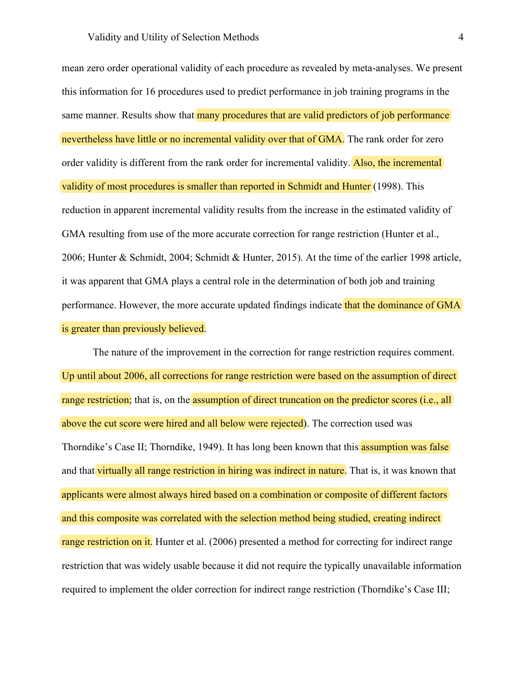mean zero order operational validity of each procedure as revealed by meta-analyses. We present this information for 16 procedures used to predict performance in job training programs in the same manner. Results show that many procedures that are valid predictors of job performance nevertheless have little or no incremental validity over that of GMA. The rank order for zero order validity is different from the rank order for incremental validity. Also, the incremental validity of most procedures is smaller than reported in Schmidt and Hunter (1998). This reduction in apparent incremental validity results from the increase in the estimated validity of GMA resulting from use of the more accurate correction for range restriction (Hunter et al., 2006; Hunter & Schmidt, 2004; Schmidt & Hunter, 2015). At the time of the earlier 1998 article, it was apparent that GMA plays a central role in the determination of both job and training performance. However, the more accurate updated findings indicate that the dominance of GMA is greater than previously believed.

The nature of the improvement in the correction for range restriction requires comment. Up until about 2006, all corrections for range restriction were based on the assumption of direct range restriction; that is, on the assumption of direct truncation on the predictor scores (i.e., all above the cut score were hired and all below were rejected). The correction used was Thorndike's Case II; Thorndike, 1949). It has long been known that this **assumption was false** and that virtually all range restriction in hiring was indirect in nature. That is, it was known that applicants were almost always hired based on a combination or composite of different factors and this composite was correlated with the selection method being studied, creating indirect range restriction on it. Hunter et al. (2006) presented a method for correcting for indirect range restriction that was widely usable because it did not require the typically unavailable information required to implement the older correction for indirect range restriction (Thorndike's Case III;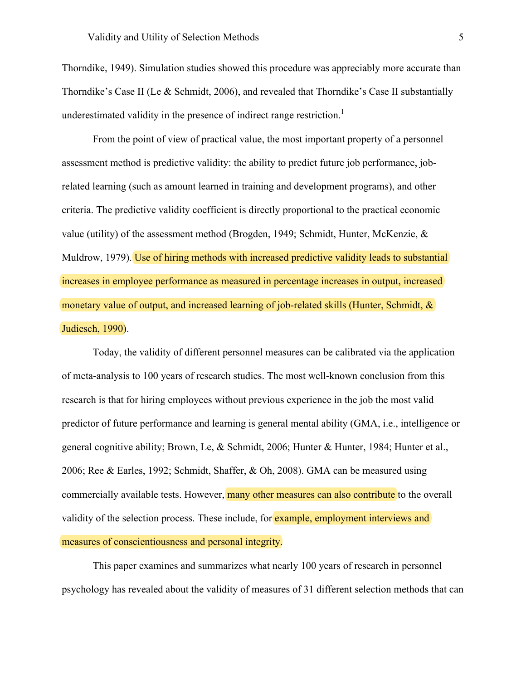Thorndike, 1949). Simulation studies showed this procedure was appreciably more accurate than Thorndike's Case II (Le & Schmidt, 2006), and revealed that Thorndike's Case II substantially underestimated validity in the presence of indirect range restriction.<sup>1</sup>

From the point of view of practical value, the most important property of a personnel assessment method is predictive validity: the ability to predict future job performance, jobrelated learning (such as amount learned in training and development programs), and other criteria. The predictive validity coefficient is directly proportional to the practical economic value (utility) of the assessment method (Brogden, 1949; Schmidt, Hunter, McKenzie, & Muldrow, 1979). Use of hiring methods with increased predictive validity leads to substantial increases in employee performance as measured in percentage increases in output, increased monetary value of output, and increased learning of job-related skills (Hunter, Schmidt, & Judiesch, 1990).

Today, the validity of different personnel measures can be calibrated via the application of meta-analysis to 100 years of research studies. The most well-known conclusion from this research is that for hiring employees without previous experience in the job the most valid predictor of future performance and learning is general mental ability (GMA, i.e., intelligence or general cognitive ability; Brown, Le, & Schmidt, 2006; Hunter & Hunter, 1984; Hunter et al., 2006; Ree & Earles, 1992; Schmidt, Shaffer, & Oh, 2008). GMA can be measured using commercially available tests. However, many other measures can also contribute to the overall validity of the selection process. These include, for example, employment interviews and measures of conscientiousness and personal integrity.

This paper examines and summarizes what nearly 100 years of research in personnel psychology has revealed about the validity of measures of 31 different selection methods that can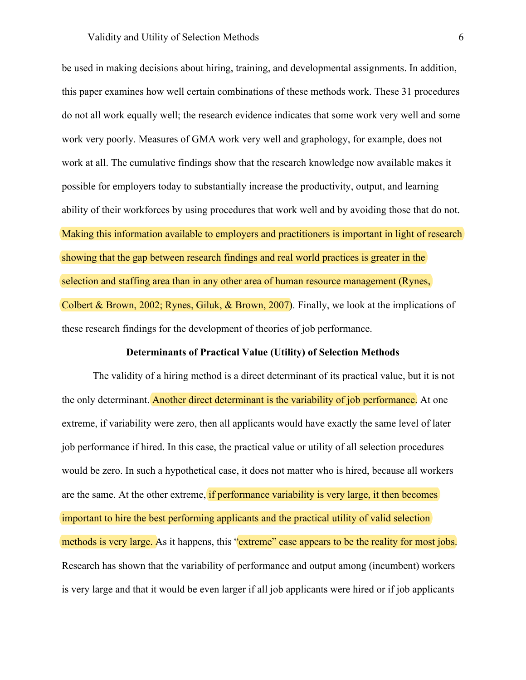be used in making decisions about hiring, training, and developmental assignments. In addition, this paper examines how well certain combinations of these methods work. These 31 procedures do not all work equally well; the research evidence indicates that some work very well and some work very poorly. Measures of GMA work very well and graphology, for example, does not work at all. The cumulative findings show that the research knowledge now available makes it possible for employers today to substantially increase the productivity, output, and learning ability of their workforces by using procedures that work well and by avoiding those that do not. Making this information available to employers and practitioners is important in light of research showing that the gap between research findings and real world practices is greater in the selection and staffing area than in any other area of human resource management (Rynes, Colbert & Brown, 2002; Rynes, Giluk, & Brown, 2007). Finally, we look at the implications of these research findings for the development of theories of job performance.

# **Determinants of Practical Value (Utility) of Selection Methods**

The validity of a hiring method is a direct determinant of its practical value, but it is not the only determinant. Another direct determinant is the variability of job performance. At one extreme, if variability were zero, then all applicants would have exactly the same level of later job performance if hired. In this case, the practical value or utility of all selection procedures would be zero. In such a hypothetical case, it does not matter who is hired, because all workers are the same. At the other extreme, if performance variability is very large, it then becomes important to hire the best performing applicants and the practical utility of valid selection methods is very large. As it happens, this "extreme" case appears to be the reality for most jobs. Research has shown that the variability of performance and output among (incumbent) workers is very large and that it would be even larger if all job applicants were hired or if job applicants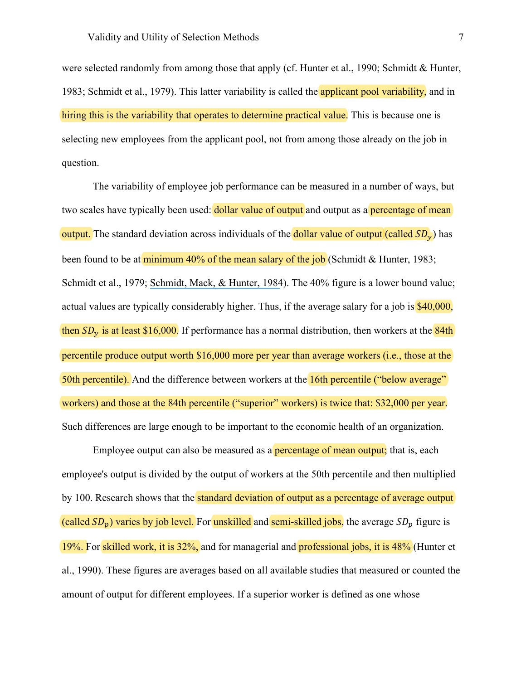were selected randomly from among those that apply (cf. Hunter et al., 1990; Schmidt & Hunter, 1983; Schmidt et al., 1979). This latter variability is called the **applicant pool variability**, and in hiring this is the variability that operates to determine practical value. This is because one is selecting new employees from the applicant pool, not from among those already on the job in question.

The variability of employee job performance can be measured in a number of ways, but two scales have typically been used: **dollar value of output** and output as a **percentage of mean** output. The standard deviation across individuals of the **dollar value of output** (called  $SD<sub>v</sub>$ ) has been found to be at minimum  $40\%$  of the mean salary of the job (Schmidt & Hunter, 1983; Schmidt et al., 1979; [Schmidt, Mack, & Hunter, 1984](https://www.researchgate.net/publication/232449844_Selection_Utility_in_the_Occupation_of_US_Park_Ranger_for_Three_Modes_of_Test_Use?el=1_x_8&enrichId=rgreq-ac03d29ee90470b28e65c5b16b199479-XXX&enrichSource=Y292ZXJQYWdlOzMwOTIwMzg5ODtBUzo0MTgyNTE3OTMyODkyMThAMTQ3NjczMDQwNjU0Mw==)). The 40% figure is a lower bound value; actual values are typically considerably higher. Thus, if the average salary for a job is \$40,000, then  $SD_v$  is at least \$16,000. If performance has a normal distribution, then workers at the 84th percentile produce output worth \$16,000 more per year than average workers (i.e., those at the 50th percentile). And the difference between workers at the 16th percentile ("below average" workers) and those at the 84th percentile ("superior" workers) is twice that: \$32,000 per year. Such differences are large enough to be important to the economic health of an organization.

Employee output can also be measured as a **percentage of mean output**; that is, each employee's output is divided by the output of workers at the 50th percentile and then multiplied by 100. Research shows that the standard deviation of output as a percentage of average output (called  $SD_p$ ) varies by job level. For unskilled and semi-skilled jobs, the average  $SD_p$  figure is 19%. For skilled work, it is 32%, and for managerial and professional jobs, it is 48% (Hunter et al., 1990). These figures are averages based on all available studies that measured or counted the amount of output for different employees. If a superior worker is defined as one whose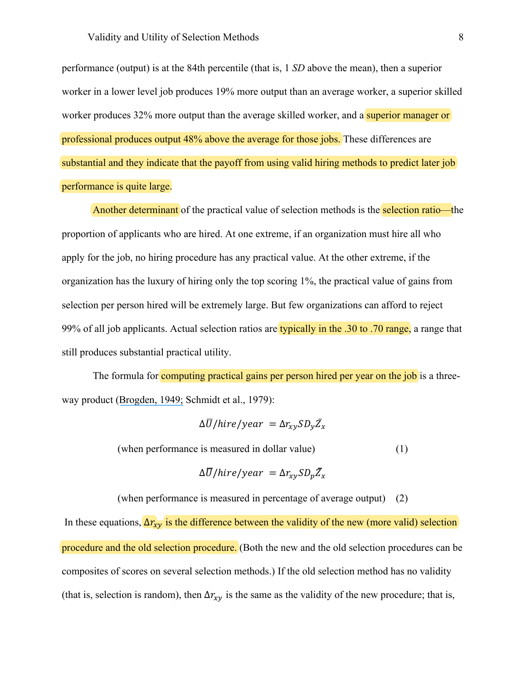performance (output) is at the 84th percentile (that is, 1 *SD* above the mean), then a superior worker in a lower level job produces 19% more output than an average worker, a superior skilled worker produces 32% more output than the average skilled worker, and a superior manager or professional produces output 48% above the average for those jobs. These differences are substantial and they indicate that the payoff from using valid hiring methods to predict later job performance is quite large.

Another determinant of the practical value of selection methods is the selection ratio—the proportion of applicants who are hired. At one extreme, if an organization must hire all who apply for the job, no hiring procedure has any practical value. At the other extreme, if the organization has the luxury of hiring only the top scoring 1%, the practical value of gains from selection per person hired will be extremely large. But few organizations can afford to reject 99% of all job applicants. Actual selection ratios are typically in the .30 to .70 range, a range that still produces substantial practical utility.

The formula for computing practical gains per person hired per year on the job is a threeway product ([Brogden, 1949;](https://www.researchgate.net/publication/285658849_When_testing_pays_off?el=1_x_8&enrichId=rgreq-ac03d29ee90470b28e65c5b16b199479-XXX&enrichSource=Y292ZXJQYWdlOzMwOTIwMzg5ODtBUzo0MTgyNTE3OTMyODkyMThAMTQ3NjczMDQwNjU0Mw==) Schmidt et al., 1979):

$$
\Delta \overline{U}/hire/year = \Delta r_{xy} SD_y \overline{Z}_x
$$

(when performance is measured in dollar value) (1)

$$
\Delta \overline{U}/hire/year = \Delta r_{xy} SD_p \overline{Z}_x
$$

(when performance is measured in percentage of average output) (2)

In these equations,  $\Delta r_{xy}$  is the difference between the validity of the new (more valid) selection procedure and the old selection procedure. (Both the new and the old selection procedures can be composites of scores on several selection methods.) If the old selection method has no validity (that is, selection is random), then  $\Delta r_{xy}$  is the same as the validity of the new procedure; that is,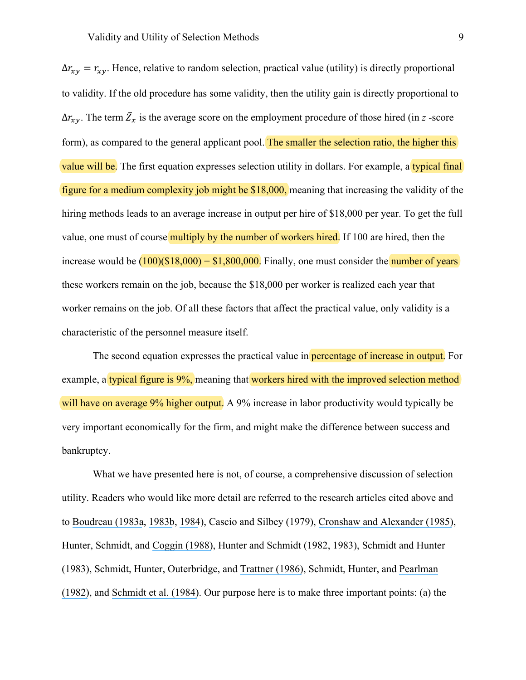$\Delta r_{xy} = r_{xy}$ . Hence, relative to random selection, practical value (utility) is directly proportional to validity. If the old procedure has some validity, then the utility gain is directly proportional to  $\Delta r_{xy}$ . The term  $\overline{Z_x}$  is the average score on the employment procedure of those hired (in *z* -score form), as compared to the general applicant pool. The smaller the selection ratio, the higher this value will be. The first equation expresses selection utility in dollars. For example, a typical final figure for a medium complexity job might be \$18,000, meaning that increasing the validity of the hiring methods leads to an average increase in output per hire of \$18,000 per year. To get the full value, one must of course multiply by the number of workers hired. If 100 are hired, then the increase would be  $(100)(\$18,000) = \$1,800,000$ . Finally, one must consider the number of years these workers remain on the job, because the \$18,000 per worker is realized each year that worker remains on the job. Of all these factors that affect the practical value, only validity is a characteristic of the personnel measure itself.

The second equation expresses the practical value in **percentage of increase in output.** For example, a typical figure is 9%, meaning that workers hired with the improved selection method will have on average 9% higher output. A 9% increase in labor productivity would typically be very important economically for the firm, and might make the difference between success and bankruptcy.

What we have presented here is not, of course, a comprehensive discussion of selection utility. Readers who would like more detail are referred to the research articles cited above and to [Boudreau \(1983a](https://www.researchgate.net/publication/227744860_Economic_Considerations_in_Estimating_the_Utility_of_Human_Resource_Productivity_Improvement_Programs?el=1_x_8&enrichId=rgreq-ac03d29ee90470b28e65c5b16b199479-XXX&enrichSource=Y292ZXJQYWdlOzMwOTIwMzg5ODtBUzo0MTgyNTE3OTMyODkyMThAMTQ3NjczMDQwNjU0Mw==), [1983b](https://www.researchgate.net/publication/232445169_Effects_of_Employee_Flows_on_Utility_Analysis_of_Human_Resource_Productivity_Improvement_Programs?el=1_x_8&enrichId=rgreq-ac03d29ee90470b28e65c5b16b199479-XXX&enrichSource=Y292ZXJQYWdlOzMwOTIwMzg5ODtBUzo0MTgyNTE3OTMyODkyMThAMTQ3NjczMDQwNjU0Mw==), [1984](https://www.researchgate.net/publication/230103834_Decision_Theory_Contributions_to_HRM_Research_and_Practice?el=1_x_8&enrichId=rgreq-ac03d29ee90470b28e65c5b16b199479-XXX&enrichSource=Y292ZXJQYWdlOzMwOTIwMzg5ODtBUzo0MTgyNTE3OTMyODkyMThAMTQ3NjczMDQwNjU0Mw==)), Cascio and Silbey (1979), [Cronshaw and Alexander \(1985\)](https://www.researchgate.net/publication/222009489_One_answer_to_the_demand_for_accountability_Selection_utility_as_an_investment_decision?el=1_x_8&enrichId=rgreq-ac03d29ee90470b28e65c5b16b199479-XXX&enrichSource=Y292ZXJQYWdlOzMwOTIwMzg5ODtBUzo0MTgyNTE3OTMyODkyMThAMTQ3NjczMDQwNjU0Mw==), Hunter, Schmidt, and [Coggin \(1988\)](https://www.researchgate.net/publication/247406196_Problems_and_Pitfalls_in_Using_Capital_Budgeting_and_Financial_Accounting_Techniques_in_Assessing_the_Utility_of_Personnel_Programs?el=1_x_8&enrichId=rgreq-ac03d29ee90470b28e65c5b16b199479-XXX&enrichSource=Y292ZXJQYWdlOzMwOTIwMzg5ODtBUzo0MTgyNTE3OTMyODkyMThAMTQ3NjczMDQwNjU0Mw==), Hunter and Schmidt (1982, 1983), Schmidt and Hunter (1983), Schmidt, Hunter, Outerbridge, and [Trattner \(1986\)](https://www.researchgate.net/publication/227913563_The_economic_impact_of_job_selection_methods_on_size_productivity_and_payroll_costs_of_the_federal_work_force_An_empirically_based_demonstration?el=1_x_8&enrichId=rgreq-ac03d29ee90470b28e65c5b16b199479-XXX&enrichSource=Y292ZXJQYWdlOzMwOTIwMzg5ODtBUzo0MTgyNTE3OTMyODkyMThAMTQ3NjczMDQwNjU0Mw==), Schmidt, Hunter, and [Pearlman](https://www.researchgate.net/publication/229614433_Assessing_the_Economic_Impact_of_Personnel_Programs_on_Workforce_Productivity?el=1_x_8&enrichId=rgreq-ac03d29ee90470b28e65c5b16b199479-XXX&enrichSource=Y292ZXJQYWdlOzMwOTIwMzg5ODtBUzo0MTgyNTE3OTMyODkyMThAMTQ3NjczMDQwNjU0Mw==) [\(1982\)](https://www.researchgate.net/publication/229614433_Assessing_the_Economic_Impact_of_Personnel_Programs_on_Workforce_Productivity?el=1_x_8&enrichId=rgreq-ac03d29ee90470b28e65c5b16b199479-XXX&enrichSource=Y292ZXJQYWdlOzMwOTIwMzg5ODtBUzo0MTgyNTE3OTMyODkyMThAMTQ3NjczMDQwNjU0Mw==), and [Schmidt et al. \(1984\)](https://www.researchgate.net/publication/232449844_Selection_Utility_in_the_Occupation_of_US_Park_Ranger_for_Three_Modes_of_Test_Use?el=1_x_8&enrichId=rgreq-ac03d29ee90470b28e65c5b16b199479-XXX&enrichSource=Y292ZXJQYWdlOzMwOTIwMzg5ODtBUzo0MTgyNTE3OTMyODkyMThAMTQ3NjczMDQwNjU0Mw==). Our purpose here is to make three important points: (a) the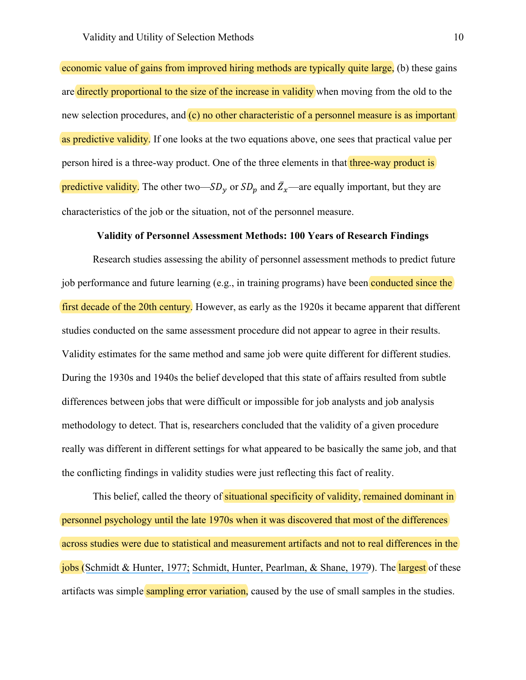economic value of gains from improved hiring methods are typically quite large, (b) these gains are directly proportional to the size of the increase in validity when moving from the old to the new selection procedures, and (c) no other characteristic of a personnel measure is as important as predictive validity. If one looks at the two equations above, one sees that practical value per person hired is a three-way product. One of the three elements in that three-way product is predictive validity. The other two— $SD_y$  or  $SD_p$  and  $\bar{Z}_x$ —are equally important, but they are characteristics of the job or the situation, not of the personnel measure.

#### **Validity of Personnel Assessment Methods: 100 Years of Research Findings**

Research studies assessing the ability of personnel assessment methods to predict future job performance and future learning (e.g., in training programs) have been conducted since the first decade of the 20th century. However, as early as the 1920s it became apparent that different studies conducted on the same assessment procedure did not appear to agree in their results. Validity estimates for the same method and same job were quite different for different studies. During the 1930s and 1940s the belief developed that this state of affairs resulted from subtle differences between jobs that were difficult or impossible for job analysts and job analysis methodology to detect. That is, researchers concluded that the validity of a given procedure really was different in different settings for what appeared to be basically the same job, and that the conflicting findings in validity studies were just reflecting this fact of reality.

This belief, called the theory of situational specificity of validity, remained dominant in personnel psychology until the late 1970s when it was discovered that most of the differences across studies were due to statistical and measurement artifacts and not to real differences in the jobs ([Schmidt & Hunter, 1977;](https://www.researchgate.net/publication/232591217_Development_of_a_General_Solution_to_the_Problem_of_Validity_Generalization?el=1_x_8&enrichId=rgreq-ac03d29ee90470b28e65c5b16b199479-XXX&enrichSource=Y292ZXJQYWdlOzMwOTIwMzg5ODtBUzo0MTgyNTE3OTMyODkyMThAMTQ3NjczMDQwNjU0Mw==) [Schmidt, Hunter, Pearlman, & Shane, 1979](https://www.researchgate.net/publication/229687981_Further_Tests_of_the_Schmidt-Hunter-Bayesian_Validity_Generalization_Procedure?el=1_x_8&enrichId=rgreq-ac03d29ee90470b28e65c5b16b199479-XXX&enrichSource=Y292ZXJQYWdlOzMwOTIwMzg5ODtBUzo0MTgyNTE3OTMyODkyMThAMTQ3NjczMDQwNjU0Mw==)). The largest of these artifacts was simple sampling error variation, caused by the use of small samples in the studies.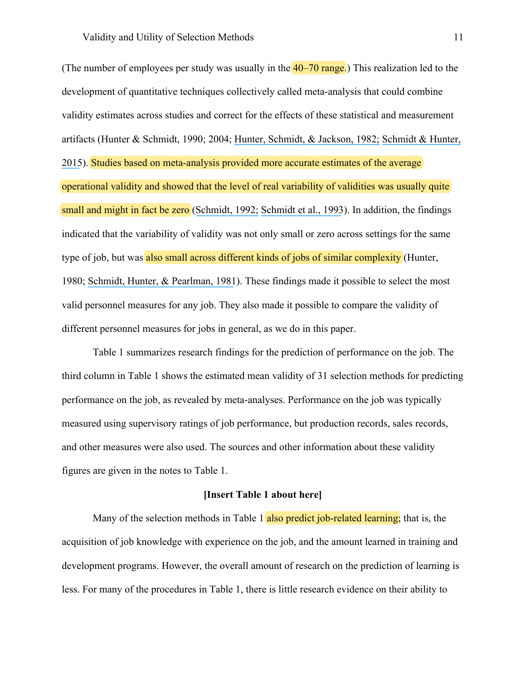(The number of employees per study was usually in the  $40-70$  range.) This realization led to the development of quantitative techniques collectively called meta-analysis that could combine validity estimates across studies and correct for the effects of these statistical and measurement artifacts (Hunter & Schmidt, 1990; 2004; [Hunter, Schmidt, & Jackson, 1982;](https://www.researchgate.net/publication/275414777_Meta-Analysis_Cumulating_Research_Findings_Across_Studies?el=1_x_8&enrichId=rgreq-ac03d29ee90470b28e65c5b16b199479-XXX&enrichSource=Y292ZXJQYWdlOzMwOTIwMzg5ODtBUzo0MTgyNTE3OTMyODkyMThAMTQ3NjczMDQwNjU0Mw==) [Schmidt &](https://www.researchgate.net/publication/235726244_Methods_of_Meta-Analysis_Corrected_Error_and_Bias_in_Research_Findings?el=1_x_8&enrichId=rgreq-ac03d29ee90470b28e65c5b16b199479-XXX&enrichSource=Y292ZXJQYWdlOzMwOTIwMzg5ODtBUzo0MTgyNTE3OTMyODkyMThAMTQ3NjczMDQwNjU0Mw==) Hunter, [2015](https://www.researchgate.net/publication/235726244_Methods_of_Meta-Analysis_Corrected_Error_and_Bias_in_Research_Findings?el=1_x_8&enrichId=rgreq-ac03d29ee90470b28e65c5b16b199479-XXX&enrichSource=Y292ZXJQYWdlOzMwOTIwMzg5ODtBUzo0MTgyNTE3OTMyODkyMThAMTQ3NjczMDQwNjU0Mw==)). Studies based on meta-analysis provided more accurate estimates of the average operational validity and showed that the level of real variability of validities was usually quite small and might in fact be zero ([Schmidt, 1992;](https://www.researchgate.net/publication/280689992_What_Do_Data_Really_Mean_Research_Findings_Meta-Analysis_and_Cumulative_Knowledge_in_Psychology?el=1_x_8&enrichId=rgreq-ac03d29ee90470b28e65c5b16b199479-XXX&enrichSource=Y292ZXJQYWdlOzMwOTIwMzg5ODtBUzo0MTgyNTE3OTMyODkyMThAMTQ3NjczMDQwNjU0Mw==) [Schmidt et al., 1993](https://www.researchgate.net/publication/232530550_Refinements_in_Validity_Generalization_Methods_Implications_for_the_Situational_Specificity_Hypothesis?el=1_x_8&enrichId=rgreq-ac03d29ee90470b28e65c5b16b199479-XXX&enrichSource=Y292ZXJQYWdlOzMwOTIwMzg5ODtBUzo0MTgyNTE3OTMyODkyMThAMTQ3NjczMDQwNjU0Mw==)). In addition, the findings indicated that the variability of validity was not only small or zero across settings for the same type of job, but was also small across different kinds of jobs of similar complexity (Hunter, 1980; [Schmidt, Hunter, & Pearlman, 1981](https://www.researchgate.net/publication/232514961_Task_differences_as_moderators_of_aptitude_test_validity_in_selection_A_red_herring?el=1_x_8&enrichId=rgreq-ac03d29ee90470b28e65c5b16b199479-XXX&enrichSource=Y292ZXJQYWdlOzMwOTIwMzg5ODtBUzo0MTgyNTE3OTMyODkyMThAMTQ3NjczMDQwNjU0Mw==)). These findings made it possible to select the most valid personnel measures for any job. They also made it possible to compare the validity of different personnel measures for jobs in general, as we do in this paper.

Table 1 summarizes research findings for the prediction of performance on the job. The third column in Table 1 shows the estimated mean validity of 31 selection methods for predicting performance on the job, as revealed by meta-analyses. Performance on the job was typically measured using supervisory ratings of job performance, but production records, sales records, and other measures were also used. The sources and other information about these validity figures are given in the notes to Table 1.

#### **[Insert Table 1 about here]**

Many of the selection methods in Table 1 also predict job-related learning; that is, the acquisition of job knowledge with experience on the job, and the amount learned in training and development programs. However, the overall amount of research on the prediction of learning is less. For many of the procedures in Table 1, there is little research evidence on their ability to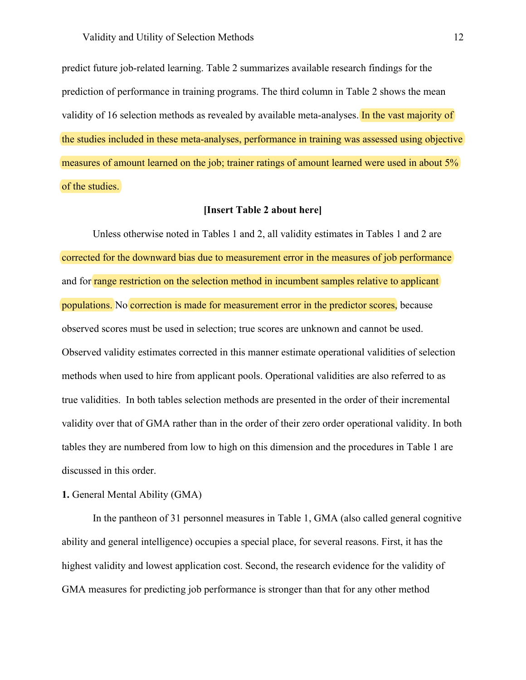predict future job-related learning. Table 2 summarizes available research findings for the prediction of performance in training programs. The third column in Table 2 shows the mean validity of 16 selection methods as revealed by available meta-analyses. In the vast majority of the studies included in these meta-analyses, performance in training was assessed using objective measures of amount learned on the job; trainer ratings of amount learned were used in about 5% of the studies.

# **[Insert Table 2 about here]**

Unless otherwise noted in Tables 1 and 2, all validity estimates in Tables 1 and 2 are corrected for the downward bias due to measurement error in the measures of job performance and for range restriction on the selection method in incumbent samples relative to applicant populations. No correction is made for measurement error in the predictor scores, because observed scores must be used in selection; true scores are unknown and cannot be used. Observed validity estimates corrected in this manner estimate operational validities of selection methods when used to hire from applicant pools. Operational validities are also referred to as true validities. In both tables selection methods are presented in the order of their incremental validity over that of GMA rather than in the order of their zero order operational validity. In both tables they are numbered from low to high on this dimension and the procedures in Table 1 are discussed in this order.

# **1.** General Mental Ability (GMA)

In the pantheon of 31 personnel measures in Table 1, GMA (also called general cognitive ability and general intelligence) occupies a special place, for several reasons. First, it has the highest validity and lowest application cost. Second, the research evidence for the validity of GMA measures for predicting job performance is stronger than that for any other method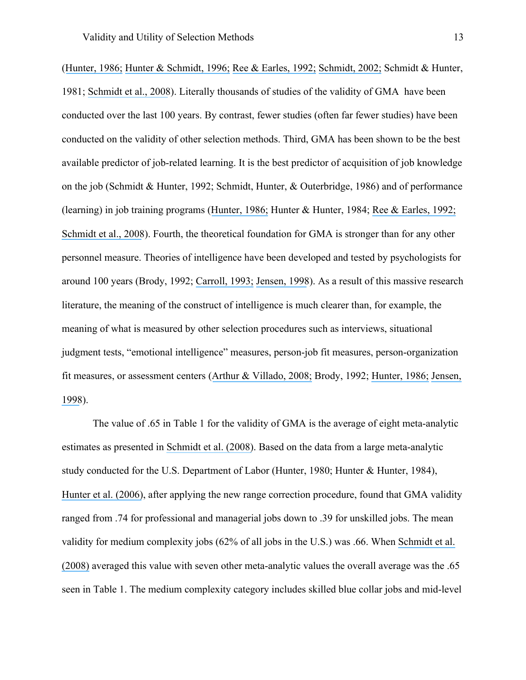([Hunter, 1986;](https://www.researchgate.net/publication/222275094_Cognitive_Ability_Cognitive_Aptitudes_Job_Knowledge_and_Job_Performance?el=1_x_8&enrichId=rgreq-ac03d29ee90470b28e65c5b16b199479-XXX&enrichSource=Y292ZXJQYWdlOzMwOTIwMzg5ODtBUzo0MTgyNTE3OTMyODkyMThAMTQ3NjczMDQwNjU0Mw==) [Hunter & Schmidt, 1996;](https://www.researchgate.net/publication/297380615_Intelligence_and_job_performance_Economic_and_social_implications?el=1_x_8&enrichId=rgreq-ac03d29ee90470b28e65c5b16b199479-XXX&enrichSource=Y292ZXJQYWdlOzMwOTIwMzg5ODtBUzo0MTgyNTE3OTMyODkyMThAMTQ3NjczMDQwNjU0Mw==) [Ree & Earles, 1992;](https://www.researchgate.net/publication/276960988_Intelligence_Is_the_Best_Predictor_of_Job_Performance?el=1_x_8&enrichId=rgreq-ac03d29ee90470b28e65c5b16b199479-XXX&enrichSource=Y292ZXJQYWdlOzMwOTIwMzg5ODtBUzo0MTgyNTE3OTMyODkyMThAMTQ3NjczMDQwNjU0Mw==) [Schmidt, 2002;](https://www.researchgate.net/publication/240237107_The_Role_of_General_Cognitive_Ability_and_Job_Performance_Why_There_Cannot_Be_a_Debate?el=1_x_8&enrichId=rgreq-ac03d29ee90470b28e65c5b16b199479-XXX&enrichSource=Y292ZXJQYWdlOzMwOTIwMzg5ODtBUzo0MTgyNTE3OTMyODkyMThAMTQ3NjczMDQwNjU0Mw==) Schmidt & Hunter, 1981; [Schmidt et al., 2008](https://www.researchgate.net/publication/229646221_Increased_accuracy_for_range_restriction_corrections_Implications_for_the_role_of_personality_and_general_mental_ability_in_job_and_training_performance?el=1_x_8&enrichId=rgreq-ac03d29ee90470b28e65c5b16b199479-XXX&enrichSource=Y292ZXJQYWdlOzMwOTIwMzg5ODtBUzo0MTgyNTE3OTMyODkyMThAMTQ3NjczMDQwNjU0Mw==)). Literally thousands of studies of the validity of GMA have been conducted over the last 100 years. By contrast, fewer studies (often far fewer studies) have been conducted on the validity of other selection methods. Third, GMA has been shown to be the best available predictor of job-related learning. It is the best predictor of acquisition of job knowledge on the job (Schmidt & Hunter, 1992; Schmidt, Hunter, & Outerbridge, 1986) and of performance (learning) in job training programs ([Hunter, 1986;](https://www.researchgate.net/publication/222275094_Cognitive_Ability_Cognitive_Aptitudes_Job_Knowledge_and_Job_Performance?el=1_x_8&enrichId=rgreq-ac03d29ee90470b28e65c5b16b199479-XXX&enrichSource=Y292ZXJQYWdlOzMwOTIwMzg5ODtBUzo0MTgyNTE3OTMyODkyMThAMTQ3NjczMDQwNjU0Mw==) Hunter & Hunter, 1984; [Ree & Earles, 1992;](https://www.researchgate.net/publication/276960988_Intelligence_Is_the_Best_Predictor_of_Job_Performance?el=1_x_8&enrichId=rgreq-ac03d29ee90470b28e65c5b16b199479-XXX&enrichSource=Y292ZXJQYWdlOzMwOTIwMzg5ODtBUzo0MTgyNTE3OTMyODkyMThAMTQ3NjczMDQwNjU0Mw==)  [Schmidt et al., 2008](https://www.researchgate.net/publication/229646221_Increased_accuracy_for_range_restriction_corrections_Implications_for_the_role_of_personality_and_general_mental_ability_in_job_and_training_performance?el=1_x_8&enrichId=rgreq-ac03d29ee90470b28e65c5b16b199479-XXX&enrichSource=Y292ZXJQYWdlOzMwOTIwMzg5ODtBUzo0MTgyNTE3OTMyODkyMThAMTQ3NjczMDQwNjU0Mw==)). Fourth, the theoretical foundation for GMA is stronger than for any other personnel measure. Theories of intelligence have been developed and tested by psychologists for around 100 years (Brody, 1992; [Carroll, 1993;](https://www.researchgate.net/publication/289963201_Human_cognitive_abilities_A_survey_of_factor-analytic_studies?el=1_x_8&enrichId=rgreq-ac03d29ee90470b28e65c5b16b199479-XXX&enrichSource=Y292ZXJQYWdlOzMwOTIwMzg5ODtBUzo0MTgyNTE3OTMyODkyMThAMTQ3NjczMDQwNjU0Mw==) [Jensen, 1998](https://www.researchgate.net/publication/28113080_The_g_Factor_The_Science_of_Mental_Ability?el=1_x_8&enrichId=rgreq-ac03d29ee90470b28e65c5b16b199479-XXX&enrichSource=Y292ZXJQYWdlOzMwOTIwMzg5ODtBUzo0MTgyNTE3OTMyODkyMThAMTQ3NjczMDQwNjU0Mw==)). As a result of this massive research literature, the meaning of the construct of intelligence is much clearer than, for example, the meaning of what is measured by other selection procedures such as interviews, situational judgment tests, "emotional intelligence" measures, person-job fit measures, person-organization fit measures, or assessment centers ([Arthur & Villado, 2008;](https://www.researchgate.net/publication/null?el=1_x_8&enrichId=rgreq-ac03d29ee90470b28e65c5b16b199479-XXX&enrichSource=Y292ZXJQYWdlOzMwOTIwMzg5ODtBUzo0MTgyNTE3OTMyODkyMThAMTQ3NjczMDQwNjU0Mw==) Brody, 1992; [Hunter, 1986;](https://www.researchgate.net/publication/222275094_Cognitive_Ability_Cognitive_Aptitudes_Job_Knowledge_and_Job_Performance?el=1_x_8&enrichId=rgreq-ac03d29ee90470b28e65c5b16b199479-XXX&enrichSource=Y292ZXJQYWdlOzMwOTIwMzg5ODtBUzo0MTgyNTE3OTMyODkyMThAMTQ3NjczMDQwNjU0Mw==) [Jensen,](https://www.researchgate.net/publication/28113080_The_g_Factor_The_Science_of_Mental_Ability?el=1_x_8&enrichId=rgreq-ac03d29ee90470b28e65c5b16b199479-XXX&enrichSource=Y292ZXJQYWdlOzMwOTIwMzg5ODtBUzo0MTgyNTE3OTMyODkyMThAMTQ3NjczMDQwNjU0Mw==) [1998](https://www.researchgate.net/publication/28113080_The_g_Factor_The_Science_of_Mental_Ability?el=1_x_8&enrichId=rgreq-ac03d29ee90470b28e65c5b16b199479-XXX&enrichSource=Y292ZXJQYWdlOzMwOTIwMzg5ODtBUzo0MTgyNTE3OTMyODkyMThAMTQ3NjczMDQwNjU0Mw==)).

The value of .65 in Table 1 for the validity of GMA is the average of eight meta-analytic estimates as presented in [Schmidt et al. \(2008\)](https://www.researchgate.net/publication/229646221_Increased_accuracy_for_range_restriction_corrections_Implications_for_the_role_of_personality_and_general_mental_ability_in_job_and_training_performance?el=1_x_8&enrichId=rgreq-ac03d29ee90470b28e65c5b16b199479-XXX&enrichSource=Y292ZXJQYWdlOzMwOTIwMzg5ODtBUzo0MTgyNTE3OTMyODkyMThAMTQ3NjczMDQwNjU0Mw==). Based on the data from a large meta-analytic study conducted for the U.S. Department of Labor (Hunter, 1980; Hunter & Hunter, 1984), [Hunter et al. \(2006\)](https://www.researchgate.net/publication/7046251_Implications_of_Direct_and_Indirect_Range_Restriction_for_Meta-Analysis_Methods_and_Findings?el=1_x_8&enrichId=rgreq-ac03d29ee90470b28e65c5b16b199479-XXX&enrichSource=Y292ZXJQYWdlOzMwOTIwMzg5ODtBUzo0MTgyNTE3OTMyODkyMThAMTQ3NjczMDQwNjU0Mw==), after applying the new range correction procedure, found that GMA validity ranged from .74 for professional and managerial jobs down to .39 for unskilled jobs. The mean validity for medium complexity jobs (62% of all jobs in the U.S.) was .66. When [Schmidt et al.](https://www.researchgate.net/publication/229646221_Increased_accuracy_for_range_restriction_corrections_Implications_for_the_role_of_personality_and_general_mental_ability_in_job_and_training_performance?el=1_x_8&enrichId=rgreq-ac03d29ee90470b28e65c5b16b199479-XXX&enrichSource=Y292ZXJQYWdlOzMwOTIwMzg5ODtBUzo0MTgyNTE3OTMyODkyMThAMTQ3NjczMDQwNjU0Mw==)  [\(2008\)](https://www.researchgate.net/publication/229646221_Increased_accuracy_for_range_restriction_corrections_Implications_for_the_role_of_personality_and_general_mental_ability_in_job_and_training_performance?el=1_x_8&enrichId=rgreq-ac03d29ee90470b28e65c5b16b199479-XXX&enrichSource=Y292ZXJQYWdlOzMwOTIwMzg5ODtBUzo0MTgyNTE3OTMyODkyMThAMTQ3NjczMDQwNjU0Mw==) averaged this value with seven other meta-analytic values the overall average was the .65 seen in Table 1. The medium complexity category includes skilled blue collar jobs and mid-level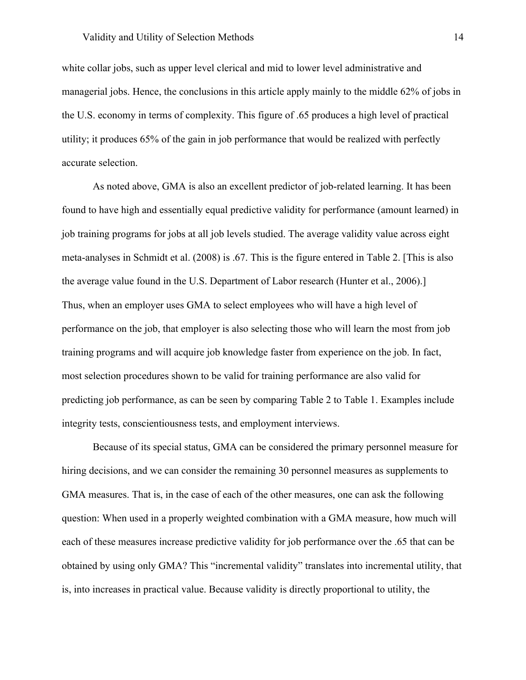white collar jobs, such as upper level clerical and mid to lower level administrative and managerial jobs. Hence, the conclusions in this article apply mainly to the middle 62% of jobs in the U.S. economy in terms of complexity. This figure of .65 produces a high level of practical utility; it produces 65% of the gain in job performance that would be realized with perfectly accurate selection.

As noted above, GMA is also an excellent predictor of job-related learning. It has been found to have high and essentially equal predictive validity for performance (amount learned) in job training programs for jobs at all job levels studied. The average validity value across eight meta-analyses in Schmidt et al. (2008) is .67. This is the figure entered in Table 2. [This is also the average value found in the U.S. Department of Labor research (Hunter et al., 2006).] Thus, when an employer uses GMA to select employees who will have a high level of performance on the job, that employer is also selecting those who will learn the most from job training programs and will acquire job knowledge faster from experience on the job. In fact, most selection procedures shown to be valid for training performance are also valid for predicting job performance, as can be seen by comparing Table 2 to Table 1. Examples include integrity tests, conscientiousness tests, and employment interviews.

Because of its special status, GMA can be considered the primary personnel measure for hiring decisions, and we can consider the remaining 30 personnel measures as supplements to GMA measures. That is, in the case of each of the other measures, one can ask the following question: When used in a properly weighted combination with a GMA measure, how much will each of these measures increase predictive validity for job performance over the .65 that can be obtained by using only GMA? This "incremental validity" translates into incremental utility, that is, into increases in practical value. Because validity is directly proportional to utility, the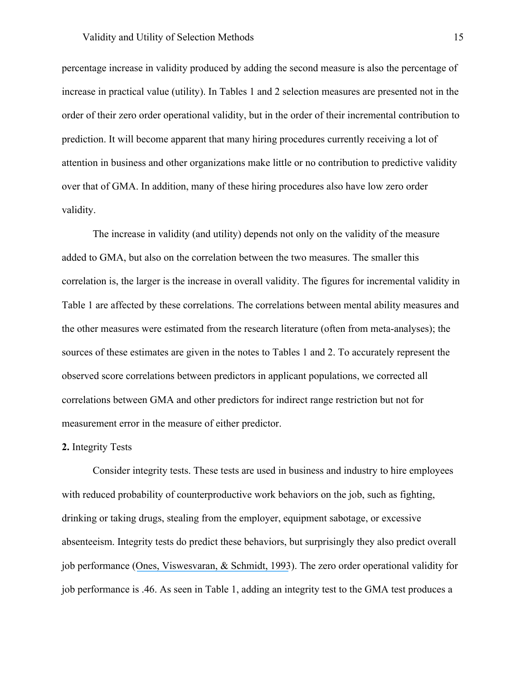#### Validity and Utility of Selection Methods 15

percentage increase in validity produced by adding the second measure is also the percentage of increase in practical value (utility). In Tables 1 and 2 selection measures are presented not in the order of their zero order operational validity, but in the order of their incremental contribution to prediction. It will become apparent that many hiring procedures currently receiving a lot of attention in business and other organizations make little or no contribution to predictive validity over that of GMA. In addition, many of these hiring procedures also have low zero order validity.

The increase in validity (and utility) depends not only on the validity of the measure added to GMA, but also on the correlation between the two measures. The smaller this correlation is, the larger is the increase in overall validity. The figures for incremental validity in Table 1 are affected by these correlations. The correlations between mental ability measures and the other measures were estimated from the research literature (often from meta-analyses); the sources of these estimates are given in the notes to Tables 1 and 2. To accurately represent the observed score correlations between predictors in applicant populations, we corrected all correlations between GMA and other predictors for indirect range restriction but not for measurement error in the measure of either predictor.

#### **2.** Integrity Tests

Consider integrity tests. These tests are used in business and industry to hire employees with reduced probability of counterproductive work behaviors on the job, such as fighting, drinking or taking drugs, stealing from the employer, equipment sabotage, or excessive absenteeism. Integrity tests do predict these behaviors, but surprisingly they also predict overall job performance ([Ones, Viswesvaran, & Schmidt, 1993](https://www.researchgate.net/publication/232585195_Comprehensive_Meta-Analysis_of_Integrity_Test_Validities_Findings_and_Implications_for_Personnel_Selection_and_Theories_of_Job_Performance?el=1_x_8&enrichId=rgreq-ac03d29ee90470b28e65c5b16b199479-XXX&enrichSource=Y292ZXJQYWdlOzMwOTIwMzg5ODtBUzo0MTgyNTE3OTMyODkyMThAMTQ3NjczMDQwNjU0Mw==)). The zero order operational validity for job performance is .46. As seen in Table 1, adding an integrity test to the GMA test produces a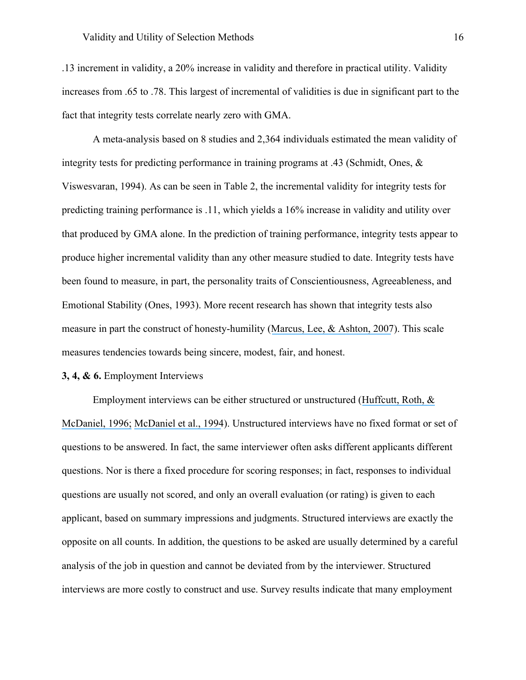.13 increment in validity, a 20% increase in validity and therefore in practical utility. Validity increases from .65 to .78. This largest of incremental of validities is due in significant part to the fact that integrity tests correlate nearly zero with GMA.

A meta-analysis based on 8 studies and 2,364 individuals estimated the mean validity of integrity tests for predicting performance in training programs at .43 (Schmidt, Ones,  $\&$ Viswesvaran, 1994). As can be seen in Table 2, the incremental validity for integrity tests for predicting training performance is .11, which yields a 16% increase in validity and utility over that produced by GMA alone. In the prediction of training performance, integrity tests appear to produce higher incremental validity than any other measure studied to date. Integrity tests have been found to measure, in part, the personality traits of Conscientiousness, Agreeableness, and Emotional Stability (Ones, 1993). More recent research has shown that integrity tests also measure in part the construct of honesty-humility ([Marcus, Lee, & Ashton, 2007](https://www.researchgate.net/publication/229465335_Personality_dimensions_explaining_relationships_between_integrity_tests_and_counterproductive_behavior_Big_Five_or_one_in_addition?el=1_x_8&enrichId=rgreq-ac03d29ee90470b28e65c5b16b199479-XXX&enrichSource=Y292ZXJQYWdlOzMwOTIwMzg5ODtBUzo0MTgyNTE3OTMyODkyMThAMTQ3NjczMDQwNjU0Mw==)). This scale measures tendencies towards being sincere, modest, fair, and honest.

#### **3, 4, & 6.** Employment Interviews

Employment interviews can be either structured or unstructured (Huffcutt, Roth, & [McDaniel, 1996;](https://www.researchgate.net/publication/232572212_A_Meta-Analytic_Investigation_of_Cognitive_Ability_in_Employment_Interview_Evaluations_Moderating_Characteristics_and_Implications_for_Incremental_Validity?el=1_x_8&enrichId=rgreq-ac03d29ee90470b28e65c5b16b199479-XXX&enrichSource=Y292ZXJQYWdlOzMwOTIwMzg5ODtBUzo0MTgyNTE3OTMyODkyMThAMTQ3NjczMDQwNjU0Mw==) [McDaniel et al., 1994](https://www.researchgate.net/publication/280799263_The_Validity_of_Employment_Interviews_A_Comprehensive_Review_and_Meta-Analysis?el=1_x_8&enrichId=rgreq-ac03d29ee90470b28e65c5b16b199479-XXX&enrichSource=Y292ZXJQYWdlOzMwOTIwMzg5ODtBUzo0MTgyNTE3OTMyODkyMThAMTQ3NjczMDQwNjU0Mw==)). Unstructured interviews have no fixed format or set of questions to be answered. In fact, the same interviewer often asks different applicants different questions. Nor is there a fixed procedure for scoring responses; in fact, responses to individual questions are usually not scored, and only an overall evaluation (or rating) is given to each applicant, based on summary impressions and judgments. Structured interviews are exactly the opposite on all counts. In addition, the questions to be asked are usually determined by a careful analysis of the job in question and cannot be deviated from by the interviewer. Structured interviews are more costly to construct and use. Survey results indicate that many employment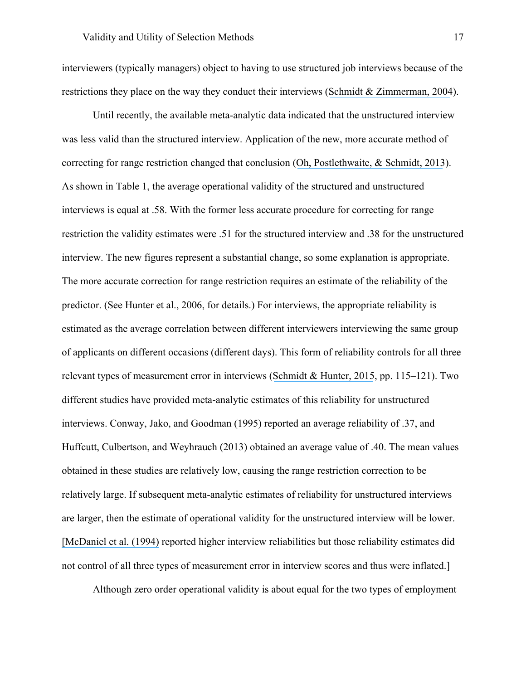interviewers (typically managers) object to having to use structured job interviews because of the restrictions they place on the way they conduct their interviews ([Schmidt & Zimmerman, 2004](https://www.researchgate.net/publication/8545846_A_Counterintuitive_Hypothesis_About_Employment_Interview_Validity_and_Some_Supporting_Evidence?el=1_x_8&enrichId=rgreq-ac03d29ee90470b28e65c5b16b199479-XXX&enrichSource=Y292ZXJQYWdlOzMwOTIwMzg5ODtBUzo0MTgyNTE3OTMyODkyMThAMTQ3NjczMDQwNjU0Mw==)).

Until recently, the available meta-analytic data indicated that the unstructured interview was less valid than the structured interview. Application of the new, more accurate method of correcting for range restriction changed that conclusion ([Oh, Postlethwaite, & Schmidt, 2013](https://www.researchgate.net/publication/255909880_Rethinking_the_validity_of_interviews_for_employment_decision_making_Implications_of_recent_developments_in_meta-analysis_Chapter_12_pp_297-329_In_D_J_Svyantek_K_Mahoney_Eds_Received_Wisdom_Kernels_of?el=1_x_8&enrichId=rgreq-ac03d29ee90470b28e65c5b16b199479-XXX&enrichSource=Y292ZXJQYWdlOzMwOTIwMzg5ODtBUzo0MTgyNTE3OTMyODkyMThAMTQ3NjczMDQwNjU0Mw==)). As shown in Table 1, the average operational validity of the structured and unstructured interviews is equal at .58. With the former less accurate procedure for correcting for range restriction the validity estimates were .51 for the structured interview and .38 for the unstructured interview. The new figures represent a substantial change, so some explanation is appropriate. The more accurate correction for range restriction requires an estimate of the reliability of the predictor. (See Hunter et al., 2006, for details.) For interviews, the appropriate reliability is estimated as the average correlation between different interviewers interviewing the same group of applicants on different occasions (different days). This form of reliability controls for all three relevant types of measurement error in interviews ([Schmidt & Hunter, 2015](https://www.researchgate.net/publication/235726244_Methods_of_Meta-Analysis_Corrected_Error_and_Bias_in_Research_Findings?el=1_x_8&enrichId=rgreq-ac03d29ee90470b28e65c5b16b199479-XXX&enrichSource=Y292ZXJQYWdlOzMwOTIwMzg5ODtBUzo0MTgyNTE3OTMyODkyMThAMTQ3NjczMDQwNjU0Mw==), pp. 115–121). Two different studies have provided meta-analytic estimates of this reliability for unstructured interviews. Conway, Jako, and Goodman (1995) reported an average reliability of .37, and Huffcutt, Culbertson, and Weyhrauch (2013) obtained an average value of .40. The mean values obtained in these studies are relatively low, causing the range restriction correction to be relatively large. If subsequent meta-analytic estimates of reliability for unstructured interviews are larger, then the estimate of operational validity for the unstructured interview will be lower. [\[McDaniel et al. \(1994\)](https://www.researchgate.net/publication/280799263_The_Validity_of_Employment_Interviews_A_Comprehensive_Review_and_Meta-Analysis?el=1_x_8&enrichId=rgreq-ac03d29ee90470b28e65c5b16b199479-XXX&enrichSource=Y292ZXJQYWdlOzMwOTIwMzg5ODtBUzo0MTgyNTE3OTMyODkyMThAMTQ3NjczMDQwNjU0Mw==) reported higher interview reliabilities but those reliability estimates did not control of all three types of measurement error in interview scores and thus were inflated.]

Although zero order operational validity is about equal for the two types of employment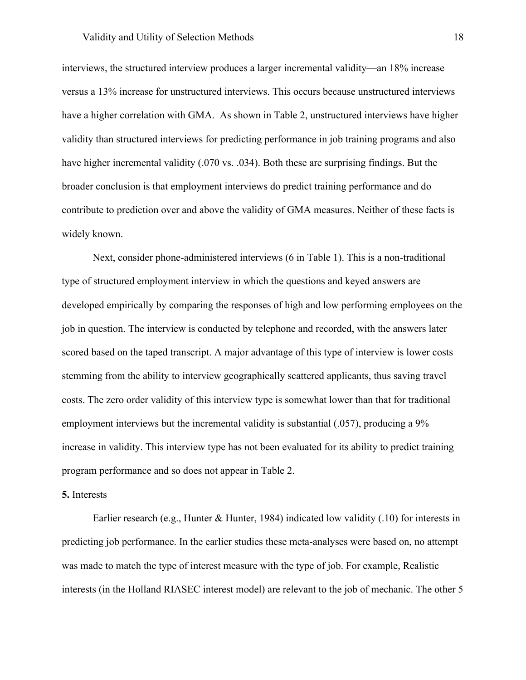#### Validity and Utility of Selection Methods 18

interviews, the structured interview produces a larger incremental validity—an 18% increase versus a 13% increase for unstructured interviews. This occurs because unstructured interviews have a higher correlation with GMA. As shown in Table 2, unstructured interviews have higher validity than structured interviews for predicting performance in job training programs and also have higher incremental validity (.070 vs. .034). Both these are surprising findings. But the broader conclusion is that employment interviews do predict training performance and do contribute to prediction over and above the validity of GMA measures. Neither of these facts is widely known.

Next, consider phone-administered interviews (6 in Table 1). This is a non-traditional type of structured employment interview in which the questions and keyed answers are developed empirically by comparing the responses of high and low performing employees on the job in question. The interview is conducted by telephone and recorded, with the answers later scored based on the taped transcript. A major advantage of this type of interview is lower costs stemming from the ability to interview geographically scattered applicants, thus saving travel costs. The zero order validity of this interview type is somewhat lower than that for traditional employment interviews but the incremental validity is substantial (.057), producing a 9% increase in validity. This interview type has not been evaluated for its ability to predict training program performance and so does not appear in Table 2.

#### **5.** Interests

Earlier research (e.g., Hunter & Hunter, 1984) indicated low validity (.10) for interests in predicting job performance. In the earlier studies these meta-analyses were based on, no attempt was made to match the type of interest measure with the type of job. For example, Realistic interests (in the Holland RIASEC interest model) are relevant to the job of mechanic. The other 5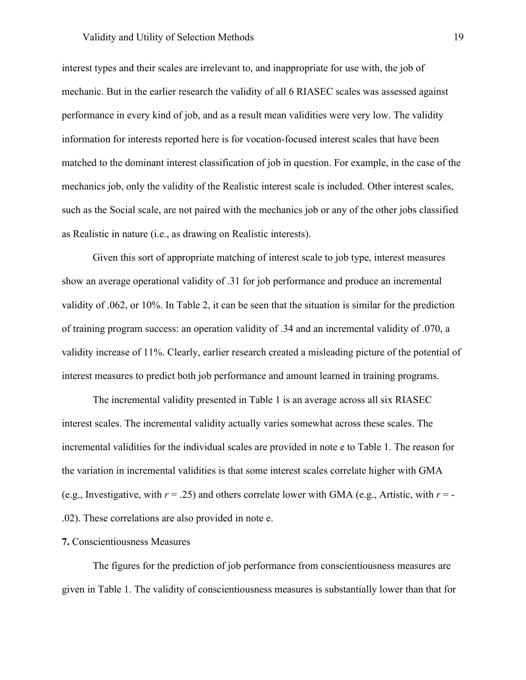### Validity and Utility of Selection Methods 19

interest types and their scales are irrelevant to, and inappropriate for use with, the job of mechanic. But in the earlier research the validity of all 6 RIASEC scales was assessed against performance in every kind of job, and as a result mean validities were very low. The validity information for interests reported here is for vocation-focused interest scales that have been matched to the dominant interest classification of job in question. For example, in the case of the mechanics job, only the validity of the Realistic interest scale is included. Other interest scales, such as the Social scale, are not paired with the mechanics job or any of the other jobs classified as Realistic in nature (i.e., as drawing on Realistic interests).

Given this sort of appropriate matching of interest scale to job type, interest measures show an average operational validity of .31 for job performance and produce an incremental validity of .062, or 10%. In Table 2, it can be seen that the situation is similar for the prediction of training program success: an operation validity of .34 and an incremental validity of .070, a validity increase of 11%. Clearly, earlier research created a misleading picture of the potential of interest measures to predict both job performance and amount learned in training programs.

The incremental validity presented in Table 1 is an average across all six RIASEC interest scales. The incremental validity actually varies somewhat across these scales. The incremental validities for the individual scales are provided in note e to Table 1. The reason for the variation in incremental validities is that some interest scales correlate higher with GMA (e.g., Investigative, with  $r = .25$ ) and others correlate lower with GMA (e.g., Artistic, with  $r = -$ .02). These correlations are also provided in note e.

# **7.** Conscientiousness Measures

The figures for the prediction of job performance from conscientiousness measures are given in Table 1. The validity of conscientiousness measures is substantially lower than that for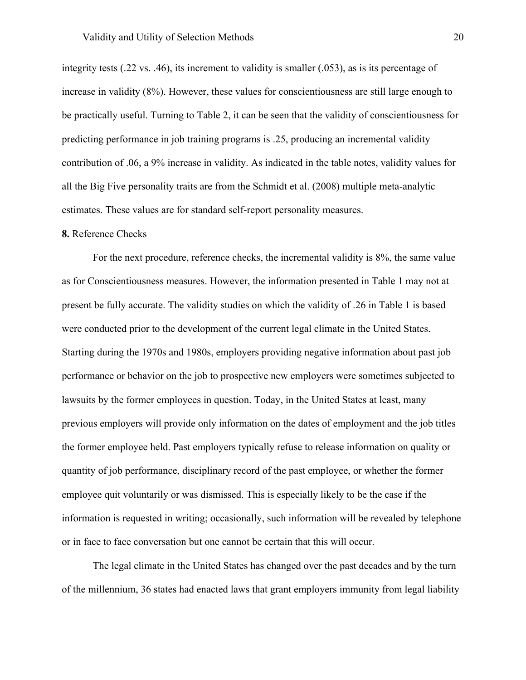integrity tests (.22 vs. .46), its increment to validity is smaller (.053), as is its percentage of increase in validity (8%). However, these values for conscientiousness are still large enough to be practically useful. Turning to Table 2, it can be seen that the validity of conscientiousness for predicting performance in job training programs is .25, producing an incremental validity contribution of .06, a 9% increase in validity. As indicated in the table notes, validity values for all the Big Five personality traits are from the Schmidt et al. (2008) multiple meta-analytic estimates. These values are for standard self-report personality measures.

# **8.** Reference Checks

For the next procedure, reference checks, the incremental validity is 8%, the same value as for Conscientiousness measures. However, the information presented in Table 1 may not at present be fully accurate. The validity studies on which the validity of .26 in Table 1 is based were conducted prior to the development of the current legal climate in the United States. Starting during the 1970s and 1980s, employers providing negative information about past job performance or behavior on the job to prospective new employers were sometimes subjected to lawsuits by the former employees in question. Today, in the United States at least, many previous employers will provide only information on the dates of employment and the job titles the former employee held. Past employers typically refuse to release information on quality or quantity of job performance, disciplinary record of the past employee, or whether the former employee quit voluntarily or was dismissed. This is especially likely to be the case if the information is requested in writing; occasionally, such information will be revealed by telephone or in face to face conversation but one cannot be certain that this will occur.

The legal climate in the United States has changed over the past decades and by the turn of the millennium, 36 states had enacted laws that grant employers immunity from legal liability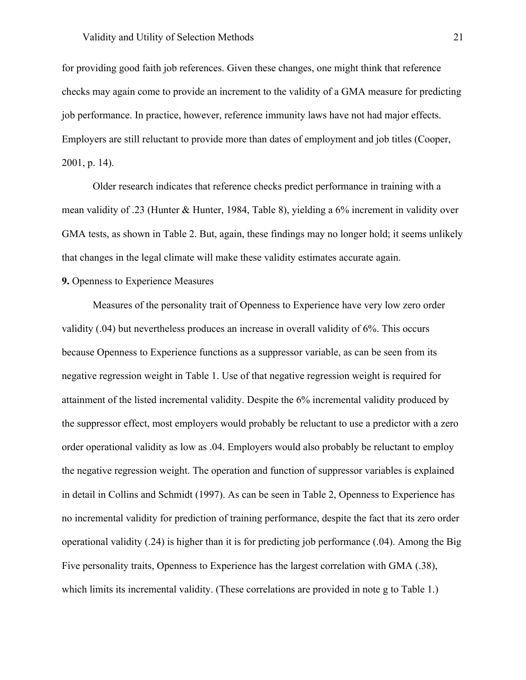for providing good faith job references. Given these changes, one might think that reference checks may again come to provide an increment to the validity of a GMA measure for predicting job performance. In practice, however, reference immunity laws have not had major effects. Employers are still reluctant to provide more than dates of employment and job titles (Cooper, 2001, p. 14).

Older research indicates that reference checks predict performance in training with a mean validity of .23 (Hunter & Hunter, 1984, Table 8), yielding a 6% increment in validity over GMA tests, as shown in Table 2. But, again, these findings may no longer hold; it seems unlikely that changes in the legal climate will make these validity estimates accurate again.

# **9.** Openness to Experience Measures

Measures of the personality trait of Openness to Experience have very low zero order validity (.04) but nevertheless produces an increase in overall validity of 6%. This occurs because Openness to Experience functions as a suppressor variable, as can be seen from its negative regression weight in Table 1. Use of that negative regression weight is required for attainment of the listed incremental validity. Despite the 6% incremental validity produced by the suppressor effect, most employers would probably be reluctant to use a predictor with a zero order operational validity as low as .04. Employers would also probably be reluctant to employ the negative regression weight. The operation and function of suppressor variables is explained in detail in Collins and Schmidt (1997). As can be seen in Table 2, Openness to Experience has no incremental validity for prediction of training performance, despite the fact that its zero order operational validity (.24) is higher than it is for predicting job performance (.04). Among the Big Five personality traits, Openness to Experience has the largest correlation with GMA (.38), which limits its incremental validity. (These correlations are provided in note g to Table 1.)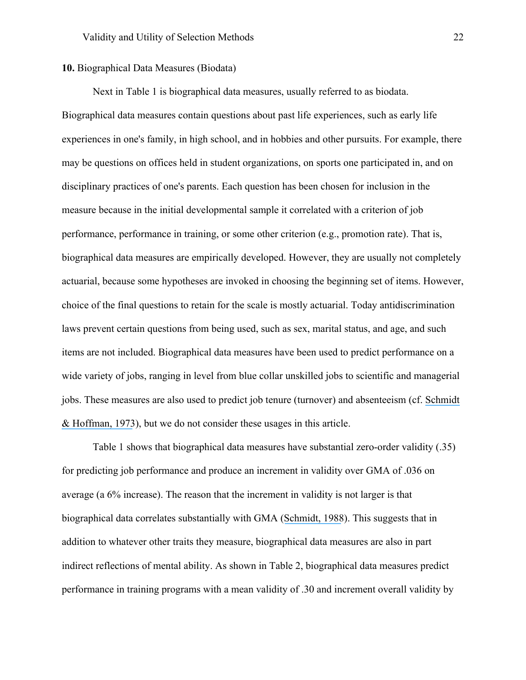# **10.** Biographical Data Measures (Biodata)

Next in Table 1 is biographical data measures, usually referred to as biodata. Biographical data measures contain questions about past life experiences, such as early life experiences in one's family, in high school, and in hobbies and other pursuits. For example, there may be questions on offices held in student organizations, on sports one participated in, and on disciplinary practices of one's parents. Each question has been chosen for inclusion in the measure because in the initial developmental sample it correlated with a criterion of job performance, performance in training, or some other criterion (e.g., promotion rate). That is, biographical data measures are empirically developed. However, they are usually not completely actuarial, because some hypotheses are invoked in choosing the beginning set of items. However, choice of the final questions to retain for the scale is mostly actuarial. Today antidiscrimination laws prevent certain questions from being used, such as sex, marital status, and age, and such items are not included. Biographical data measures have been used to predict performance on a wide variety of jobs, ranging in level from blue collar unskilled jobs to scientific and managerial jobs. These measures are also used to predict job tenure (turnover) and absenteeism (cf. [Schmidt](https://www.researchgate.net/publication/232498699_Empirical_comparison_of_three_methods_of_assessing_utility_of_a_selection_device?el=1_x_8&enrichId=rgreq-ac03d29ee90470b28e65c5b16b199479-XXX&enrichSource=Y292ZXJQYWdlOzMwOTIwMzg5ODtBUzo0MTgyNTE3OTMyODkyMThAMTQ3NjczMDQwNjU0Mw==) [& Hoffman, 1973](https://www.researchgate.net/publication/232498699_Empirical_comparison_of_three_methods_of_assessing_utility_of_a_selection_device?el=1_x_8&enrichId=rgreq-ac03d29ee90470b28e65c5b16b199479-XXX&enrichSource=Y292ZXJQYWdlOzMwOTIwMzg5ODtBUzo0MTgyNTE3OTMyODkyMThAMTQ3NjczMDQwNjU0Mw==)), but we do not consider these usages in this article.

Table 1 shows that biographical data measures have substantial zero-order validity (.35) for predicting job performance and produce an increment in validity over GMA of .036 on average (a 6% increase). The reason that the increment in validity is not larger is that biographical data correlates substantially with GMA ([Schmidt, 1988](https://www.researchgate.net/publication/223733812_The_problem_of_group_differences_in_ability_scores_in_employment_selection?el=1_x_8&enrichId=rgreq-ac03d29ee90470b28e65c5b16b199479-XXX&enrichSource=Y292ZXJQYWdlOzMwOTIwMzg5ODtBUzo0MTgyNTE3OTMyODkyMThAMTQ3NjczMDQwNjU0Mw==)). This suggests that in addition to whatever other traits they measure, biographical data measures are also in part indirect reflections of mental ability. As shown in Table 2, biographical data measures predict performance in training programs with a mean validity of .30 and increment overall validity by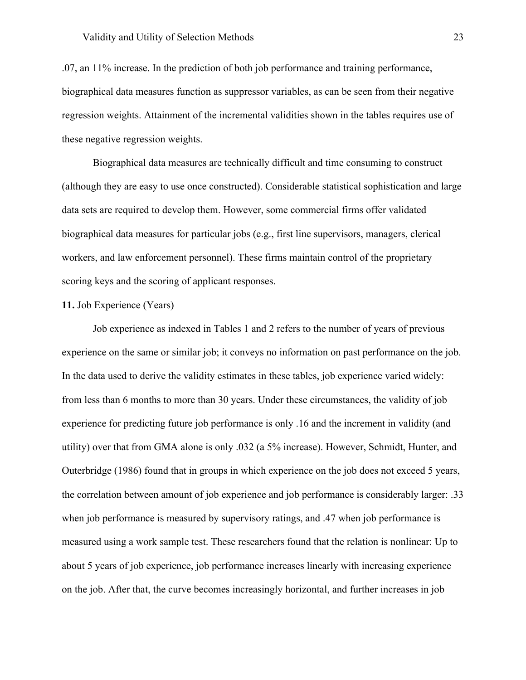.07, an 11% increase. In the prediction of both job performance and training performance, biographical data measures function as suppressor variables, as can be seen from their negative regression weights. Attainment of the incremental validities shown in the tables requires use of these negative regression weights.

Biographical data measures are technically difficult and time consuming to construct (although they are easy to use once constructed). Considerable statistical sophistication and large data sets are required to develop them. However, some commercial firms offer validated biographical data measures for particular jobs (e.g., first line supervisors, managers, clerical workers, and law enforcement personnel). These firms maintain control of the proprietary scoring keys and the scoring of applicant responses.

# **11.** Job Experience (Years)

Job experience as indexed in Tables 1 and 2 refers to the number of years of previous experience on the same or similar job; it conveys no information on past performance on the job. In the data used to derive the validity estimates in these tables, job experience varied widely: from less than 6 months to more than 30 years. Under these circumstances, the validity of job experience for predicting future job performance is only .16 and the increment in validity (and utility) over that from GMA alone is only .032 (a 5% increase). However, Schmidt, Hunter, and Outerbridge (1986) found that in groups in which experience on the job does not exceed 5 years, the correlation between amount of job experience and job performance is considerably larger: .33 when job performance is measured by supervisory ratings, and .47 when job performance is measured using a work sample test. These researchers found that the relation is nonlinear: Up to about 5 years of job experience, job performance increases linearly with increasing experience on the job. After that, the curve becomes increasingly horizontal, and further increases in job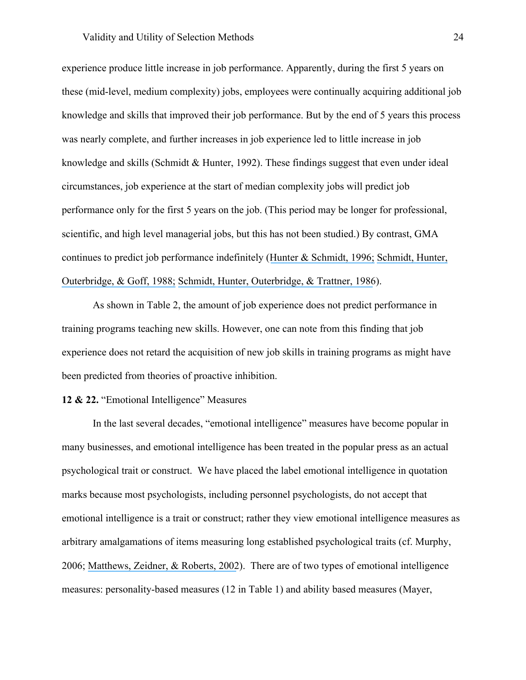experience produce little increase in job performance. Apparently, during the first 5 years on these (mid-level, medium complexity) jobs, employees were continually acquiring additional job knowledge and skills that improved their job performance. But by the end of 5 years this process was nearly complete, and further increases in job experience led to little increase in job knowledge and skills (Schmidt & Hunter, 1992). These findings suggest that even under ideal circumstances, job experience at the start of median complexity jobs will predict job performance only for the first 5 years on the job. (This period may be longer for professional, scientific, and high level managerial jobs, but this has not been studied.) By contrast, GMA continues to predict job performance indefinitely ([Hunter & Schmidt, 1996;](https://www.researchgate.net/publication/297380615_Intelligence_and_job_performance_Economic_and_social_implications?el=1_x_8&enrichId=rgreq-ac03d29ee90470b28e65c5b16b199479-XXX&enrichSource=Y292ZXJQYWdlOzMwOTIwMzg5ODtBUzo0MTgyNTE3OTMyODkyMThAMTQ3NjczMDQwNjU0Mw==) [Schmidt, Hunter,](https://www.researchgate.net/publication/290815775_Joint_Relation_of_Experience_and_Ability_With_Job_Performance_Test_of_Three_Hypotheses?el=1_x_8&enrichId=rgreq-ac03d29ee90470b28e65c5b16b199479-XXX&enrichSource=Y292ZXJQYWdlOzMwOTIwMzg5ODtBUzo0MTgyNTE3OTMyODkyMThAMTQ3NjczMDQwNjU0Mw==) [Outerbridge, & Goff, 1988;](https://www.researchgate.net/publication/290815775_Joint_Relation_of_Experience_and_Ability_With_Job_Performance_Test_of_Three_Hypotheses?el=1_x_8&enrichId=rgreq-ac03d29ee90470b28e65c5b16b199479-XXX&enrichSource=Y292ZXJQYWdlOzMwOTIwMzg5ODtBUzo0MTgyNTE3OTMyODkyMThAMTQ3NjczMDQwNjU0Mw==) [Schmidt, Hunter, Outerbridge, & Trattner, 1986](https://www.researchgate.net/publication/227913563_The_economic_impact_of_job_selection_methods_on_size_productivity_and_payroll_costs_of_the_federal_work_force_An_empirically_based_demonstration?el=1_x_8&enrichId=rgreq-ac03d29ee90470b28e65c5b16b199479-XXX&enrichSource=Y292ZXJQYWdlOzMwOTIwMzg5ODtBUzo0MTgyNTE3OTMyODkyMThAMTQ3NjczMDQwNjU0Mw==)).

As shown in Table 2, the amount of job experience does not predict performance in training programs teaching new skills. However, one can note from this finding that job experience does not retard the acquisition of new job skills in training programs as might have been predicted from theories of proactive inhibition.

# **12 & 22.** "Emotional Intelligence" Measures

In the last several decades, "emotional intelligence" measures have become popular in many businesses, and emotional intelligence has been treated in the popular press as an actual psychological trait or construct. We have placed the label emotional intelligence in quotation marks because most psychologists, including personnel psychologists, do not accept that emotional intelligence is a trait or construct; rather they view emotional intelligence measures as arbitrary amalgamations of items measuring long established psychological traits (cf. Murphy, 2006; [Matthews, Zeidner, & Roberts, 2002](https://www.researchgate.net/publication/233349524_Emotional_Intelligence_Science_and_Myth?el=1_x_8&enrichId=rgreq-ac03d29ee90470b28e65c5b16b199479-XXX&enrichSource=Y292ZXJQYWdlOzMwOTIwMzg5ODtBUzo0MTgyNTE3OTMyODkyMThAMTQ3NjczMDQwNjU0Mw==)). There are of two types of emotional intelligence measures: personality-based measures (12 in Table 1) and ability based measures (Mayer,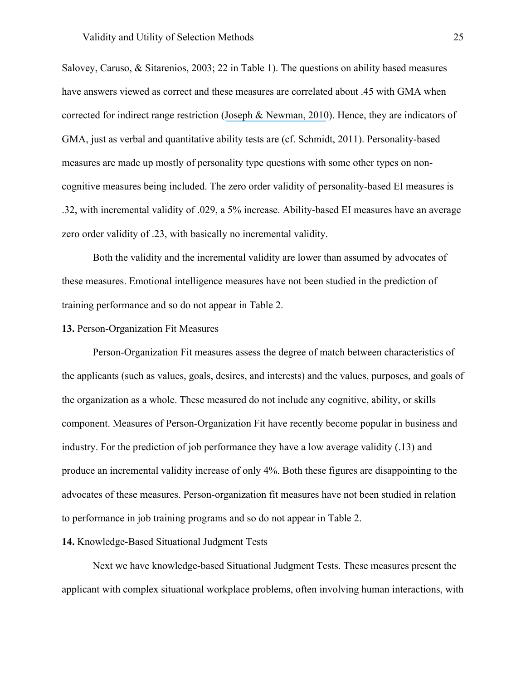Salovey, Caruso, & Sitarenios, 2003; 22 in Table 1). The questions on ability based measures have answers viewed as correct and these measures are correlated about .45 with GMA when corrected for indirect range restriction ([Joseph & Newman, 2010](https://www.researchgate.net/publication/41087511_Emotional_Intelligence_An_Integrative_Meta-Analysis_and_Cascading_Model?el=1_x_8&enrichId=rgreq-ac03d29ee90470b28e65c5b16b199479-XXX&enrichSource=Y292ZXJQYWdlOzMwOTIwMzg5ODtBUzo0MTgyNTE3OTMyODkyMThAMTQ3NjczMDQwNjU0Mw==)). Hence, they are indicators of GMA, just as verbal and quantitative ability tests are (cf. Schmidt, 2011). Personality-based measures are made up mostly of personality type questions with some other types on noncognitive measures being included. The zero order validity of personality-based EI measures is .32, with incremental validity of .029, a 5% increase. Ability-based EI measures have an average zero order validity of .23, with basically no incremental validity.

Both the validity and the incremental validity are lower than assumed by advocates of these measures. Emotional intelligence measures have not been studied in the prediction of training performance and so do not appear in Table 2.

#### **13.** Person-Organization Fit Measures

Person-Organization Fit measures assess the degree of match between characteristics of the applicants (such as values, goals, desires, and interests) and the values, purposes, and goals of the organization as a whole. These measured do not include any cognitive, ability, or skills component. Measures of Person-Organization Fit have recently become popular in business and industry. For the prediction of job performance they have a low average validity (.13) and produce an incremental validity increase of only 4%. Both these figures are disappointing to the advocates of these measures. Person-organization fit measures have not been studied in relation to performance in job training programs and so do not appear in Table 2.

# **14.** Knowledge-Based Situational Judgment Tests

Next we have knowledge-based Situational Judgment Tests. These measures present the applicant with complex situational workplace problems, often involving human interactions, with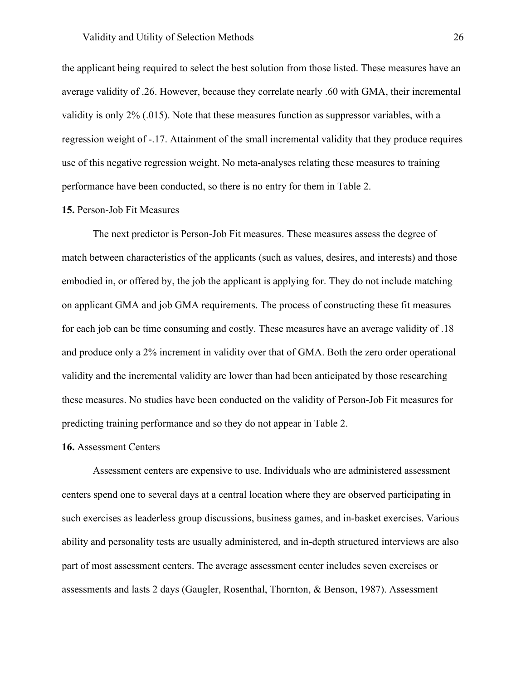the applicant being required to select the best solution from those listed. These measures have an average validity of .26. However, because they correlate nearly .60 with GMA, their incremental validity is only 2% (.015). Note that these measures function as suppressor variables, with a regression weight of -.17. Attainment of the small incremental validity that they produce requires use of this negative regression weight. No meta-analyses relating these measures to training performance have been conducted, so there is no entry for them in Table 2.

# **15.** Person-Job Fit Measures

The next predictor is Person-Job Fit measures. These measures assess the degree of match between characteristics of the applicants (such as values, desires, and interests) and those embodied in, or offered by, the job the applicant is applying for. They do not include matching on applicant GMA and job GMA requirements. The process of constructing these fit measures for each job can be time consuming and costly. These measures have an average validity of .18 and produce only a 2% increment in validity over that of GMA. Both the zero order operational validity and the incremental validity are lower than had been anticipated by those researching these measures. No studies have been conducted on the validity of Person-Job Fit measures for predicting training performance and so they do not appear in Table 2.

#### **16.** Assessment Centers

Assessment centers are expensive to use. Individuals who are administered assessment centers spend one to several days at a central location where they are observed participating in such exercises as leaderless group discussions, business games, and in-basket exercises. Various ability and personality tests are usually administered, and in-depth structured interviews are also part of most assessment centers. The average assessment center includes seven exercises or assessments and lasts 2 days (Gaugler, Rosenthal, Thornton, & Benson, 1987). Assessment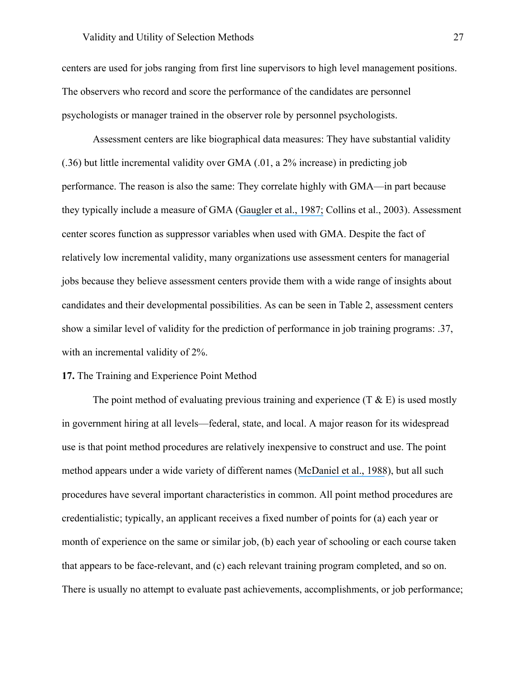centers are used for jobs ranging from first line supervisors to high level management positions. The observers who record and score the performance of the candidates are personnel psychologists or manager trained in the observer role by personnel psychologists.

Assessment centers are like biographical data measures: They have substantial validity (.36) but little incremental validity over GMA (.01, a 2% increase) in predicting job performance. The reason is also the same: They correlate highly with GMA—in part because they typically include a measure of GMA ([Gaugler et al., 1987;](https://www.researchgate.net/publication/232599285_Meta-Analysis_of_Assessment_Center_Validity?el=1_x_8&enrichId=rgreq-ac03d29ee90470b28e65c5b16b199479-XXX&enrichSource=Y292ZXJQYWdlOzMwOTIwMzg5ODtBUzo0MTgyNTE3OTMyODkyMThAMTQ3NjczMDQwNjU0Mw==) Collins et al., 2003). Assessment center scores function as suppressor variables when used with GMA. Despite the fact of relatively low incremental validity, many organizations use assessment centers for managerial jobs because they believe assessment centers provide them with a wide range of insights about candidates and their developmental possibilities. As can be seen in Table 2, assessment centers show a similar level of validity for the prediction of performance in job training programs: .37, with an incremental validity of 2%.

#### **17.** The Training and Experience Point Method

The point method of evaluating previous training and experience  $(T \& E)$  is used mostly in government hiring at all levels—federal, state, and local. A major reason for its widespread use is that point method procedures are relatively inexpensive to construct and use. The point method appears under a wide variety of different names ([McDaniel et al., 1988](https://www.researchgate.net/publication/227877347_A_Meta-analysis_of_the_Validity_of_Training_and_Experience_Ratings_in_Personnel_Selection?el=1_x_8&enrichId=rgreq-ac03d29ee90470b28e65c5b16b199479-XXX&enrichSource=Y292ZXJQYWdlOzMwOTIwMzg5ODtBUzo0MTgyNTE3OTMyODkyMThAMTQ3NjczMDQwNjU0Mw==)), but all such procedures have several important characteristics in common. All point method procedures are credentialistic; typically, an applicant receives a fixed number of points for (a) each year or month of experience on the same or similar job, (b) each year of schooling or each course taken that appears to be face-relevant, and (c) each relevant training program completed, and so on. There is usually no attempt to evaluate past achievements, accomplishments, or job performance;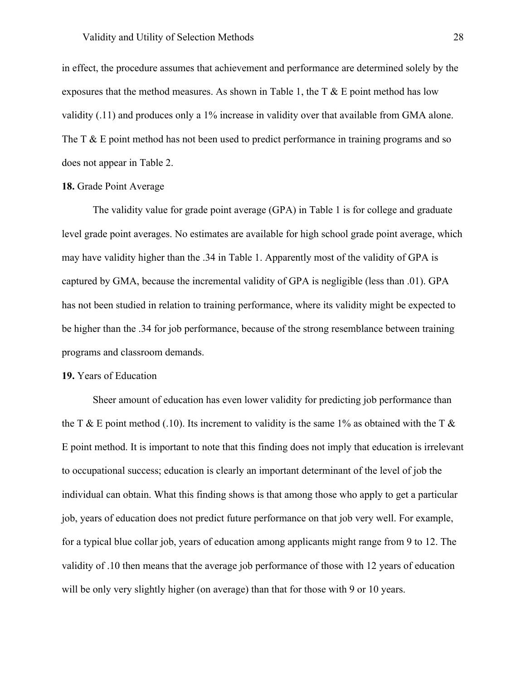in effect, the procedure assumes that achievement and performance are determined solely by the exposures that the method measures. As shown in Table 1, the  $T \& E$  point method has low validity (.11) and produces only a 1% increase in validity over that available from GMA alone. The T  $\&$  E point method has not been used to predict performance in training programs and so does not appear in Table 2.

# **18.** Grade Point Average

The validity value for grade point average (GPA) in Table 1 is for college and graduate level grade point averages. No estimates are available for high school grade point average, which may have validity higher than the .34 in Table 1. Apparently most of the validity of GPA is captured by GMA, because the incremental validity of GPA is negligible (less than .01). GPA has not been studied in relation to training performance, where its validity might be expected to be higher than the .34 for job performance, because of the strong resemblance between training programs and classroom demands.

# **19.** Years of Education

Sheer amount of education has even lower validity for predicting job performance than the T & E point method (.10). Its increment to validity is the same 1% as obtained with the T & E point method. It is important to note that this finding does not imply that education is irrelevant to occupational success; education is clearly an important determinant of the level of job the individual can obtain. What this finding shows is that among those who apply to get a particular job, years of education does not predict future performance on that job very well. For example, for a typical blue collar job, years of education among applicants might range from 9 to 12. The validity of .10 then means that the average job performance of those with 12 years of education will be only very slightly higher (on average) than that for those with 9 or 10 years.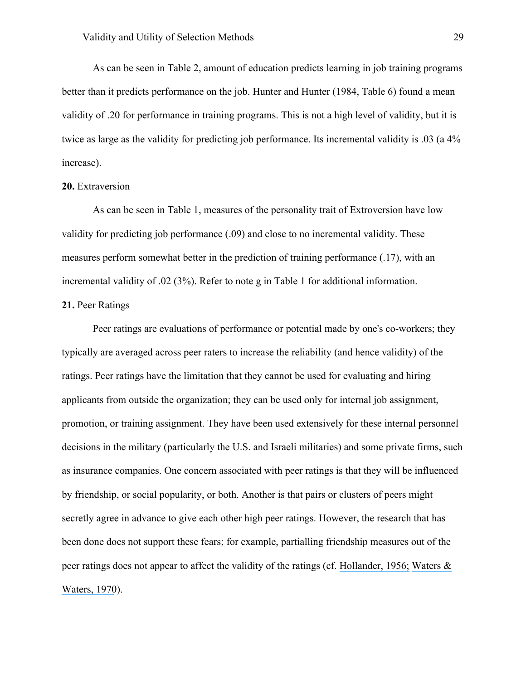As can be seen in Table 2, amount of education predicts learning in job training programs better than it predicts performance on the job. Hunter and Hunter (1984, Table 6) found a mean validity of .20 for performance in training programs. This is not a high level of validity, but it is twice as large as the validity for predicting job performance. Its incremental validity is .03 (a 4% increase).

#### **20.** Extraversion

As can be seen in Table 1, measures of the personality trait of Extroversion have low validity for predicting job performance (.09) and close to no incremental validity. These measures perform somewhat better in the prediction of training performance (.17), with an incremental validity of .02 (3%). Refer to note g in Table 1 for additional information.

# **21.** Peer Ratings

Peer ratings are evaluations of performance or potential made by one's co-workers; they typically are averaged across peer raters to increase the reliability (and hence validity) of the ratings. Peer ratings have the limitation that they cannot be used for evaluating and hiring applicants from outside the organization; they can be used only for internal job assignment, promotion, or training assignment. They have been used extensively for these internal personnel decisions in the military (particularly the U.S. and Israeli militaries) and some private firms, such as insurance companies. One concern associated with peer ratings is that they will be influenced by friendship, or social popularity, or both. Another is that pairs or clusters of peers might secretly agree in advance to give each other high peer ratings. However, the research that has been done does not support these fears; for example, partialling friendship measures out of the peer ratings does not appear to affect the validity of the ratings (cf. [Hollander, 1956;](https://www.researchgate.net/publication/229807794_The_Friendship_Factor_in_Peer_Nominations1?el=1_x_8&enrichId=rgreq-ac03d29ee90470b28e65c5b16b199479-XXX&enrichSource=Y292ZXJQYWdlOzMwOTIwMzg5ODtBUzo0MTgyNTE3OTMyODkyMThAMTQ3NjczMDQwNjU0Mw==) [Waters &](https://www.researchgate.net/publication/17752935_Peer_Nominations_as_Predictors_of_Short_Term_Sales_Performance?el=1_x_8&enrichId=rgreq-ac03d29ee90470b28e65c5b16b199479-XXX&enrichSource=Y292ZXJQYWdlOzMwOTIwMzg5ODtBUzo0MTgyNTE3OTMyODkyMThAMTQ3NjczMDQwNjU0Mw==)  [Waters, 1970](https://www.researchgate.net/publication/17752935_Peer_Nominations_as_Predictors_of_Short_Term_Sales_Performance?el=1_x_8&enrichId=rgreq-ac03d29ee90470b28e65c5b16b199479-XXX&enrichSource=Y292ZXJQYWdlOzMwOTIwMzg5ODtBUzo0MTgyNTE3OTMyODkyMThAMTQ3NjczMDQwNjU0Mw==)).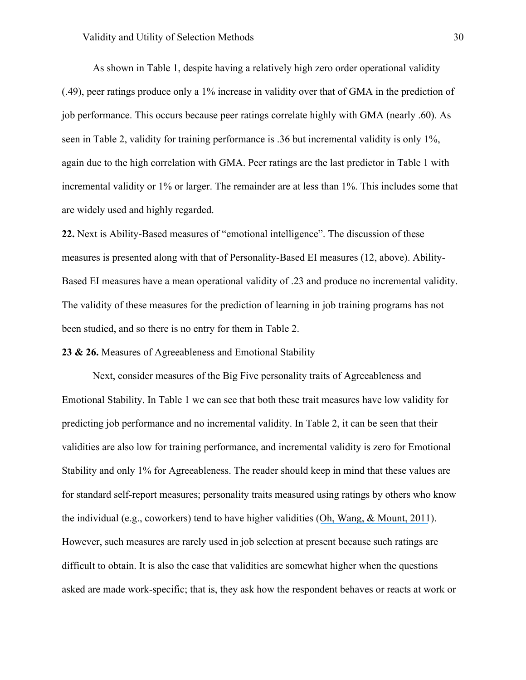As shown in Table 1, despite having a relatively high zero order operational validity (.49), peer ratings produce only a 1% increase in validity over that of GMA in the prediction of job performance. This occurs because peer ratings correlate highly with GMA (nearly .60). As seen in Table 2, validity for training performance is .36 but incremental validity is only 1%, again due to the high correlation with GMA. Peer ratings are the last predictor in Table 1 with incremental validity or 1% or larger. The remainder are at less than 1%. This includes some that are widely used and highly regarded.

**22.** Next is Ability-Based measures of "emotional intelligence". The discussion of these measures is presented along with that of Personality-Based EI measures (12, above). Ability-Based EI measures have a mean operational validity of .23 and produce no incremental validity. The validity of these measures for the prediction of learning in job training programs has not been studied, and so there is no entry for them in Table 2.

**23 & 26.** Measures of Agreeableness and Emotional Stability

Next, consider measures of the Big Five personality traits of Agreeableness and Emotional Stability. In Table 1 we can see that both these trait measures have low validity for predicting job performance and no incremental validity. In Table 2, it can be seen that their validities are also low for training performance, and incremental validity is zero for Emotional Stability and only 1% for Agreeableness. The reader should keep in mind that these values are for standard self-report measures; personality traits measured using ratings by others who know the individual (e.g., coworkers) tend to have higher validities ([Oh, Wang, & Mount, 2011](https://www.researchgate.net/publication/49668497_Validity_of_Observer_Ratings_of_the_Five-Factor_Model_of_Personality_Traits_A_Meta-Analysis?el=1_x_8&enrichId=rgreq-ac03d29ee90470b28e65c5b16b199479-XXX&enrichSource=Y292ZXJQYWdlOzMwOTIwMzg5ODtBUzo0MTgyNTE3OTMyODkyMThAMTQ3NjczMDQwNjU0Mw==)). However, such measures are rarely used in job selection at present because such ratings are difficult to obtain. It is also the case that validities are somewhat higher when the questions asked are made work-specific; that is, they ask how the respondent behaves or reacts at work or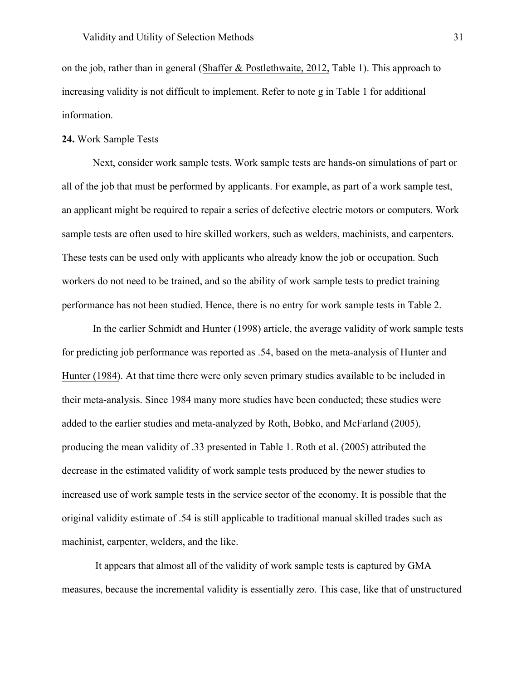on the job, rather than in general ([Shaffer & Postlethwaite, 2012,](https://www.researchgate.net/publication/263575588_A_Matter_of_Context_A_Meta-Analytic_Investigation_of_the_Relative_Validity_of_Contextualized_and_Noncontextualized_Personality_Measures?el=1_x_8&enrichId=rgreq-ac03d29ee90470b28e65c5b16b199479-XXX&enrichSource=Y292ZXJQYWdlOzMwOTIwMzg5ODtBUzo0MTgyNTE3OTMyODkyMThAMTQ3NjczMDQwNjU0Mw==) Table 1). This approach to increasing validity is not difficult to implement. Refer to note g in Table 1 for additional information.

# **24.** Work Sample Tests

Next, consider work sample tests. Work sample tests are hands-on simulations of part or all of the job that must be performed by applicants. For example, as part of a work sample test, an applicant might be required to repair a series of defective electric motors or computers. Work sample tests are often used to hire skilled workers, such as welders, machinists, and carpenters. These tests can be used only with applicants who already know the job or occupation. Such workers do not need to be trained, and so the ability of work sample tests to predict training performance has not been studied. Hence, there is no entry for work sample tests in Table 2.

In the earlier Schmidt and Hunter (1998) article, the average validity of work sample tests for predicting job performance was reported as .54, based on the meta-analysis of [Hunter and](https://www.researchgate.net/publication/232476443_Validity_and_Utility_of_Alternate_Predictors_of_Job_Performance?el=1_x_8&enrichId=rgreq-ac03d29ee90470b28e65c5b16b199479-XXX&enrichSource=Y292ZXJQYWdlOzMwOTIwMzg5ODtBUzo0MTgyNTE3OTMyODkyMThAMTQ3NjczMDQwNjU0Mw==)  [Hunter \(1984\)](https://www.researchgate.net/publication/232476443_Validity_and_Utility_of_Alternate_Predictors_of_Job_Performance?el=1_x_8&enrichId=rgreq-ac03d29ee90470b28e65c5b16b199479-XXX&enrichSource=Y292ZXJQYWdlOzMwOTIwMzg5ODtBUzo0MTgyNTE3OTMyODkyMThAMTQ3NjczMDQwNjU0Mw==). At that time there were only seven primary studies available to be included in their meta-analysis. Since 1984 many more studies have been conducted; these studies were added to the earlier studies and meta-analyzed by Roth, Bobko, and McFarland (2005), producing the mean validity of .33 presented in Table 1. Roth et al. (2005) attributed the decrease in the estimated validity of work sample tests produced by the newer studies to increased use of work sample tests in the service sector of the economy. It is possible that the original validity estimate of .54 is still applicable to traditional manual skilled trades such as machinist, carpenter, welders, and the like.

It appears that almost all of the validity of work sample tests is captured by GMA measures, because the incremental validity is essentially zero. This case, like that of unstructured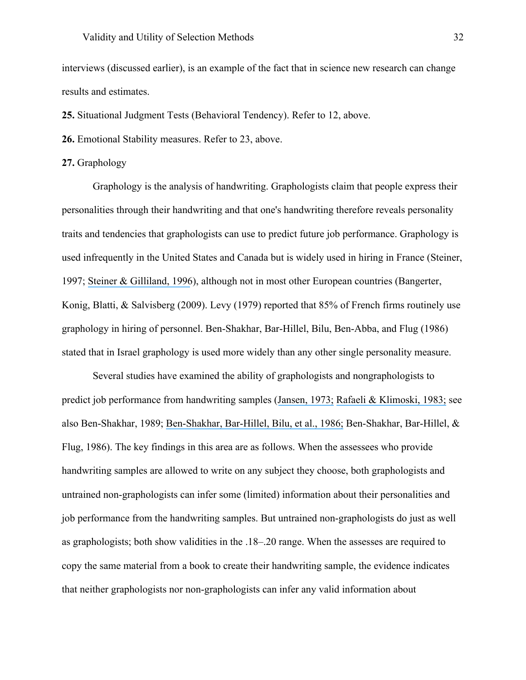interviews (discussed earlier), is an example of the fact that in science new research can change results and estimates.

**25.** Situational Judgment Tests (Behavioral Tendency). Refer to 12, above.

**26.** Emotional Stability measures. Refer to 23, above.

# **27.** Graphology

Graphology is the analysis of handwriting. Graphologists claim that people express their personalities through their handwriting and that one's handwriting therefore reveals personality traits and tendencies that graphologists can use to predict future job performance. Graphology is used infrequently in the United States and Canada but is widely used in hiring in France (Steiner, 1997; [Steiner & Gilliland, 1996](https://www.researchgate.net/publication/232599605_Fairness_Reactions_to_Personnel_Selection_Techniques_in_France_and_United_States?el=1_x_8&enrichId=rgreq-ac03d29ee90470b28e65c5b16b199479-XXX&enrichSource=Y292ZXJQYWdlOzMwOTIwMzg5ODtBUzo0MTgyNTE3OTMyODkyMThAMTQ3NjczMDQwNjU0Mw==)), although not in most other European countries (Bangerter, Konig, Blatti, & Salvisberg (2009). Levy (1979) reported that 85% of French firms routinely use graphology in hiring of personnel. Ben-Shakhar, Bar-Hillel, Bilu, Ben-Abba, and Flug (1986) stated that in Israel graphology is used more widely than any other single personality measure.

Several studies have examined the ability of graphologists and nongraphologists to predict job performance from handwriting samples ([Jansen, 1973;](https://www.researchgate.net/publication/232495055_Validation_of_graphological_judgments_An_experimental_study?el=1_x_8&enrichId=rgreq-ac03d29ee90470b28e65c5b16b199479-XXX&enrichSource=Y292ZXJQYWdlOzMwOTIwMzg5ODtBUzo0MTgyNTE3OTMyODkyMThAMTQ3NjczMDQwNjU0Mw==) [Rafaeli & Klimoski, 1983;](https://www.researchgate.net/publication/232510241_Predicting_sales_success_through_handwriting_analysis_An_evaluation_of_the_effects_of_training_and_handwriting_sample_content?el=1_x_8&enrichId=rgreq-ac03d29ee90470b28e65c5b16b199479-XXX&enrichSource=Y292ZXJQYWdlOzMwOTIwMzg5ODtBUzo0MTgyNTE3OTMyODkyMThAMTQ3NjczMDQwNjU0Mw==) see also Ben-Shakhar, 1989; [Ben-Shakhar, Bar-Hillel, Bilu, et al., 1986;](https://www.researchgate.net/publication/232446129_Can_graphology_predict_occupational_success_Two_empirical_studies_and_some_theoretical_ruminations?el=1_x_8&enrichId=rgreq-ac03d29ee90470b28e65c5b16b199479-XXX&enrichSource=Y292ZXJQYWdlOzMwOTIwMzg5ODtBUzo0MTgyNTE3OTMyODkyMThAMTQ3NjczMDQwNjU0Mw==) Ben-Shakhar, Bar-Hillel, & Flug, 1986). The key findings in this area are as follows. When the assessees who provide handwriting samples are allowed to write on any subject they choose, both graphologists and untrained non-graphologists can infer some (limited) information about their personalities and job performance from the handwriting samples. But untrained non-graphologists do just as well as graphologists; both show validities in the .18–.20 range. When the assesses are required to copy the same material from a book to create their handwriting sample, the evidence indicates that neither graphologists nor non-graphologists can infer any valid information about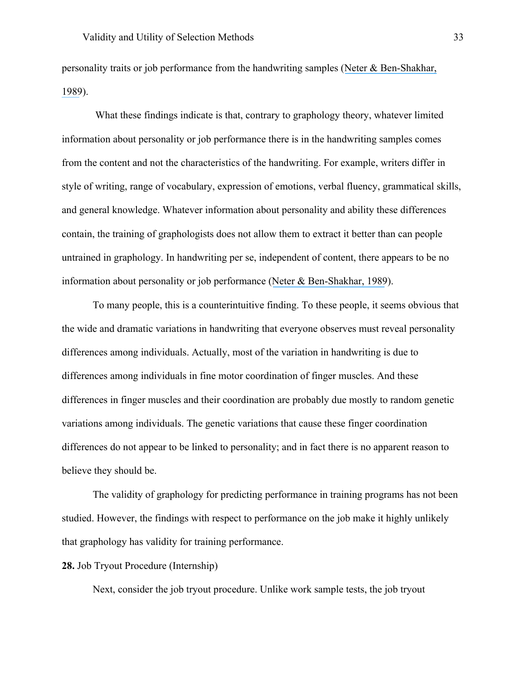personality traits or job performance from the handwriting samples (Neter  $\&$  Ben-Shakhar, [1989](https://www.researchgate.net/publication/221989526_The_Predictive_Validity_of_Graphological_Inferences?el=1_x_8&enrichId=rgreq-ac03d29ee90470b28e65c5b16b199479-XXX&enrichSource=Y292ZXJQYWdlOzMwOTIwMzg5ODtBUzo0MTgyNTE3OTMyODkyMThAMTQ3NjczMDQwNjU0Mw==)).

What these findings indicate is that, contrary to graphology theory, whatever limited information about personality or job performance there is in the handwriting samples comes from the content and not the characteristics of the handwriting. For example, writers differ in style of writing, range of vocabulary, expression of emotions, verbal fluency, grammatical skills, and general knowledge. Whatever information about personality and ability these differences contain, the training of graphologists does not allow them to extract it better than can people untrained in graphology. In handwriting per se, independent of content, there appears to be no information about personality or job performance ([Neter & Ben-Shakhar, 1989](https://www.researchgate.net/publication/221989526_The_Predictive_Validity_of_Graphological_Inferences?el=1_x_8&enrichId=rgreq-ac03d29ee90470b28e65c5b16b199479-XXX&enrichSource=Y292ZXJQYWdlOzMwOTIwMzg5ODtBUzo0MTgyNTE3OTMyODkyMThAMTQ3NjczMDQwNjU0Mw==)).

To many people, this is a counterintuitive finding. To these people, it seems obvious that the wide and dramatic variations in handwriting that everyone observes must reveal personality differences among individuals. Actually, most of the variation in handwriting is due to differences among individuals in fine motor coordination of finger muscles. And these differences in finger muscles and their coordination are probably due mostly to random genetic variations among individuals. The genetic variations that cause these finger coordination differences do not appear to be linked to personality; and in fact there is no apparent reason to believe they should be.

The validity of graphology for predicting performance in training programs has not been studied. However, the findings with respect to performance on the job make it highly unlikely that graphology has validity for training performance.

**28.** Job Tryout Procedure (Internship)

Next, consider the job tryout procedure. Unlike work sample tests, the job tryout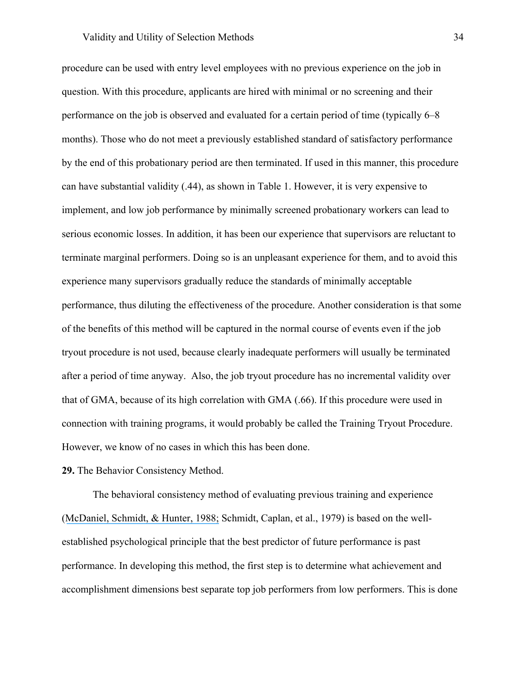# Validity and Utility of Selection Methods 34

procedure can be used with entry level employees with no previous experience on the job in question. With this procedure, applicants are hired with minimal or no screening and their performance on the job is observed and evaluated for a certain period of time (typically 6–8 months). Those who do not meet a previously established standard of satisfactory performance by the end of this probationary period are then terminated. If used in this manner, this procedure can have substantial validity (.44), as shown in Table 1. However, it is very expensive to implement, and low job performance by minimally screened probationary workers can lead to serious economic losses. In addition, it has been our experience that supervisors are reluctant to terminate marginal performers. Doing so is an unpleasant experience for them, and to avoid this experience many supervisors gradually reduce the standards of minimally acceptable performance, thus diluting the effectiveness of the procedure. Another consideration is that some of the benefits of this method will be captured in the normal course of events even if the job tryout procedure is not used, because clearly inadequate performers will usually be terminated after a period of time anyway. Also, the job tryout procedure has no incremental validity over that of GMA, because of its high correlation with GMA (.66). If this procedure were used in connection with training programs, it would probably be called the Training Tryout Procedure. However, we know of no cases in which this has been done.

# **29.** The Behavior Consistency Method.

The behavioral consistency method of evaluating previous training and experience ([McDaniel, Schmidt, & Hunter, 1988;](https://www.researchgate.net/publication/227877347_A_Meta-analysis_of_the_Validity_of_Training_and_Experience_Ratings_in_Personnel_Selection?el=1_x_8&enrichId=rgreq-ac03d29ee90470b28e65c5b16b199479-XXX&enrichSource=Y292ZXJQYWdlOzMwOTIwMzg5ODtBUzo0MTgyNTE3OTMyODkyMThAMTQ3NjczMDQwNjU0Mw==) Schmidt, Caplan, et al., 1979) is based on the wellestablished psychological principle that the best predictor of future performance is past performance. In developing this method, the first step is to determine what achievement and accomplishment dimensions best separate top job performers from low performers. This is done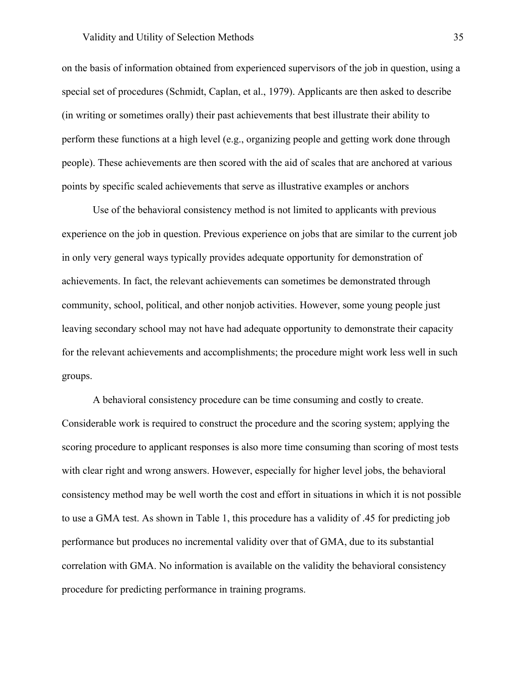#### Validity and Utility of Selection Methods 35

on the basis of information obtained from experienced supervisors of the job in question, using a special set of procedures (Schmidt, Caplan, et al., 1979). Applicants are then asked to describe (in writing or sometimes orally) their past achievements that best illustrate their ability to perform these functions at a high level (e.g., organizing people and getting work done through people). These achievements are then scored with the aid of scales that are anchored at various points by specific scaled achievements that serve as illustrative examples or anchors

Use of the behavioral consistency method is not limited to applicants with previous experience on the job in question. Previous experience on jobs that are similar to the current job in only very general ways typically provides adequate opportunity for demonstration of achievements. In fact, the relevant achievements can sometimes be demonstrated through community, school, political, and other nonjob activities. However, some young people just leaving secondary school may not have had adequate opportunity to demonstrate their capacity for the relevant achievements and accomplishments; the procedure might work less well in such groups.

A behavioral consistency procedure can be time consuming and costly to create. Considerable work is required to construct the procedure and the scoring system; applying the scoring procedure to applicant responses is also more time consuming than scoring of most tests with clear right and wrong answers. However, especially for higher level jobs, the behavioral consistency method may be well worth the cost and effort in situations in which it is not possible to use a GMA test. As shown in Table 1, this procedure has a validity of .45 for predicting job performance but produces no incremental validity over that of GMA, due to its substantial correlation with GMA. No information is available on the validity the behavioral consistency procedure for predicting performance in training programs.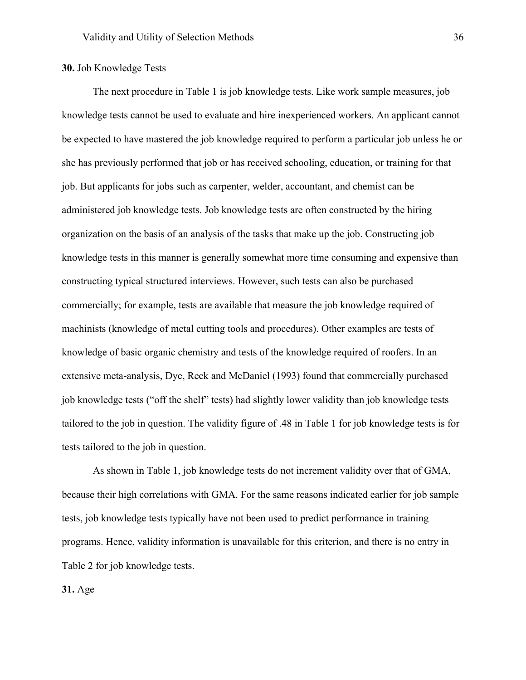# **30.** Job Knowledge Tests

The next procedure in Table 1 is job knowledge tests. Like work sample measures, job knowledge tests cannot be used to evaluate and hire inexperienced workers. An applicant cannot be expected to have mastered the job knowledge required to perform a particular job unless he or she has previously performed that job or has received schooling, education, or training for that job. But applicants for jobs such as carpenter, welder, accountant, and chemist can be administered job knowledge tests. Job knowledge tests are often constructed by the hiring organization on the basis of an analysis of the tasks that make up the job. Constructing job knowledge tests in this manner is generally somewhat more time consuming and expensive than constructing typical structured interviews. However, such tests can also be purchased commercially; for example, tests are available that measure the job knowledge required of machinists (knowledge of metal cutting tools and procedures). Other examples are tests of knowledge of basic organic chemistry and tests of the knowledge required of roofers. In an extensive meta-analysis, Dye, Reck and McDaniel (1993) found that commercially purchased job knowledge tests ("off the shelf" tests) had slightly lower validity than job knowledge tests tailored to the job in question. The validity figure of .48 in Table 1 for job knowledge tests is for tests tailored to the job in question.

As shown in Table 1, job knowledge tests do not increment validity over that of GMA, because their high correlations with GMA. For the same reasons indicated earlier for job sample tests, job knowledge tests typically have not been used to predict performance in training programs. Hence, validity information is unavailable for this criterion, and there is no entry in Table 2 for job knowledge tests.

#### **31.** Age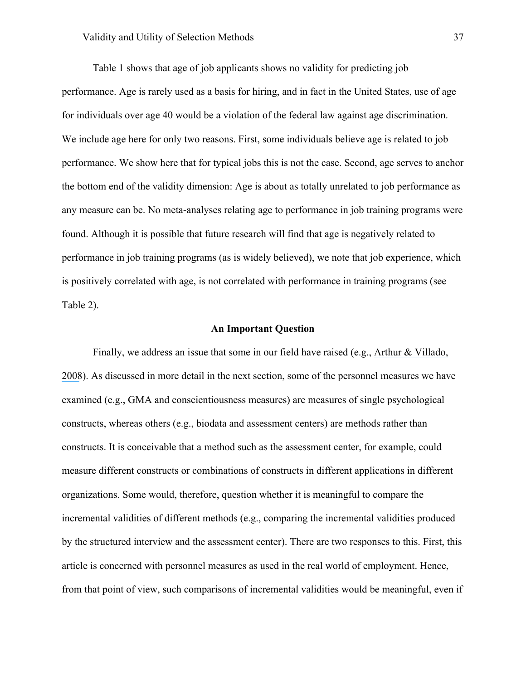Table 1 shows that age of job applicants shows no validity for predicting job performance. Age is rarely used as a basis for hiring, and in fact in the United States, use of age for individuals over age 40 would be a violation of the federal law against age discrimination. We include age here for only two reasons. First, some individuals believe age is related to job performance. We show here that for typical jobs this is not the case. Second, age serves to anchor the bottom end of the validity dimension: Age is about as totally unrelated to job performance as any measure can be. No meta-analyses relating age to performance in job training programs were found. Although it is possible that future research will find that age is negatively related to performance in job training programs (as is widely believed), we note that job experience, which is positively correlated with age, is not correlated with performance in training programs (see Table 2).

### **An Important Question**

Finally, we address an issue that some in our field have raised (e.g., [Arthur & Villado,](https://www.researchgate.net/publication/null?el=1_x_8&enrichId=rgreq-ac03d29ee90470b28e65c5b16b199479-XXX&enrichSource=Y292ZXJQYWdlOzMwOTIwMzg5ODtBUzo0MTgyNTE3OTMyODkyMThAMTQ3NjczMDQwNjU0Mw==)  [2008](https://www.researchgate.net/publication/null?el=1_x_8&enrichId=rgreq-ac03d29ee90470b28e65c5b16b199479-XXX&enrichSource=Y292ZXJQYWdlOzMwOTIwMzg5ODtBUzo0MTgyNTE3OTMyODkyMThAMTQ3NjczMDQwNjU0Mw==)). As discussed in more detail in the next section, some of the personnel measures we have examined (e.g., GMA and conscientiousness measures) are measures of single psychological constructs, whereas others (e.g., biodata and assessment centers) are methods rather than constructs. It is conceivable that a method such as the assessment center, for example, could measure different constructs or combinations of constructs in different applications in different organizations. Some would, therefore, question whether it is meaningful to compare the incremental validities of different methods (e.g., comparing the incremental validities produced by the structured interview and the assessment center). There are two responses to this. First, this article is concerned with personnel measures as used in the real world of employment. Hence, from that point of view, such comparisons of incremental validities would be meaningful, even if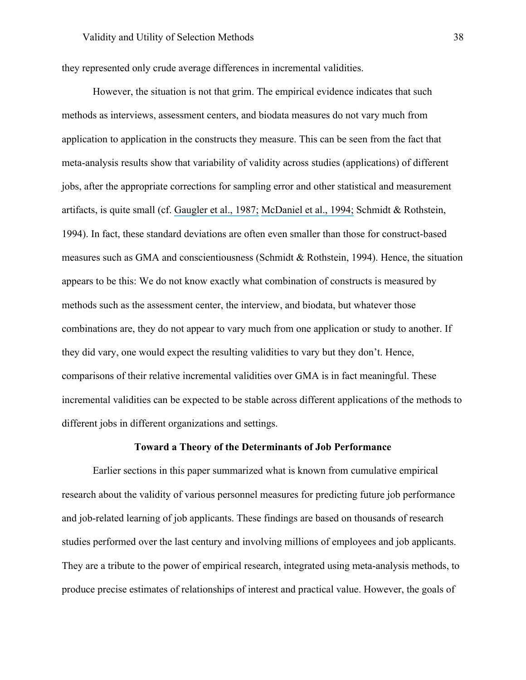they represented only crude average differences in incremental validities.

However, the situation is not that grim. The empirical evidence indicates that such methods as interviews, assessment centers, and biodata measures do not vary much from application to application in the constructs they measure. This can be seen from the fact that meta-analysis results show that variability of validity across studies (applications) of different jobs, after the appropriate corrections for sampling error and other statistical and measurement artifacts, is quite small (cf. [Gaugler et al., 1987;](https://www.researchgate.net/publication/232599285_Meta-Analysis_of_Assessment_Center_Validity?el=1_x_8&enrichId=rgreq-ac03d29ee90470b28e65c5b16b199479-XXX&enrichSource=Y292ZXJQYWdlOzMwOTIwMzg5ODtBUzo0MTgyNTE3OTMyODkyMThAMTQ3NjczMDQwNjU0Mw==) [McDaniel et al., 1994;](https://www.researchgate.net/publication/280799263_The_Validity_of_Employment_Interviews_A_Comprehensive_Review_and_Meta-Analysis?el=1_x_8&enrichId=rgreq-ac03d29ee90470b28e65c5b16b199479-XXX&enrichSource=Y292ZXJQYWdlOzMwOTIwMzg5ODtBUzo0MTgyNTE3OTMyODkyMThAMTQ3NjczMDQwNjU0Mw==) Schmidt & Rothstein, 1994). In fact, these standard deviations are often even smaller than those for construct-based measures such as GMA and conscientiousness (Schmidt & Rothstein, 1994). Hence, the situation appears to be this: We do not know exactly what combination of constructs is measured by methods such as the assessment center, the interview, and biodata, but whatever those combinations are, they do not appear to vary much from one application or study to another. If they did vary, one would expect the resulting validities to vary but they don't. Hence, comparisons of their relative incremental validities over GMA is in fact meaningful. These incremental validities can be expected to be stable across different applications of the methods to different jobs in different organizations and settings.

### **Toward a Theory of the Determinants of Job Performance**

Earlier sections in this paper summarized what is known from cumulative empirical research about the validity of various personnel measures for predicting future job performance and job-related learning of job applicants. These findings are based on thousands of research studies performed over the last century and involving millions of employees and job applicants. They are a tribute to the power of empirical research, integrated using meta-analysis methods, to produce precise estimates of relationships of interest and practical value. However, the goals of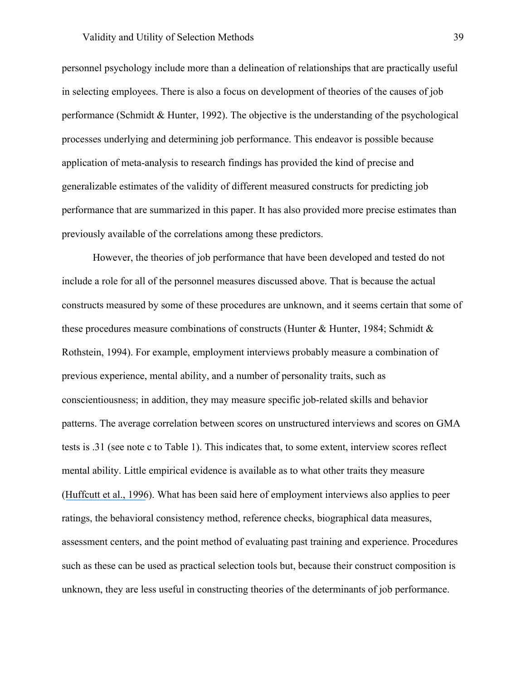personnel psychology include more than a delineation of relationships that are practically useful in selecting employees. There is also a focus on development of theories of the causes of job performance (Schmidt & Hunter, 1992). The objective is the understanding of the psychological processes underlying and determining job performance. This endeavor is possible because application of meta-analysis to research findings has provided the kind of precise and generalizable estimates of the validity of different measured constructs for predicting job performance that are summarized in this paper. It has also provided more precise estimates than previously available of the correlations among these predictors.

However, the theories of job performance that have been developed and tested do not include a role for all of the personnel measures discussed above. That is because the actual constructs measured by some of these procedures are unknown, and it seems certain that some of these procedures measure combinations of constructs (Hunter & Hunter, 1984; Schmidt  $\&$ Rothstein, 1994). For example, employment interviews probably measure a combination of previous experience, mental ability, and a number of personality traits, such as conscientiousness; in addition, they may measure specific job-related skills and behavior patterns. The average correlation between scores on unstructured interviews and scores on GMA tests is .31 (see note c to Table 1). This indicates that, to some extent, interview scores reflect mental ability. Little empirical evidence is available as to what other traits they measure ([Huffcutt et al.,](https://www.researchgate.net/publication/232572212_A_Meta-Analytic_Investigation_of_Cognitive_Ability_in_Employment_Interview_Evaluations_Moderating_Characteristics_and_Implications_for_Incremental_Validity?el=1_x_8&enrichId=rgreq-ac03d29ee90470b28e65c5b16b199479-XXX&enrichSource=Y292ZXJQYWdlOzMwOTIwMzg5ODtBUzo0MTgyNTE3OTMyODkyMThAMTQ3NjczMDQwNjU0Mw==) 1996). What has been said here of employment interviews also applies to peer ratings, the behavioral consistency method, reference checks, biographical data measures, assessment centers, and the point method of evaluating past training and experience. Procedures such as these can be used as practical selection tools but, because their construct composition is unknown, they are less useful in constructing theories of the determinants of job performance.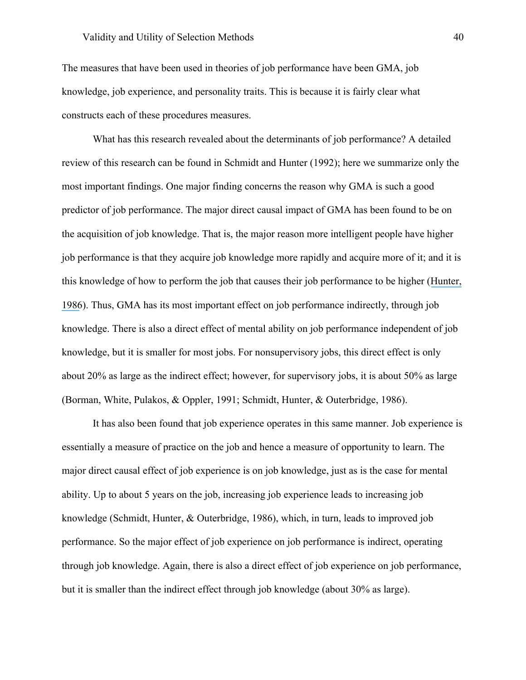The measures that have been used in theories of job performance have been GMA, job knowledge, job experience, and personality traits. This is because it is fairly clear what constructs each of these procedures measures.

What has this research revealed about the determinants of job performance? A detailed review of this research can be found in Schmidt and Hunter (1992); here we summarize only the most important findings. One major finding concerns the reason why GMA is such a good predictor of job performance. The major direct causal impact of GMA has been found to be on the acquisition of job knowledge. That is, the major reason more intelligent people have higher job performance is that they acquire job knowledge more rapidly and acquire more of it; and it is this knowledge of how to perform the job that causes their job performance to be higher ([Hunter,](https://www.researchgate.net/publication/222275094_Cognitive_Ability_Cognitive_Aptitudes_Job_Knowledge_and_Job_Performance?el=1_x_8&enrichId=rgreq-ac03d29ee90470b28e65c5b16b199479-XXX&enrichSource=Y292ZXJQYWdlOzMwOTIwMzg5ODtBUzo0MTgyNTE3OTMyODkyMThAMTQ3NjczMDQwNjU0Mw==)  [1986](https://www.researchgate.net/publication/222275094_Cognitive_Ability_Cognitive_Aptitudes_Job_Knowledge_and_Job_Performance?el=1_x_8&enrichId=rgreq-ac03d29ee90470b28e65c5b16b199479-XXX&enrichSource=Y292ZXJQYWdlOzMwOTIwMzg5ODtBUzo0MTgyNTE3OTMyODkyMThAMTQ3NjczMDQwNjU0Mw==)). Thus, GMA has its most important effect on job performance indirectly, through job knowledge. There is also a direct effect of mental ability on job performance independent of job knowledge, but it is smaller for most jobs. For nonsupervisory jobs, this direct effect is only about 20% as large as the indirect effect; however, for supervisory jobs, it is about 50% as large (Borman, White, Pulakos, & Oppler, 1991; Schmidt, Hunter, & Outerbridge, 1986).

It has also been found that job experience operates in this same manner. Job experience is essentially a measure of practice on the job and hence a measure of opportunity to learn. The major direct causal effect of job experience is on job knowledge, just as is the case for mental ability. Up to about 5 years on the job, increasing job experience leads to increasing job knowledge (Schmidt, Hunter, & Outerbridge, 1986), which, in turn, leads to improved job performance. So the major effect of job experience on job performance is indirect, operating through job knowledge. Again, there is also a direct effect of job experience on job performance, but it is smaller than the indirect effect through job knowledge (about 30% as large).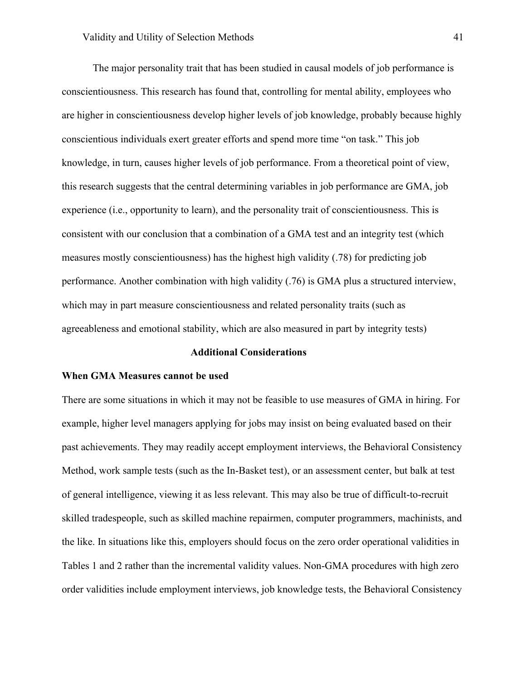The major personality trait that has been studied in causal models of job performance is conscientiousness. This research has found that, controlling for mental ability, employees who are higher in conscientiousness develop higher levels of job knowledge, probably because highly conscientious individuals exert greater efforts and spend more time "on task." This job knowledge, in turn, causes higher levels of job performance. From a theoretical point of view, this research suggests that the central determining variables in job performance are GMA, job experience (i.e., opportunity to learn), and the personality trait of conscientiousness. This is consistent with our conclusion that a combination of a GMA test and an integrity test (which measures mostly conscientiousness) has the highest high validity (.78) for predicting job performance. Another combination with high validity (.76) is GMA plus a structured interview, which may in part measure conscientiousness and related personality traits (such as agreeableness and emotional stability, which are also measured in part by integrity tests)

### **Additional Considerations**

### **When GMA Measures cannot be used**

There are some situations in which it may not be feasible to use measures of GMA in hiring. For example, higher level managers applying for jobs may insist on being evaluated based on their past achievements. They may readily accept employment interviews, the Behavioral Consistency Method, work sample tests (such as the In-Basket test), or an assessment center, but balk at test of general intelligence, viewing it as less relevant. This may also be true of difficult-to-recruit skilled tradespeople, such as skilled machine repairmen, computer programmers, machinists, and the like. In situations like this, employers should focus on the zero order operational validities in Tables 1 and 2 rather than the incremental validity values. Non-GMA procedures with high zero order validities include employment interviews, job knowledge tests, the Behavioral Consistency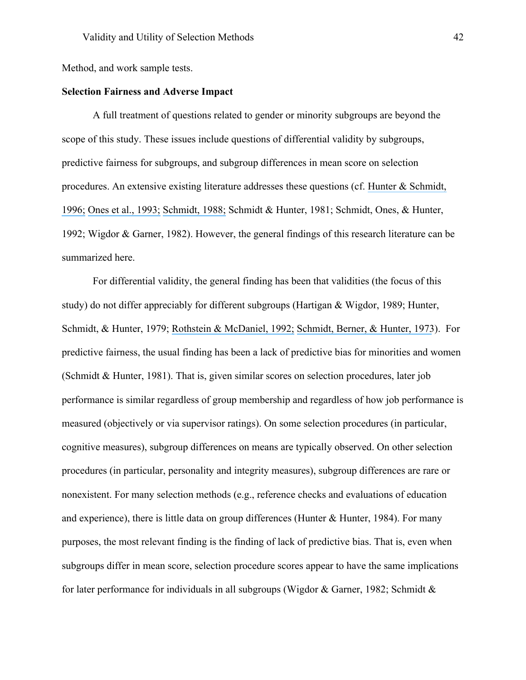Method, and work sample tests.

# **Selection Fairness and Adverse Impact**

A full treatment of questions related to gender or minority subgroups are beyond the scope of this study. These issues include questions of differential validity by subgroups, predictive fairness for subgroups, and subgroup differences in mean score on selection procedures. An extensive existing literature addresses these questions (cf. [Hunter & Schmidt,](https://www.researchgate.net/publication/297380615_Intelligence_and_job_performance_Economic_and_social_implications?el=1_x_8&enrichId=rgreq-ac03d29ee90470b28e65c5b16b199479-XXX&enrichSource=Y292ZXJQYWdlOzMwOTIwMzg5ODtBUzo0MTgyNTE3OTMyODkyMThAMTQ3NjczMDQwNjU0Mw==)  [1996;](https://www.researchgate.net/publication/297380615_Intelligence_and_job_performance_Economic_and_social_implications?el=1_x_8&enrichId=rgreq-ac03d29ee90470b28e65c5b16b199479-XXX&enrichSource=Y292ZXJQYWdlOzMwOTIwMzg5ODtBUzo0MTgyNTE3OTMyODkyMThAMTQ3NjczMDQwNjU0Mw==) [Ones et al., 1993;](https://www.researchgate.net/publication/232585195_Comprehensive_Meta-Analysis_of_Integrity_Test_Validities_Findings_and_Implications_for_Personnel_Selection_and_Theories_of_Job_Performance?el=1_x_8&enrichId=rgreq-ac03d29ee90470b28e65c5b16b199479-XXX&enrichSource=Y292ZXJQYWdlOzMwOTIwMzg5ODtBUzo0MTgyNTE3OTMyODkyMThAMTQ3NjczMDQwNjU0Mw==) [Schmidt, 1988;](https://www.researchgate.net/publication/223733812_The_problem_of_group_differences_in_ability_scores_in_employment_selection?el=1_x_8&enrichId=rgreq-ac03d29ee90470b28e65c5b16b199479-XXX&enrichSource=Y292ZXJQYWdlOzMwOTIwMzg5ODtBUzo0MTgyNTE3OTMyODkyMThAMTQ3NjczMDQwNjU0Mw==) Schmidt & Hunter, 1981; Schmidt, Ones, & Hunter, 1992; Wigdor & Garner, 1982). However, the general findings of this research literature can be summarized here.

For differential validity, the general finding has been that validities (the focus of this study) do not differ appreciably for different subgroups (Hartigan & Wigdor, 1989; Hunter, Schmidt, & Hunter, 1979; [Rothstein & McDaniel, 1992;](https://www.researchgate.net/publication/226738937_Differential_validity_by_sex_in_employment_settings?el=1_x_8&enrichId=rgreq-ac03d29ee90470b28e65c5b16b199479-XXX&enrichSource=Y292ZXJQYWdlOzMwOTIwMzg5ODtBUzo0MTgyNTE3OTMyODkyMThAMTQ3NjczMDQwNjU0Mw==) [Schmidt, Berner, & Hunter, 1973](https://www.researchgate.net/publication/232455505_Racial_Difference_in_Validity_of_Employment_Tests_Reality_or_Illusion?el=1_x_8&enrichId=rgreq-ac03d29ee90470b28e65c5b16b199479-XXX&enrichSource=Y292ZXJQYWdlOzMwOTIwMzg5ODtBUzo0MTgyNTE3OTMyODkyMThAMTQ3NjczMDQwNjU0Mw==)). For predictive fairness, the usual finding has been a lack of predictive bias for minorities and women (Schmidt & Hunter, 1981). That is, given similar scores on selection procedures, later job performance is similar regardless of group membership and regardless of how job performance is measured (objectively or via supervisor ratings). On some selection procedures (in particular, cognitive measures), subgroup differences on means are typically observed. On other selection procedures (in particular, personality and integrity measures), subgroup differences are rare or nonexistent. For many selection methods (e.g., reference checks and evaluations of education and experience), there is little data on group differences (Hunter  $\&$  Hunter, 1984). For many purposes, the most relevant finding is the finding of lack of predictive bias. That is, even when subgroups differ in mean score, selection procedure scores appear to have the same implications for later performance for individuals in all subgroups (Wigdor & Garner, 1982; Schmidt &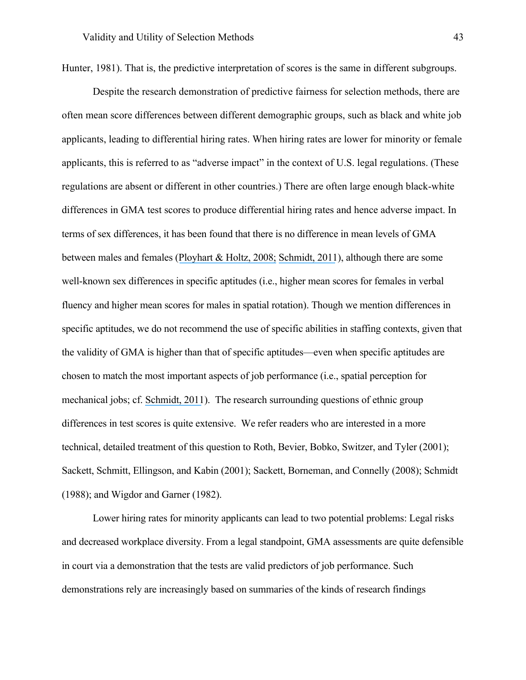Hunter, 1981). That is, the predictive interpretation of scores is the same in different subgroups.

Despite the research demonstration of predictive fairness for selection methods, there are often mean score differences between different demographic groups, such as black and white job applicants, leading to differential hiring rates. When hiring rates are lower for minority or female applicants, this is referred to as "adverse impact" in the context of U.S. legal regulations. (These regulations are absent or different in other countries.) There are often large enough black-white differences in GMA test scores to produce differential hiring rates and hence adverse impact. In terms of sex differences, it has been found that there is no difference in mean levels of GMA between males and females ([Ployhart & Holtz, 2008;](https://www.researchgate.net/publication/229457197_The_diversity-validity_dilemma_Strategies_for_reducing_racioethnic_and_sex_subgroup_differences_and_adverse_impact_in_selection?el=1_x_8&enrichId=rgreq-ac03d29ee90470b28e65c5b16b199479-XXX&enrichSource=Y292ZXJQYWdlOzMwOTIwMzg5ODtBUzo0MTgyNTE3OTMyODkyMThAMTQ3NjczMDQwNjU0Mw==) [Schmidt, 2011](https://www.researchgate.net/publication/258180119_A_Theory_of_Sex_Differences_in_Technical_Aptitude_and_Some_Supporting_Evidence?el=1_x_8&enrichId=rgreq-ac03d29ee90470b28e65c5b16b199479-XXX&enrichSource=Y292ZXJQYWdlOzMwOTIwMzg5ODtBUzo0MTgyNTE3OTMyODkyMThAMTQ3NjczMDQwNjU0Mw==)), although there are some well-known sex differences in specific aptitudes (i.e., higher mean scores for females in verbal fluency and higher mean scores for males in spatial rotation). Though we mention differences in specific aptitudes, we do not recommend the use of specific abilities in staffing contexts, given that the validity of GMA is higher than that of specific aptitudes—even when specific aptitudes are chosen to match the most important aspects of job performance (i.e., spatial perception for mechanical jobs; cf. [Schmidt, 2011](https://www.researchgate.net/publication/258180119_A_Theory_of_Sex_Differences_in_Technical_Aptitude_and_Some_Supporting_Evidence?el=1_x_8&enrichId=rgreq-ac03d29ee90470b28e65c5b16b199479-XXX&enrichSource=Y292ZXJQYWdlOzMwOTIwMzg5ODtBUzo0MTgyNTE3OTMyODkyMThAMTQ3NjczMDQwNjU0Mw==)). The research surrounding questions of ethnic group differences in test scores is quite extensive. We refer readers who are interested in a more technical, detailed treatment of this question to Roth, Bevier, Bobko, Switzer, and Tyler (2001); Sackett, Schmitt, Ellingson, and Kabin (2001); Sackett, Borneman, and Connelly (2008); Schmidt (1988); and Wigdor and Garner (1982).

Lower hiring rates for minority applicants can lead to two potential problems: Legal risks and decreased workplace diversity. From a legal standpoint, GMA assessments are quite defensible in court via a demonstration that the tests are valid predictors of job performance. Such demonstrations rely are increasingly based on summaries of the kinds of research findings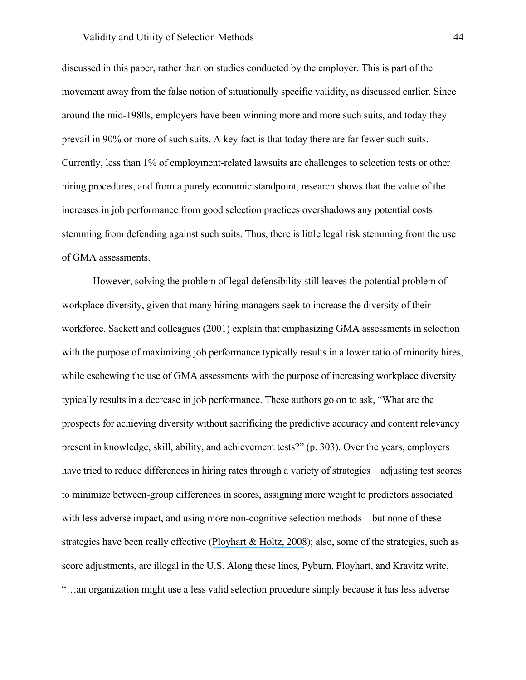### Validity and Utility of Selection Methods 44

discussed in this paper, rather than on studies conducted by the employer. This is part of the movement away from the false notion of situationally specific validity, as discussed earlier. Since around the mid-1980s, employers have been winning more and more such suits, and today they prevail in 90% or more of such suits. A key fact is that today there are far fewer such suits. Currently, less than 1% of employment-related lawsuits are challenges to selection tests or other hiring procedures, and from a purely economic standpoint, research shows that the value of the increases in job performance from good selection practices overshadows any potential costs stemming from defending against such suits. Thus, there is little legal risk stemming from the use of GMA assessments.

However, solving the problem of legal defensibility still leaves the potential problem of workplace diversity, given that many hiring managers seek to increase the diversity of their workforce. Sackett and colleagues (2001) explain that emphasizing GMA assessments in selection with the purpose of maximizing job performance typically results in a lower ratio of minority hires, while eschewing the use of GMA assessments with the purpose of increasing workplace diversity typically results in a decrease in job performance. These authors go on to ask, "What are the prospects for achieving diversity without sacrificing the predictive accuracy and content relevancy present in knowledge, skill, ability, and achievement tests?" (p. 303). Over the years, employers have tried to reduce differences in hiring rates through a variety of strategies—adjusting test scores to minimize between-group differences in scores, assigning more weight to predictors associated with less adverse impact, and using more non-cognitive selection methods—but none of these strategies have been really effective ([Ployhart & Holtz, 2008](https://www.researchgate.net/publication/229457197_The_diversity-validity_dilemma_Strategies_for_reducing_racioethnic_and_sex_subgroup_differences_and_adverse_impact_in_selection?el=1_x_8&enrichId=rgreq-ac03d29ee90470b28e65c5b16b199479-XXX&enrichSource=Y292ZXJQYWdlOzMwOTIwMzg5ODtBUzo0MTgyNTE3OTMyODkyMThAMTQ3NjczMDQwNjU0Mw==)); also, some of the strategies, such as score adjustments, are illegal in the U.S. Along these lines, Pyburn, Ployhart, and Kravitz write, "…an organization might use a less valid selection procedure simply because it has less adverse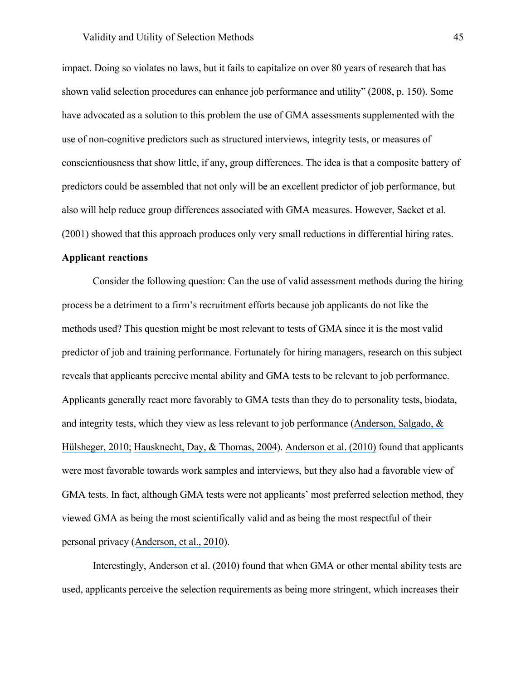impact. Doing so violates no laws, but it fails to capitalize on over 80 years of research that has shown valid selection procedures can enhance job performance and utility" (2008, p. 150). Some have advocated as a solution to this problem the use of GMA assessments supplemented with the use of non-cognitive predictors such as structured interviews, integrity tests, or measures of conscientiousness that show little, if any, group differences. The idea is that a composite battery of predictors could be assembled that not only will be an excellent predictor of job performance, but also will help reduce group differences associated with GMA measures. However, Sacket et al. (2001) showed that this approach produces only very small reductions in differential hiring rates.

# **Applicant reactions**

Consider the following question: Can the use of valid assessment methods during the hiring process be a detriment to a firm's recruitment efforts because job applicants do not like the methods used? This question might be most relevant to tests of GMA since it is the most valid predictor of job and training performance. Fortunately for hiring managers, research on this subject reveals that applicants perceive mental ability and GMA tests to be relevant to job performance. Applicants generally react more favorably to GMA tests than they do to personality tests, biodata, and integrity tests, which they view as less relevant to job performance ([Anderson, Salgado, &](https://www.researchgate.net/publication/228253968_Applicant_Reactions_in_Selection_Comprehensive_Meta-Analysis_into_Reaction_Generalization_Versus_Situational_Specificity?el=1_x_8&enrichId=rgreq-ac03d29ee90470b28e65c5b16b199479-XXX&enrichSource=Y292ZXJQYWdlOzMwOTIwMzg5ODtBUzo0MTgyNTE3OTMyODkyMThAMTQ3NjczMDQwNjU0Mw==)  [Hülsheger, 2010;](https://www.researchgate.net/publication/228253968_Applicant_Reactions_in_Selection_Comprehensive_Meta-Analysis_into_Reaction_Generalization_Versus_Situational_Specificity?el=1_x_8&enrichId=rgreq-ac03d29ee90470b28e65c5b16b199479-XXX&enrichSource=Y292ZXJQYWdlOzMwOTIwMzg5ODtBUzo0MTgyNTE3OTMyODkyMThAMTQ3NjczMDQwNjU0Mw==) [Hausknecht, Day, & Thomas, 2004](https://www.researchgate.net/publication/37150348_Applicant_Reactions_to_Selection_Procedures_An_Updated_Model_and_Meta-Analysis?el=1_x_8&enrichId=rgreq-ac03d29ee90470b28e65c5b16b199479-XXX&enrichSource=Y292ZXJQYWdlOzMwOTIwMzg5ODtBUzo0MTgyNTE3OTMyODkyMThAMTQ3NjczMDQwNjU0Mw==)). [Anderson et al. \(2010\)](https://www.researchgate.net/publication/228253968_Applicant_Reactions_in_Selection_Comprehensive_Meta-Analysis_into_Reaction_Generalization_Versus_Situational_Specificity?el=1_x_8&enrichId=rgreq-ac03d29ee90470b28e65c5b16b199479-XXX&enrichSource=Y292ZXJQYWdlOzMwOTIwMzg5ODtBUzo0MTgyNTE3OTMyODkyMThAMTQ3NjczMDQwNjU0Mw==) found that applicants were most favorable towards work samples and interviews, but they also had a favorable view of GMA tests. In fact, although GMA tests were not applicants' most preferred selection method, they viewed GMA as being the most scientifically valid and as being the most respectful of their personal privacy ([Anderson, et al., 2010](https://www.researchgate.net/publication/228253968_Applicant_Reactions_in_Selection_Comprehensive_Meta-Analysis_into_Reaction_Generalization_Versus_Situational_Specificity?el=1_x_8&enrichId=rgreq-ac03d29ee90470b28e65c5b16b199479-XXX&enrichSource=Y292ZXJQYWdlOzMwOTIwMzg5ODtBUzo0MTgyNTE3OTMyODkyMThAMTQ3NjczMDQwNjU0Mw==)).

Interestingly, Anderson et al. (2010) found that when GMA or other mental ability tests are used, applicants perceive the selection requirements as being more stringent, which increases their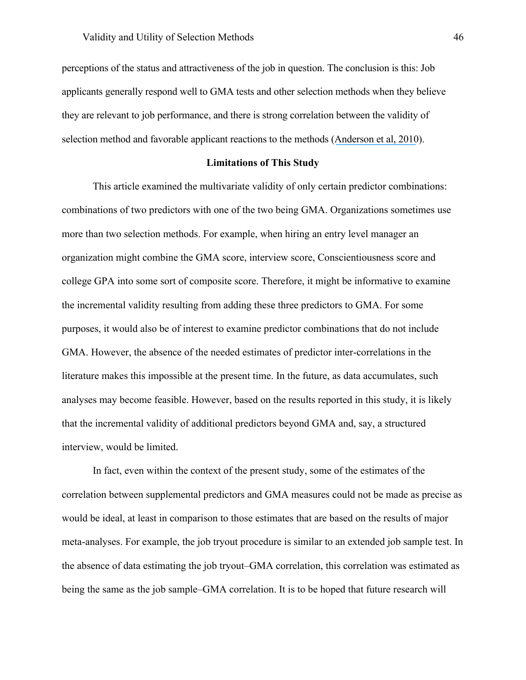perceptions of the status and attractiveness of the job in question. The conclusion is this: Job applicants generally respond well to GMA tests and other selection methods when they believe they are relevant to job performance, and there is strong correlation between the validity of selection method and favorable applicant reactions to the methods ([Anderson et al, 2010](https://www.researchgate.net/publication/228253968_Applicant_Reactions_in_Selection_Comprehensive_Meta-Analysis_into_Reaction_Generalization_Versus_Situational_Specificity?el=1_x_8&enrichId=rgreq-ac03d29ee90470b28e65c5b16b199479-XXX&enrichSource=Y292ZXJQYWdlOzMwOTIwMzg5ODtBUzo0MTgyNTE3OTMyODkyMThAMTQ3NjczMDQwNjU0Mw==)).

### **Limitations of This Study**

This article examined the multivariate validity of only certain predictor combinations: combinations of two predictors with one of the two being GMA. Organizations sometimes use more than two selection methods. For example, when hiring an entry level manager an organization might combine the GMA score, interview score, Conscientiousness score and college GPA into some sort of composite score. Therefore, it might be informative to examine the incremental validity resulting from adding these three predictors to GMA. For some purposes, it would also be of interest to examine predictor combinations that do not include GMA. However, the absence of the needed estimates of predictor inter-correlations in the literature makes this impossible at the present time. In the future, as data accumulates, such analyses may become feasible. However, based on the results reported in this study, it is likely that the incremental validity of additional predictors beyond GMA and, say, a structured interview, would be limited.

In fact, even within the context of the present study, some of the estimates of the correlation between supplemental predictors and GMA measures could not be made as precise as would be ideal, at least in comparison to those estimates that are based on the results of major meta-analyses. For example, the job tryout procedure is similar to an extended job sample test. In the absence of data estimating the job tryout–GMA correlation, this correlation was estimated as being the same as the job sample–GMA correlation. It is to be hoped that future research will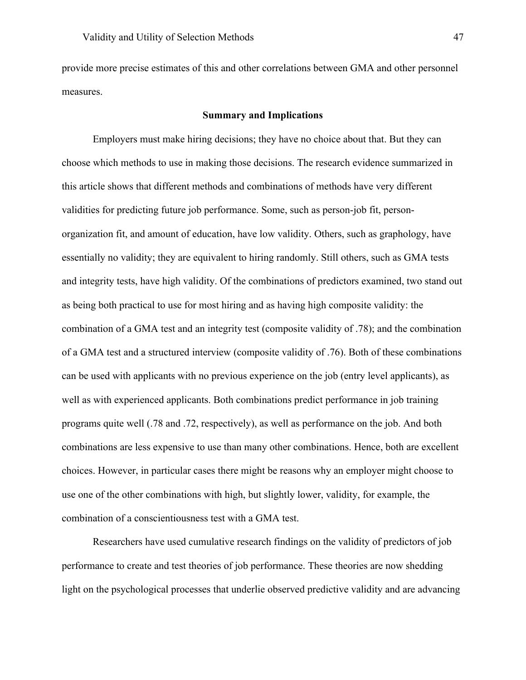provide more precise estimates of this and other correlations between GMA and other personnel measures.

## **Summary and Implications**

Employers must make hiring decisions; they have no choice about that. But they can choose which methods to use in making those decisions. The research evidence summarized in this article shows that different methods and combinations of methods have very different validities for predicting future job performance. Some, such as person-job fit, personorganization fit, and amount of education, have low validity. Others, such as graphology, have essentially no validity; they are equivalent to hiring randomly. Still others, such as GMA tests and integrity tests, have high validity. Of the combinations of predictors examined, two stand out as being both practical to use for most hiring and as having high composite validity: the combination of a GMA test and an integrity test (composite validity of .78); and the combination of a GMA test and a structured interview (composite validity of .76). Both of these combinations can be used with applicants with no previous experience on the job (entry level applicants), as well as with experienced applicants. Both combinations predict performance in job training programs quite well (.78 and .72, respectively), as well as performance on the job. And both combinations are less expensive to use than many other combinations. Hence, both are excellent choices. However, in particular cases there might be reasons why an employer might choose to use one of the other combinations with high, but slightly lower, validity, for example, the combination of a conscientiousness test with a GMA test.

Researchers have used cumulative research findings on the validity of predictors of job performance to create and test theories of job performance. These theories are now shedding light on the psychological processes that underlie observed predictive validity and are advancing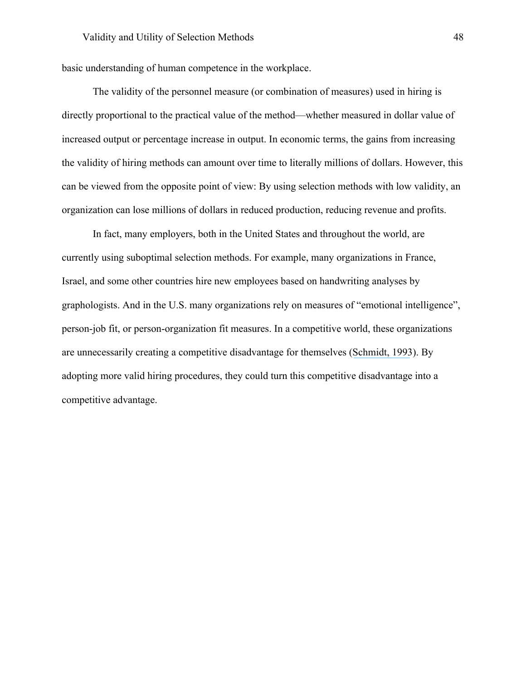basic understanding of human competence in the workplace.

The validity of the personnel measure (or combination of measures) used in hiring is directly proportional to the practical value of the method—whether measured in dollar value of increased output or percentage increase in output. In economic terms, the gains from increasing the validity of hiring methods can amount over time to literally millions of dollars. However, this can be viewed from the opposite point of view: By using selection methods with low validity, an organization can lose millions of dollars in reduced production, reducing revenue and profits.

In fact, many employers, both in the United States and throughout the world, are currently using suboptimal selection methods. For example, many organizations in France, Israel, and some other countries hire new employees based on handwriting analyses by graphologists. And in the U.S. many organizations rely on measures of "emotional intelligence", person-job fit, or person-organization fit measures. In a competitive world, these organizations are unnecessarily creating a competitive disadvantage for themselves ([Schmidt, 1993](https://www.researchgate.net/publication/248876366_Personnel_psychology_at_the_cutting_edge?el=1_x_8&enrichId=rgreq-ac03d29ee90470b28e65c5b16b199479-XXX&enrichSource=Y292ZXJQYWdlOzMwOTIwMzg5ODtBUzo0MTgyNTE3OTMyODkyMThAMTQ3NjczMDQwNjU0Mw==)). By adopting more valid hiring procedures, they could turn this competitive disadvantage into a competitive advantage.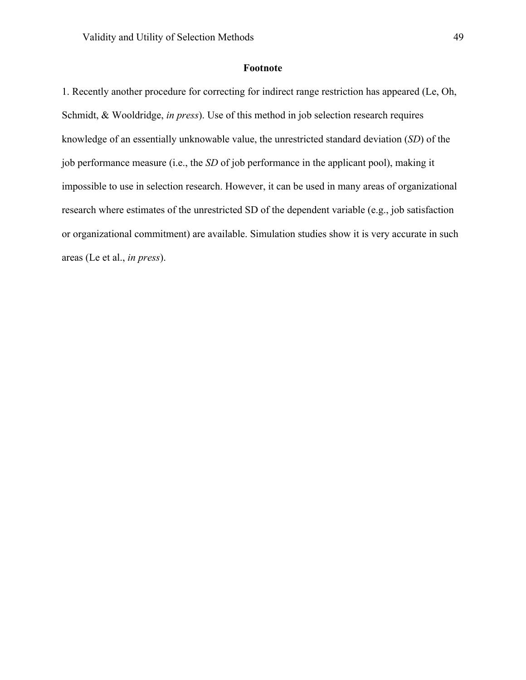# **Footnote**

1. Recently another procedure for correcting for indirect range restriction has appeared (Le, Oh, Schmidt, & Wooldridge, *in press*). Use of this method in job selection research requires knowledge of an essentially unknowable value, the unrestricted standard deviation (*SD*) of the job performance measure (i.e., the *SD* of job performance in the applicant pool), making it impossible to use in selection research. However, it can be used in many areas of organizational research where estimates of the unrestricted SD of the dependent variable (e.g., job satisfaction or organizational commitment) are available. Simulation studies show it is very accurate in such areas (Le et al., *in press*).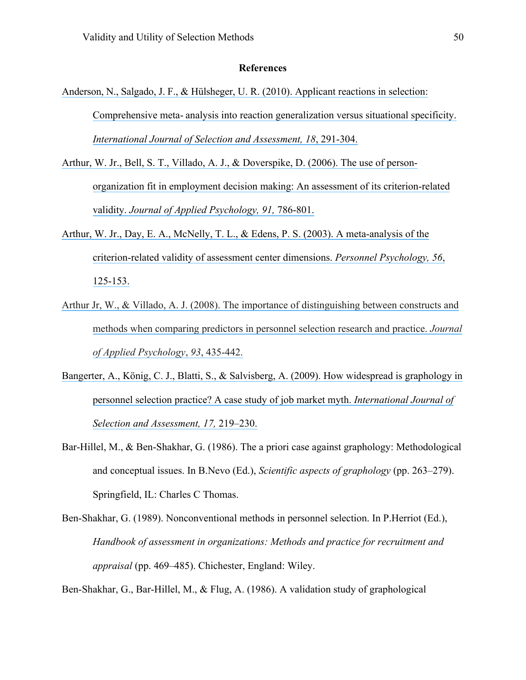### **References**

- [Anderson, N., Salgado, J. F., & Hülsheger, U. R. \(2010\). Applicant reactions in selection:](https://www.researchgate.net/publication/228253968_Applicant_Reactions_in_Selection_Comprehensive_Meta-Analysis_into_Reaction_Generalization_Versus_Situational_Specificity?el=1_x_8&enrichId=rgreq-ac03d29ee90470b28e65c5b16b199479-XXX&enrichSource=Y292ZXJQYWdlOzMwOTIwMzg5ODtBUzo0MTgyNTE3OTMyODkyMThAMTQ3NjczMDQwNjU0Mw==) Comprehensive meta- [analysis into reaction generalization versus situational specificity.](https://www.researchgate.net/publication/228253968_Applicant_Reactions_in_Selection_Comprehensive_Meta-Analysis_into_Reaction_Generalization_Versus_Situational_Specificity?el=1_x_8&enrichId=rgreq-ac03d29ee90470b28e65c5b16b199479-XXX&enrichSource=Y292ZXJQYWdlOzMwOTIwMzg5ODtBUzo0MTgyNTE3OTMyODkyMThAMTQ3NjczMDQwNjU0Mw==)  *[International Journal of Selection and Assessment, 18](https://www.researchgate.net/publication/228253968_Applicant_Reactions_in_Selection_Comprehensive_Meta-Analysis_into_Reaction_Generalization_Versus_Situational_Specificity?el=1_x_8&enrichId=rgreq-ac03d29ee90470b28e65c5b16b199479-XXX&enrichSource=Y292ZXJQYWdlOzMwOTIwMzg5ODtBUzo0MTgyNTE3OTMyODkyMThAMTQ3NjczMDQwNjU0Mw==)*, 291-304.
- [Arthur, W. Jr., Bell, S. T., Villado, A. J., &](https://www.researchgate.net/publication/6950114_The_Use_of_Person-Organization_Fit_in_Employment_Decision_Making_An_Assessment_of_its_Criterion-Related_Validity?el=1_x_8&enrichId=rgreq-ac03d29ee90470b28e65c5b16b199479-XXX&enrichSource=Y292ZXJQYWdlOzMwOTIwMzg5ODtBUzo0MTgyNTE3OTMyODkyMThAMTQ3NjczMDQwNjU0Mw==) Doverspike, D. (2006). The use of person[organization fit in employment decision making: An assessment of its criterion-related](https://www.researchgate.net/publication/6950114_The_Use_of_Person-Organization_Fit_in_Employment_Decision_Making_An_Assessment_of_its_Criterion-Related_Validity?el=1_x_8&enrichId=rgreq-ac03d29ee90470b28e65c5b16b199479-XXX&enrichSource=Y292ZXJQYWdlOzMwOTIwMzg5ODtBUzo0MTgyNTE3OTMyODkyMThAMTQ3NjczMDQwNjU0Mw==)  validity. *[Journal of Applied Psychology, 91,](https://www.researchgate.net/publication/6950114_The_Use_of_Person-Organization_Fit_in_Employment_Decision_Making_An_Assessment_of_its_Criterion-Related_Validity?el=1_x_8&enrichId=rgreq-ac03d29ee90470b28e65c5b16b199479-XXX&enrichSource=Y292ZXJQYWdlOzMwOTIwMzg5ODtBUzo0MTgyNTE3OTMyODkyMThAMTQ3NjczMDQwNjU0Mw==)* 786-801.
- Arthur, W. Jr., Day, E. A., McNelly, [T. L., & Edens, P. S. \(2003\). A meta-analysis of the](https://www.researchgate.net/publication/229866212_A_Meta-Analysis_of_the_Criterion-Related_Validity_of_Assessment_Center_Dimensions?el=1_x_8&enrichId=rgreq-ac03d29ee90470b28e65c5b16b199479-XXX&enrichSource=Y292ZXJQYWdlOzMwOTIwMzg5ODtBUzo0MTgyNTE3OTMyODkyMThAMTQ3NjczMDQwNjU0Mw==)  [criterion-related validity of assessment center dimensions.](https://www.researchgate.net/publication/229866212_A_Meta-Analysis_of_the_Criterion-Related_Validity_of_Assessment_Center_Dimensions?el=1_x_8&enrichId=rgreq-ac03d29ee90470b28e65c5b16b199479-XXX&enrichSource=Y292ZXJQYWdlOzMwOTIwMzg5ODtBUzo0MTgyNTE3OTMyODkyMThAMTQ3NjczMDQwNjU0Mw==) *Personnel Psychology, 56*, [125-153.](https://www.researchgate.net/publication/229866212_A_Meta-Analysis_of_the_Criterion-Related_Validity_of_Assessment_Center_Dimensions?el=1_x_8&enrichId=rgreq-ac03d29ee90470b28e65c5b16b199479-XXX&enrichSource=Y292ZXJQYWdlOzMwOTIwMzg5ODtBUzo0MTgyNTE3OTMyODkyMThAMTQ3NjczMDQwNjU0Mw==)
- [Arthur Jr, W., & Villado, A. J. \(2008\). The importance of distinguishing between constructs and](https://www.researchgate.net/publication/null?el=1_x_8&enrichId=rgreq-ac03d29ee90470b28e65c5b16b199479-XXX&enrichSource=Y292ZXJQYWdlOzMwOTIwMzg5ODtBUzo0MTgyNTE3OTMyODkyMThAMTQ3NjczMDQwNjU0Mw==) [methods when comparing predictors in personnel selection research and practice.](https://www.researchgate.net/publication/null?el=1_x_8&enrichId=rgreq-ac03d29ee90470b28e65c5b16b199479-XXX&enrichSource=Y292ZXJQYWdlOzMwOTIwMzg5ODtBUzo0MTgyNTE3OTMyODkyMThAMTQ3NjczMDQwNjU0Mw==) *Journal [of Applied Psychology](https://www.researchgate.net/publication/null?el=1_x_8&enrichId=rgreq-ac03d29ee90470b28e65c5b16b199479-XXX&enrichSource=Y292ZXJQYWdlOzMwOTIwMzg5ODtBUzo0MTgyNTE3OTMyODkyMThAMTQ3NjczMDQwNjU0Mw==)*, *93*, 435-442.
- [Bangerter, A., König, C. J., Blatti, S., & Salvisberg, A. \(2009\). How widespread is graphology in](https://www.researchgate.net/publication/49251194_How_Widespread_is_Graphology_in_Personnel_Selection_Practice_A_case_study_of_a_job_market_myth?el=1_x_8&enrichId=rgreq-ac03d29ee90470b28e65c5b16b199479-XXX&enrichSource=Y292ZXJQYWdlOzMwOTIwMzg5ODtBUzo0MTgyNTE3OTMyODkyMThAMTQ3NjczMDQwNjU0Mw==)  [personnel selection practice? A case study of job market myth.](https://www.researchgate.net/publication/49251194_How_Widespread_is_Graphology_in_Personnel_Selection_Practice_A_case_study_of_a_job_market_myth?el=1_x_8&enrichId=rgreq-ac03d29ee90470b28e65c5b16b199479-XXX&enrichSource=Y292ZXJQYWdlOzMwOTIwMzg5ODtBUzo0MTgyNTE3OTMyODkyMThAMTQ3NjczMDQwNjU0Mw==) *International Journal of [Selection and Assessment, 17,](https://www.researchgate.net/publication/49251194_How_Widespread_is_Graphology_in_Personnel_Selection_Practice_A_case_study_of_a_job_market_myth?el=1_x_8&enrichId=rgreq-ac03d29ee90470b28e65c5b16b199479-XXX&enrichSource=Y292ZXJQYWdlOzMwOTIwMzg5ODtBUzo0MTgyNTE3OTMyODkyMThAMTQ3NjczMDQwNjU0Mw==)* 219–230.
- Bar-Hillel, M., & Ben-Shakhar, G. (1986). The a priori case against graphology: Methodological and conceptual issues. In B.Nevo (Ed.), *Scientific aspects of graphology* (pp. 263–279). Springfield, IL: Charles C Thomas.
- Ben-Shakhar, G. (1989). Nonconventional methods in personnel selection. In P.Herriot (Ed.), *Handbook of assessment in organizations: Methods and practice for recruitment and appraisal* (pp. 469–485). Chichester, England: Wiley.

Ben-Shakhar, G., Bar-Hillel, M., & Flug, A. (1986). A validation study of graphological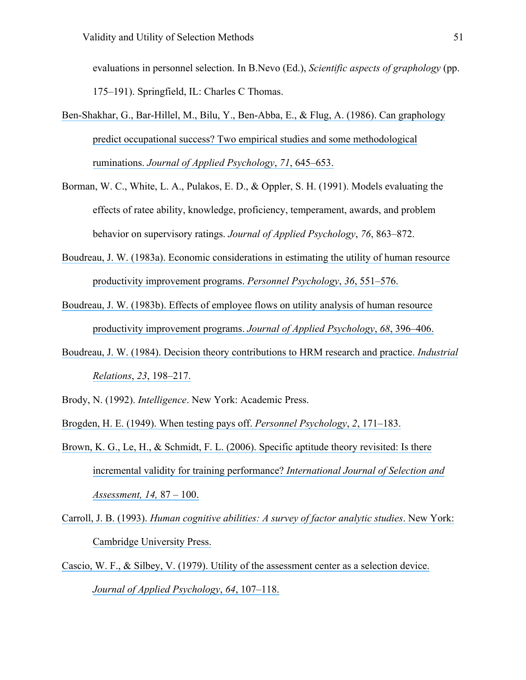evaluations in personnel selection. In B.Nevo (Ed.), *Scientific aspects of graphology* (pp. 175–191). Springfield, IL: Charles C Thomas.

- [Ben-Shakhar, G., Bar-Hillel, M., Bilu, Y., Ben-Abba, E., & Flug, A. \(1986\). Can graphology](https://www.researchgate.net/publication/232446129_Can_graphology_predict_occupational_success_Two_empirical_studies_and_some_theoretical_ruminations?el=1_x_8&enrichId=rgreq-ac03d29ee90470b28e65c5b16b199479-XXX&enrichSource=Y292ZXJQYWdlOzMwOTIwMzg5ODtBUzo0MTgyNTE3OTMyODkyMThAMTQ3NjczMDQwNjU0Mw==)  [predict occupational success? Two empirical studies and some methodological](https://www.researchgate.net/publication/232446129_Can_graphology_predict_occupational_success_Two_empirical_studies_and_some_theoretical_ruminations?el=1_x_8&enrichId=rgreq-ac03d29ee90470b28e65c5b16b199479-XXX&enrichSource=Y292ZXJQYWdlOzMwOTIwMzg5ODtBUzo0MTgyNTE3OTMyODkyMThAMTQ3NjczMDQwNjU0Mw==)  ruminations. *[Journal of Applied Psychology](https://www.researchgate.net/publication/232446129_Can_graphology_predict_occupational_success_Two_empirical_studies_and_some_theoretical_ruminations?el=1_x_8&enrichId=rgreq-ac03d29ee90470b28e65c5b16b199479-XXX&enrichSource=Y292ZXJQYWdlOzMwOTIwMzg5ODtBUzo0MTgyNTE3OTMyODkyMThAMTQ3NjczMDQwNjU0Mw==)*, *71*, 645–653.
- Borman, W. C., White, L. A., Pulakos, E. D., & Oppler, S. H. (1991). Models evaluating the effects of ratee ability, knowledge, proficiency, temperament, awards, and problem behavior on supervisory ratings. *Journal of Applied Psychology*, *76*, 863–872.
- [Boudreau, J. W. \(1983a\). Economic considerations in](https://www.researchgate.net/publication/227744860_Economic_Considerations_in_Estimating_the_Utility_of_Human_Resource_Productivity_Improvement_Programs?el=1_x_8&enrichId=rgreq-ac03d29ee90470b28e65c5b16b199479-XXX&enrichSource=Y292ZXJQYWdlOzMwOTIwMzg5ODtBUzo0MTgyNTE3OTMyODkyMThAMTQ3NjczMDQwNjU0Mw==) estimating the utility of human resource [productivity improvement programs.](https://www.researchgate.net/publication/227744860_Economic_Considerations_in_Estimating_the_Utility_of_Human_Resource_Productivity_Improvement_Programs?el=1_x_8&enrichId=rgreq-ac03d29ee90470b28e65c5b16b199479-XXX&enrichSource=Y292ZXJQYWdlOzMwOTIwMzg5ODtBUzo0MTgyNTE3OTMyODkyMThAMTQ3NjczMDQwNjU0Mw==) *Personnel Psychology*, *36*, 551–576.
- [Boudreau, J. W. \(1983b\). Effects of employee flows on](https://www.researchgate.net/publication/232445169_Effects_of_Employee_Flows_on_Utility_Analysis_of_Human_Resource_Productivity_Improvement_Programs?el=1_x_8&enrichId=rgreq-ac03d29ee90470b28e65c5b16b199479-XXX&enrichSource=Y292ZXJQYWdlOzMwOTIwMzg5ODtBUzo0MTgyNTE3OTMyODkyMThAMTQ3NjczMDQwNjU0Mw==) utility analysis of human resource [productivity improvement programs.](https://www.researchgate.net/publication/232445169_Effects_of_Employee_Flows_on_Utility_Analysis_of_Human_Resource_Productivity_Improvement_Programs?el=1_x_8&enrichId=rgreq-ac03d29ee90470b28e65c5b16b199479-XXX&enrichSource=Y292ZXJQYWdlOzMwOTIwMzg5ODtBUzo0MTgyNTE3OTMyODkyMThAMTQ3NjczMDQwNjU0Mw==) *Journal of Applied Psychology*, *68*, 396–406.
- [Boudreau, J. W. \(1984\). Decision theory contributions to HRM](https://www.researchgate.net/publication/230103834_Decision_Theory_Contributions_to_HRM_Research_and_Practice?el=1_x_8&enrichId=rgreq-ac03d29ee90470b28e65c5b16b199479-XXX&enrichSource=Y292ZXJQYWdlOzMwOTIwMzg5ODtBUzo0MTgyNTE3OTMyODkyMThAMTQ3NjczMDQwNjU0Mw==) research and practice. *Industrial Relations*, *23*[, 198–217.](https://www.researchgate.net/publication/230103834_Decision_Theory_Contributions_to_HRM_Research_and_Practice?el=1_x_8&enrichId=rgreq-ac03d29ee90470b28e65c5b16b199479-XXX&enrichSource=Y292ZXJQYWdlOzMwOTIwMzg5ODtBUzo0MTgyNTE3OTMyODkyMThAMTQ3NjczMDQwNjU0Mw==)
- Brody, N. (1992). *Intelligence*. New York: Academic Press.
- [Brogden, H. E. \(1949\). When testing pays off.](https://www.researchgate.net/publication/285658849_When_testing_pays_off?el=1_x_8&enrichId=rgreq-ac03d29ee90470b28e65c5b16b199479-XXX&enrichSource=Y292ZXJQYWdlOzMwOTIwMzg5ODtBUzo0MTgyNTE3OTMyODkyMThAMTQ3NjczMDQwNjU0Mw==) *Personnel Psychology*, *2*, 171–183.
- [Brown, K. G., Le, H., & Schmidt, F. L. \(2006\). Specific aptitude theory revisited: Is there](https://www.researchgate.net/publication/228254091_Specific_Aptitude_Theory_Revisited_Is_There_Incremental_Validity_for_Training_Performance?el=1_x_8&enrichId=rgreq-ac03d29ee90470b28e65c5b16b199479-XXX&enrichSource=Y292ZXJQYWdlOzMwOTIwMzg5ODtBUzo0MTgyNTE3OTMyODkyMThAMTQ3NjczMDQwNjU0Mw==)  [incremental validity for training performance?](https://www.researchgate.net/publication/228254091_Specific_Aptitude_Theory_Revisited_Is_There_Incremental_Validity_for_Training_Performance?el=1_x_8&enrichId=rgreq-ac03d29ee90470b28e65c5b16b199479-XXX&enrichSource=Y292ZXJQYWdlOzMwOTIwMzg5ODtBUzo0MTgyNTE3OTMyODkyMThAMTQ3NjczMDQwNjU0Mw==) *International Journal of Selection and [Assessment, 14,](https://www.researchgate.net/publication/228254091_Specific_Aptitude_Theory_Revisited_Is_There_Incremental_Validity_for_Training_Performance?el=1_x_8&enrichId=rgreq-ac03d29ee90470b28e65c5b16b199479-XXX&enrichSource=Y292ZXJQYWdlOzMwOTIwMzg5ODtBUzo0MTgyNTE3OTMyODkyMThAMTQ3NjczMDQwNjU0Mw==)* 87 – 100.
- Carroll, J. B. (1993). *[Human cognitive abilities: A survey of factor analytic studies](https://www.researchgate.net/publication/289963201_Human_cognitive_abilities_A_survey_of_factor-analytic_studies?el=1_x_8&enrichId=rgreq-ac03d29ee90470b28e65c5b16b199479-XXX&enrichSource=Y292ZXJQYWdlOzMwOTIwMzg5ODtBUzo0MTgyNTE3OTMyODkyMThAMTQ3NjczMDQwNjU0Mw==)*. New York: [Cambridge University Press.](https://www.researchgate.net/publication/289963201_Human_cognitive_abilities_A_survey_of_factor-analytic_studies?el=1_x_8&enrichId=rgreq-ac03d29ee90470b28e65c5b16b199479-XXX&enrichSource=Y292ZXJQYWdlOzMwOTIwMzg5ODtBUzo0MTgyNTE3OTMyODkyMThAMTQ3NjczMDQwNjU0Mw==)
- [Cascio, W. F., & Silbey, V. \(1979\). Utility of the assessment center as a selection device.](https://www.researchgate.net/publication/232503705_Utility_of_the_Assessment_Center_as_a_Selection_Device?el=1_x_8&enrichId=rgreq-ac03d29ee90470b28e65c5b16b199479-XXX&enrichSource=Y292ZXJQYWdlOzMwOTIwMzg5ODtBUzo0MTgyNTE3OTMyODkyMThAMTQ3NjczMDQwNjU0Mw==) *[Journal of Applied Psychology](https://www.researchgate.net/publication/232503705_Utility_of_the_Assessment_Center_as_a_Selection_Device?el=1_x_8&enrichId=rgreq-ac03d29ee90470b28e65c5b16b199479-XXX&enrichSource=Y292ZXJQYWdlOzMwOTIwMzg5ODtBUzo0MTgyNTE3OTMyODkyMThAMTQ3NjczMDQwNjU0Mw==)*, *64*, 107–118.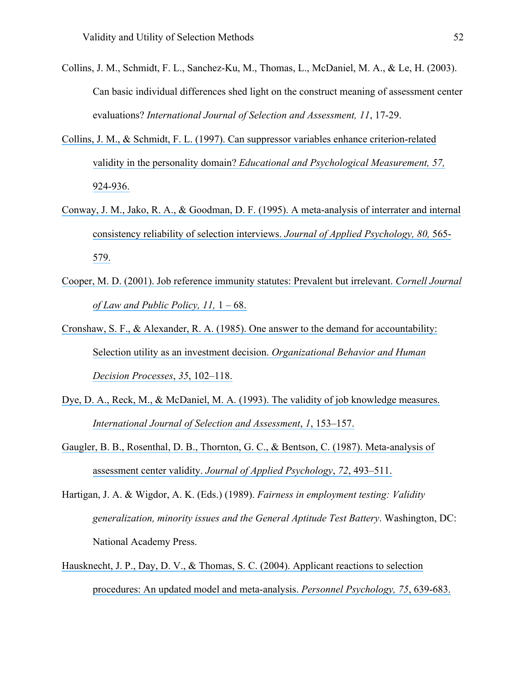- Collins, J. M., Schmidt, F. L., Sanchez-Ku, M., Thomas, L., McDaniel, M. A., & Le, H. (2003). Can basic individual differences shed light on the construct meaning of assessment center evaluations? *International Journal of Selection and Assessment, 11*, 17-29.
- Collins, J. M., & [Schmidt, F. L. \(1997\). Can suppressor variables enhance criterion-related](https://www.researchgate.net/publication/247728095_Can_Suppressor_Variables_Enhance_Criterion-Related_Validity_in_the_Personality_Domain?el=1_x_8&enrichId=rgreq-ac03d29ee90470b28e65c5b16b199479-XXX&enrichSource=Y292ZXJQYWdlOzMwOTIwMzg5ODtBUzo0MTgyNTE3OTMyODkyMThAMTQ3NjczMDQwNjU0Mw==)  validity in the personality domain? *[Educational and Psychological Measurement, 57,](https://www.researchgate.net/publication/247728095_Can_Suppressor_Variables_Enhance_Criterion-Related_Validity_in_the_Personality_Domain?el=1_x_8&enrichId=rgreq-ac03d29ee90470b28e65c5b16b199479-XXX&enrichSource=Y292ZXJQYWdlOzMwOTIwMzg5ODtBUzo0MTgyNTE3OTMyODkyMThAMTQ3NjczMDQwNjU0Mw==)*  [924-936.](https://www.researchgate.net/publication/247728095_Can_Suppressor_Variables_Enhance_Criterion-Related_Validity_in_the_Personality_Domain?el=1_x_8&enrichId=rgreq-ac03d29ee90470b28e65c5b16b199479-XXX&enrichSource=Y292ZXJQYWdlOzMwOTIwMzg5ODtBUzo0MTgyNTE3OTMyODkyMThAMTQ3NjczMDQwNjU0Mw==)
- Conway, J. M., Jako, R. A., & [Goodman, D. F. \(1995\). A meta-analysis of interrater and internal](https://www.researchgate.net/publication/232484641_A_Meta-Analysis_of_Interrater_and_Internal_Consistency_Reliability_of_Selection_Interviews?el=1_x_8&enrichId=rgreq-ac03d29ee90470b28e65c5b16b199479-XXX&enrichSource=Y292ZXJQYWdlOzMwOTIwMzg5ODtBUzo0MTgyNTE3OTMyODkyMThAMTQ3NjczMDQwNjU0Mw==)  [consistency reliability of selection interviews.](https://www.researchgate.net/publication/232484641_A_Meta-Analysis_of_Interrater_and_Internal_Consistency_Reliability_of_Selection_Interviews?el=1_x_8&enrichId=rgreq-ac03d29ee90470b28e65c5b16b199479-XXX&enrichSource=Y292ZXJQYWdlOzMwOTIwMzg5ODtBUzo0MTgyNTE3OTMyODkyMThAMTQ3NjczMDQwNjU0Mw==) *Journal of Applied Psychology, 80,* 565- [579.](https://www.researchgate.net/publication/232484641_A_Meta-Analysis_of_Interrater_and_Internal_Consistency_Reliability_of_Selection_Interviews?el=1_x_8&enrichId=rgreq-ac03d29ee90470b28e65c5b16b199479-XXX&enrichSource=Y292ZXJQYWdlOzMwOTIwMzg5ODtBUzo0MTgyNTE3OTMyODkyMThAMTQ3NjczMDQwNjU0Mw==)
- Cooper, M. D. (2001). Job reference [immunity statutes: Prevalent but irrelevant.](https://www.researchgate.net/publication/284907153_Job_reference_immunity_statutes_Prevalent_but_irrelevant?el=1_x_8&enrichId=rgreq-ac03d29ee90470b28e65c5b16b199479-XXX&enrichSource=Y292ZXJQYWdlOzMwOTIwMzg5ODtBUzo0MTgyNTE3OTMyODkyMThAMTQ3NjczMDQwNjU0Mw==) *Cornell Journal [of Law and Public Policy, 11,](https://www.researchgate.net/publication/284907153_Job_reference_immunity_statutes_Prevalent_but_irrelevant?el=1_x_8&enrichId=rgreq-ac03d29ee90470b28e65c5b16b199479-XXX&enrichSource=Y292ZXJQYWdlOzMwOTIwMzg5ODtBUzo0MTgyNTE3OTMyODkyMThAMTQ3NjczMDQwNjU0Mw==)* 1 – 68.
- [Cronshaw, S. F., & Alexander, R. A. \(1985\). One answer to the demand for accountability:](https://www.researchgate.net/publication/222009489_One_answer_to_the_demand_for_accountability_Selection_utility_as_an_investment_decision?el=1_x_8&enrichId=rgreq-ac03d29ee90470b28e65c5b16b199479-XXX&enrichSource=Y292ZXJQYWdlOzMwOTIwMzg5ODtBUzo0MTgyNTE3OTMyODkyMThAMTQ3NjczMDQwNjU0Mw==) [Selection utility as an investment decision.](https://www.researchgate.net/publication/222009489_One_answer_to_the_demand_for_accountability_Selection_utility_as_an_investment_decision?el=1_x_8&enrichId=rgreq-ac03d29ee90470b28e65c5b16b199479-XXX&enrichSource=Y292ZXJQYWdlOzMwOTIwMzg5ODtBUzo0MTgyNTE3OTMyODkyMThAMTQ3NjczMDQwNjU0Mw==) *Organizational Behavior and Human [Decision Processes](https://www.researchgate.net/publication/222009489_One_answer_to_the_demand_for_accountability_Selection_utility_as_an_investment_decision?el=1_x_8&enrichId=rgreq-ac03d29ee90470b28e65c5b16b199479-XXX&enrichSource=Y292ZXJQYWdlOzMwOTIwMzg5ODtBUzo0MTgyNTE3OTMyODkyMThAMTQ3NjczMDQwNjU0Mw==)*, *35*, 102–118.
- Dye, D. A., Reck, M., & [McDaniel, M. A. \(1993\). The validity of job knowledge measures.](https://www.researchgate.net/publication/230205012_The_Validity_of_Job_Knowledge_Measures?el=1_x_8&enrichId=rgreq-ac03d29ee90470b28e65c5b16b199479-XXX&enrichSource=Y292ZXJQYWdlOzMwOTIwMzg5ODtBUzo0MTgyNTE3OTMyODkyMThAMTQ3NjczMDQwNjU0Mw==) *[International Journal of Selection and Assessment](https://www.researchgate.net/publication/230205012_The_Validity_of_Job_Knowledge_Measures?el=1_x_8&enrichId=rgreq-ac03d29ee90470b28e65c5b16b199479-XXX&enrichSource=Y292ZXJQYWdlOzMwOTIwMzg5ODtBUzo0MTgyNTE3OTMyODkyMThAMTQ3NjczMDQwNjU0Mw==)*, *1*, 153–157.
- [Gaugler, B. B., Rosenthal, D. B., Thornton, G. C., & Bentson, C. \(1987\). Meta-analysis of](https://www.researchgate.net/publication/232599285_Meta-Analysis_of_Assessment_Center_Validity?el=1_x_8&enrichId=rgreq-ac03d29ee90470b28e65c5b16b199479-XXX&enrichSource=Y292ZXJQYWdlOzMwOTIwMzg5ODtBUzo0MTgyNTE3OTMyODkyMThAMTQ3NjczMDQwNjU0Mw==)  [assessment center validity.](https://www.researchgate.net/publication/232599285_Meta-Analysis_of_Assessment_Center_Validity?el=1_x_8&enrichId=rgreq-ac03d29ee90470b28e65c5b16b199479-XXX&enrichSource=Y292ZXJQYWdlOzMwOTIwMzg5ODtBUzo0MTgyNTE3OTMyODkyMThAMTQ3NjczMDQwNjU0Mw==) *Journal of Applied Psychology*, *72*, 493–511.
- Hartigan, J. A. & Wigdor, A. K. (Eds.) (1989). *Fairness in employment testing: Validity generalization, minority issues and the General Aptitude Test Battery*. Washington, DC: National Academy Press.
- Hausknecht, J. P., Day, [D. V., & Thomas, S. C. \(2004\). Applicant reactions to selection](https://www.researchgate.net/publication/37150348_Applicant_Reactions_to_Selection_Procedures_An_Updated_Model_and_Meta-Analysis?el=1_x_8&enrichId=rgreq-ac03d29ee90470b28e65c5b16b199479-XXX&enrichSource=Y292ZXJQYWdlOzMwOTIwMzg5ODtBUzo0MTgyNTE3OTMyODkyMThAMTQ3NjczMDQwNjU0Mw==)  [procedures: An updated model and meta-analysis.](https://www.researchgate.net/publication/37150348_Applicant_Reactions_to_Selection_Procedures_An_Updated_Model_and_Meta-Analysis?el=1_x_8&enrichId=rgreq-ac03d29ee90470b28e65c5b16b199479-XXX&enrichSource=Y292ZXJQYWdlOzMwOTIwMzg5ODtBUzo0MTgyNTE3OTMyODkyMThAMTQ3NjczMDQwNjU0Mw==) *Personnel Psychology, 75*, 639-683.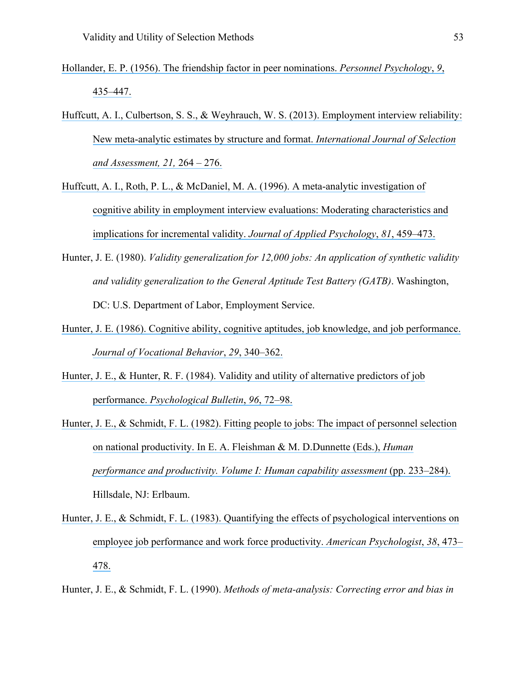- [Hollander, E. P. \(1956\). The friendship factor in peer nominations.](https://www.researchgate.net/publication/229807794_The_Friendship_Factor_in_Peer_Nominations1?el=1_x_8&enrichId=rgreq-ac03d29ee90470b28e65c5b16b199479-XXX&enrichSource=Y292ZXJQYWdlOzMwOTIwMzg5ODtBUzo0MTgyNTE3OTMyODkyMThAMTQ3NjczMDQwNjU0Mw==) *Personnel Psychology*, *9*, [435–447.](https://www.researchgate.net/publication/229807794_The_Friendship_Factor_in_Peer_Nominations1?el=1_x_8&enrichId=rgreq-ac03d29ee90470b28e65c5b16b199479-XXX&enrichSource=Y292ZXJQYWdlOzMwOTIwMzg5ODtBUzo0MTgyNTE3OTMyODkyMThAMTQ3NjczMDQwNjU0Mw==)
- [Huffcutt, A. I., Culbertson, S. S., & Weyhrauch, W. S. \(2013\). Employment interview reliability:](https://www.researchgate.net/publication/259715188_Employment_Interview_Reliability_New_meta-analytic_estimates_by_structure_and_format?el=1_x_8&enrichId=rgreq-ac03d29ee90470b28e65c5b16b199479-XXX&enrichSource=Y292ZXJQYWdlOzMwOTIwMzg5ODtBUzo0MTgyNTE3OTMyODkyMThAMTQ3NjczMDQwNjU0Mw==) [New meta-analytic estimates by structure and format.](https://www.researchgate.net/publication/259715188_Employment_Interview_Reliability_New_meta-analytic_estimates_by_structure_and_format?el=1_x_8&enrichId=rgreq-ac03d29ee90470b28e65c5b16b199479-XXX&enrichSource=Y292ZXJQYWdlOzMwOTIwMzg5ODtBUzo0MTgyNTE3OTMyODkyMThAMTQ3NjczMDQwNjU0Mw==) *International Journal of Selection [and Assessment, 21,](https://www.researchgate.net/publication/259715188_Employment_Interview_Reliability_New_meta-analytic_estimates_by_structure_and_format?el=1_x_8&enrichId=rgreq-ac03d29ee90470b28e65c5b16b199479-XXX&enrichSource=Y292ZXJQYWdlOzMwOTIwMzg5ODtBUzo0MTgyNTE3OTMyODkyMThAMTQ3NjczMDQwNjU0Mw==)* 264 – 276.
- [Huffcutt, A. I., Roth, P. L., & McDaniel, M.](https://www.researchgate.net/publication/232572212_A_Meta-Analytic_Investigation_of_Cognitive_Ability_in_Employment_Interview_Evaluations_Moderating_Characteristics_and_Implications_for_Incremental_Validity?el=1_x_8&enrichId=rgreq-ac03d29ee90470b28e65c5b16b199479-XXX&enrichSource=Y292ZXJQYWdlOzMwOTIwMzg5ODtBUzo0MTgyNTE3OTMyODkyMThAMTQ3NjczMDQwNjU0Mw==) A. (1996). A meta-analytic investigation of [cognitive ability in employment interview evaluations: Moderating characteristics and](https://www.researchgate.net/publication/232572212_A_Meta-Analytic_Investigation_of_Cognitive_Ability_in_Employment_Interview_Evaluations_Moderating_Characteristics_and_Implications_for_Incremental_Validity?el=1_x_8&enrichId=rgreq-ac03d29ee90470b28e65c5b16b199479-XXX&enrichSource=Y292ZXJQYWdlOzMwOTIwMzg5ODtBUzo0MTgyNTE3OTMyODkyMThAMTQ3NjczMDQwNjU0Mw==)  [implications for incremental validity.](https://www.researchgate.net/publication/232572212_A_Meta-Analytic_Investigation_of_Cognitive_Ability_in_Employment_Interview_Evaluations_Moderating_Characteristics_and_Implications_for_Incremental_Validity?el=1_x_8&enrichId=rgreq-ac03d29ee90470b28e65c5b16b199479-XXX&enrichSource=Y292ZXJQYWdlOzMwOTIwMzg5ODtBUzo0MTgyNTE3OTMyODkyMThAMTQ3NjczMDQwNjU0Mw==) *Journal of Applied Psychology*, *81*, 459–473.
- Hunter, J. E. (1980). *Validity generalization for 12,000 jobs: An application of synthetic validity and validity generalization to the General Aptitude Test Battery (GATB)*. Washington, DC: U.S. Department of Labor, Employment Service.
- [Hunter, J. E. \(1986\). Cognitive ability, cognitive aptitudes, job knowledge, and job performance.](https://www.researchgate.net/publication/222275094_Cognitive_Ability_Cognitive_Aptitudes_Job_Knowledge_and_Job_Performance?el=1_x_8&enrichId=rgreq-ac03d29ee90470b28e65c5b16b199479-XXX&enrichSource=Y292ZXJQYWdlOzMwOTIwMzg5ODtBUzo0MTgyNTE3OTMyODkyMThAMTQ3NjczMDQwNjU0Mw==)  *[Journal of Vocational Behavior](https://www.researchgate.net/publication/222275094_Cognitive_Ability_Cognitive_Aptitudes_Job_Knowledge_and_Job_Performance?el=1_x_8&enrichId=rgreq-ac03d29ee90470b28e65c5b16b199479-XXX&enrichSource=Y292ZXJQYWdlOzMwOTIwMzg5ODtBUzo0MTgyNTE3OTMyODkyMThAMTQ3NjczMDQwNjU0Mw==)*, *29*, 340–362.
- [Hunter, J. E., & Hunter, R. F. \(1984\). Validity and utility of alternative predictors of job](https://www.researchgate.net/publication/232476443_Validity_and_Utility_of_Alternate_Predictors_of_Job_Performance?el=1_x_8&enrichId=rgreq-ac03d29ee90470b28e65c5b16b199479-XXX&enrichSource=Y292ZXJQYWdlOzMwOTIwMzg5ODtBUzo0MTgyNTE3OTMyODkyMThAMTQ3NjczMDQwNjU0Mw==)  performance. *[Psychological Bulletin](https://www.researchgate.net/publication/232476443_Validity_and_Utility_of_Alternate_Predictors_of_Job_Performance?el=1_x_8&enrichId=rgreq-ac03d29ee90470b28e65c5b16b199479-XXX&enrichSource=Y292ZXJQYWdlOzMwOTIwMzg5ODtBUzo0MTgyNTE3OTMyODkyMThAMTQ3NjczMDQwNjU0Mw==)*, *96*, 72–98.
- [Hunter, J. E., & Schmidt, F. L. \(1982\). Fitting people to jobs: The impact](https://www.researchgate.net/publication/246199946_Fitting_People_to_Jobs_The_Impact_of_Personnel_Selection_on_National_Productivity?el=1_x_8&enrichId=rgreq-ac03d29ee90470b28e65c5b16b199479-XXX&enrichSource=Y292ZXJQYWdlOzMwOTIwMzg5ODtBUzo0MTgyNTE3OTMyODkyMThAMTQ3NjczMDQwNjU0Mw==) of personnel selection on national productivity. In E. A. [Fleishman & M. D.Dunnette \(Eds.\),](https://www.researchgate.net/publication/246199946_Fitting_People_to_Jobs_The_Impact_of_Personnel_Selection_on_National_Productivity?el=1_x_8&enrichId=rgreq-ac03d29ee90470b28e65c5b16b199479-XXX&enrichSource=Y292ZXJQYWdlOzMwOTIwMzg5ODtBUzo0MTgyNTE3OTMyODkyMThAMTQ3NjczMDQwNjU0Mw==) *Human [performance and productivity. Volume I: Human capability assessment](https://www.researchgate.net/publication/246199946_Fitting_People_to_Jobs_The_Impact_of_Personnel_Selection_on_National_Productivity?el=1_x_8&enrichId=rgreq-ac03d29ee90470b28e65c5b16b199479-XXX&enrichSource=Y292ZXJQYWdlOzMwOTIwMzg5ODtBUzo0MTgyNTE3OTMyODkyMThAMTQ3NjczMDQwNjU0Mw==)* (pp. 233–284). Hillsdale, NJ: Erlbaum.
- [Hunter, J. E., & Schmidt, F. L. \(1983\). Quantifying the effects of psychological interventions on](https://www.researchgate.net/publication/232512058_Quantifying_the_effects_of_psychological_interventions_on_employee_job_performance_and_work-force_productivity?el=1_x_8&enrichId=rgreq-ac03d29ee90470b28e65c5b16b199479-XXX&enrichSource=Y292ZXJQYWdlOzMwOTIwMzg5ODtBUzo0MTgyNTE3OTMyODkyMThAMTQ3NjczMDQwNjU0Mw==)  [employee job performance and work force productivity.](https://www.researchgate.net/publication/232512058_Quantifying_the_effects_of_psychological_interventions_on_employee_job_performance_and_work-force_productivity?el=1_x_8&enrichId=rgreq-ac03d29ee90470b28e65c5b16b199479-XXX&enrichSource=Y292ZXJQYWdlOzMwOTIwMzg5ODtBUzo0MTgyNTE3OTMyODkyMThAMTQ3NjczMDQwNjU0Mw==) *American Psychologist*, *38*, 473– [478.](https://www.researchgate.net/publication/232512058_Quantifying_the_effects_of_psychological_interventions_on_employee_job_performance_and_work-force_productivity?el=1_x_8&enrichId=rgreq-ac03d29ee90470b28e65c5b16b199479-XXX&enrichSource=Y292ZXJQYWdlOzMwOTIwMzg5ODtBUzo0MTgyNTE3OTMyODkyMThAMTQ3NjczMDQwNjU0Mw==)
- Hunter, J. E., & Schmidt, F. L. (1990). *Methods of meta-analysis: Correcting error and bias in*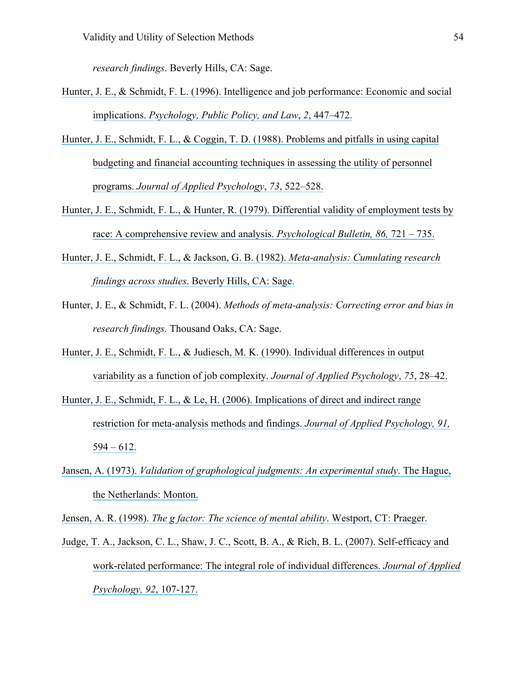*research findings*. Beverly Hills, CA: Sage.

- [Hunter, J. E., & Schmidt, F. L. \(1996\). Intelligence and job performance: Economic and social](https://www.researchgate.net/publication/297380615_Intelligence_and_job_performance_Economic_and_social_implications?el=1_x_8&enrichId=rgreq-ac03d29ee90470b28e65c5b16b199479-XXX&enrichSource=Y292ZXJQYWdlOzMwOTIwMzg5ODtBUzo0MTgyNTE3OTMyODkyMThAMTQ3NjczMDQwNjU0Mw==)  implications. *[Psychology, Public Policy, and Law](https://www.researchgate.net/publication/297380615_Intelligence_and_job_performance_Economic_and_social_implications?el=1_x_8&enrichId=rgreq-ac03d29ee90470b28e65c5b16b199479-XXX&enrichSource=Y292ZXJQYWdlOzMwOTIwMzg5ODtBUzo0MTgyNTE3OTMyODkyMThAMTQ3NjczMDQwNjU0Mw==)*, *2*, 447–472.
- Hunter, J. E., Schmidt, F. L., & [Coggin, T. D. \(1988\). Problems and pitfalls in using capital](https://www.researchgate.net/publication/247406196_Problems_and_Pitfalls_in_Using_Capital_Budgeting_and_Financial_Accounting_Techniques_in_Assessing_the_Utility_of_Personnel_Programs?el=1_x_8&enrichId=rgreq-ac03d29ee90470b28e65c5b16b199479-XXX&enrichSource=Y292ZXJQYWdlOzMwOTIwMzg5ODtBUzo0MTgyNTE3OTMyODkyMThAMTQ3NjczMDQwNjU0Mw==) [budgeting and financial accounting techniques in assessing the utility of personnel](https://www.researchgate.net/publication/247406196_Problems_and_Pitfalls_in_Using_Capital_Budgeting_and_Financial_Accounting_Techniques_in_Assessing_the_Utility_of_Personnel_Programs?el=1_x_8&enrichId=rgreq-ac03d29ee90470b28e65c5b16b199479-XXX&enrichSource=Y292ZXJQYWdlOzMwOTIwMzg5ODtBUzo0MTgyNTE3OTMyODkyMThAMTQ3NjczMDQwNjU0Mw==) programs. *[Journal of Applied Psychology](https://www.researchgate.net/publication/247406196_Problems_and_Pitfalls_in_Using_Capital_Budgeting_and_Financial_Accounting_Techniques_in_Assessing_the_Utility_of_Personnel_Programs?el=1_x_8&enrichId=rgreq-ac03d29ee90470b28e65c5b16b199479-XXX&enrichSource=Y292ZXJQYWdlOzMwOTIwMzg5ODtBUzo0MTgyNTE3OTMyODkyMThAMTQ3NjczMDQwNjU0Mw==)*, *73*, 522–528.
- [Hunter, J. E., Schmidt, F. L., & Hunter, R. \(1979\). Differential validity of employment tests by](https://www.researchgate.net/publication/232428115_Differential_Validity_of_Employment_Tests_by_Race_A_Comprehensive_Review_and_Analysis?el=1_x_8&enrichId=rgreq-ac03d29ee90470b28e65c5b16b199479-XXX&enrichSource=Y292ZXJQYWdlOzMwOTIwMzg5ODtBUzo0MTgyNTE3OTMyODkyMThAMTQ3NjczMDQwNjU0Mw==)  [race: A comprehensive review and analysis.](https://www.researchgate.net/publication/232428115_Differential_Validity_of_Employment_Tests_by_Race_A_Comprehensive_Review_and_Analysis?el=1_x_8&enrichId=rgreq-ac03d29ee90470b28e65c5b16b199479-XXX&enrichSource=Y292ZXJQYWdlOzMwOTIwMzg5ODtBUzo0MTgyNTE3OTMyODkyMThAMTQ3NjczMDQwNjU0Mw==) *Psychological Bulletin, 86,* 721 – 735.
- [Hunter, J. E., Schmidt, F. L., & Jackson, G. B. \(1982\).](https://www.researchgate.net/publication/275414777_Meta-Analysis_Cumulating_Research_Findings_Across_Studies?el=1_x_8&enrichId=rgreq-ac03d29ee90470b28e65c5b16b199479-XXX&enrichSource=Y292ZXJQYWdlOzMwOTIwMzg5ODtBUzo0MTgyNTE3OTMyODkyMThAMTQ3NjczMDQwNjU0Mw==) *Meta-analysis: Cumulating research findings across studies*[. Beverly Hills, CA: Sage.](https://www.researchgate.net/publication/275414777_Meta-Analysis_Cumulating_Research_Findings_Across_Studies?el=1_x_8&enrichId=rgreq-ac03d29ee90470b28e65c5b16b199479-XXX&enrichSource=Y292ZXJQYWdlOzMwOTIwMzg5ODtBUzo0MTgyNTE3OTMyODkyMThAMTQ3NjczMDQwNjU0Mw==)
- Hunter, J. E., & Schmidt, F. L. (2004). *Methods of meta-analysis: Correcting error and bias in research findings.* Thousand Oaks, CA: Sage.
- Hunter, J. E., Schmidt, F. L., & [Judiesch, M. K. \(1990\). Individual differences in output](https://www.researchgate.net/publication/232449893_Individual_differences_in_output_as_a_function_of_job_complexity?el=1_x_8&enrichId=rgreq-ac03d29ee90470b28e65c5b16b199479-XXX&enrichSource=Y292ZXJQYWdlOzMwOTIwMzg5ODtBUzo0MTgyNTE3OTMyODkyMThAMTQ3NjczMDQwNjU0Mw==)  [variability as a function of job complexity.](https://www.researchgate.net/publication/232449893_Individual_differences_in_output_as_a_function_of_job_complexity?el=1_x_8&enrichId=rgreq-ac03d29ee90470b28e65c5b16b199479-XXX&enrichSource=Y292ZXJQYWdlOzMwOTIwMzg5ODtBUzo0MTgyNTE3OTMyODkyMThAMTQ3NjczMDQwNjU0Mw==) *Journal of Applied Psychology*, *75*, 28–42.
- [Hunter, J. E., Schmidt, F. L., & Le, H. \(2006\). Implications](https://www.researchgate.net/publication/7046251_Implications_of_Direct_and_Indirect_Range_Restriction_for_Meta-Analysis_Methods_and_Findings?el=1_x_8&enrichId=rgreq-ac03d29ee90470b28e65c5b16b199479-XXX&enrichSource=Y292ZXJQYWdlOzMwOTIwMzg5ODtBUzo0MTgyNTE3OTMyODkyMThAMTQ3NjczMDQwNjU0Mw==) of direct and indirect range [restriction for meta-analysis methods and findings.](https://www.researchgate.net/publication/7046251_Implications_of_Direct_and_Indirect_Range_Restriction_for_Meta-Analysis_Methods_and_Findings?el=1_x_8&enrichId=rgreq-ac03d29ee90470b28e65c5b16b199479-XXX&enrichSource=Y292ZXJQYWdlOzMwOTIwMzg5ODtBUzo0MTgyNTE3OTMyODkyMThAMTQ3NjczMDQwNjU0Mw==) *Journal of Applied Psychology, 91,*   $594 - 612$ .
- Jansen, A. (1973). *[Validation of graphological judgments: An experimental study](https://www.researchgate.net/publication/232495055_Validation_of_graphological_judgments_An_experimental_study?el=1_x_8&enrichId=rgreq-ac03d29ee90470b28e65c5b16b199479-XXX&enrichSource=Y292ZXJQYWdlOzMwOTIwMzg5ODtBUzo0MTgyNTE3OTMyODkyMThAMTQ3NjczMDQwNjU0Mw==)*. The Hague, [the Netherlands: Monton.](https://www.researchgate.net/publication/232495055_Validation_of_graphological_judgments_An_experimental_study?el=1_x_8&enrichId=rgreq-ac03d29ee90470b28e65c5b16b199479-XXX&enrichSource=Y292ZXJQYWdlOzMwOTIwMzg5ODtBUzo0MTgyNTE3OTMyODkyMThAMTQ3NjczMDQwNjU0Mw==)

Jensen, A. R. (1998). *[The g factor: The science of mental ability](https://www.researchgate.net/publication/28113080_The_g_Factor_The_Science_of_Mental_Ability?el=1_x_8&enrichId=rgreq-ac03d29ee90470b28e65c5b16b199479-XXX&enrichSource=Y292ZXJQYWdlOzMwOTIwMzg5ODtBUzo0MTgyNTE3OTMyODkyMThAMTQ3NjczMDQwNjU0Mw==)*. Westport, CT: Praeger.

Judge, T. A., Jackson, C. [L., Shaw, J. C., Scott, B. A., & Rich, B. L. \(2007\). Self-efficacy and](https://www.researchgate.net/publication/null?el=1_x_8&enrichId=rgreq-ac03d29ee90470b28e65c5b16b199479-XXX&enrichSource=Y292ZXJQYWdlOzMwOTIwMzg5ODtBUzo0MTgyNTE3OTMyODkyMThAMTQ3NjczMDQwNjU0Mw==)  [work-related performance: The integral role of individual differences.](https://www.researchgate.net/publication/null?el=1_x_8&enrichId=rgreq-ac03d29ee90470b28e65c5b16b199479-XXX&enrichSource=Y292ZXJQYWdlOzMwOTIwMzg5ODtBUzo0MTgyNTE3OTMyODkyMThAMTQ3NjczMDQwNjU0Mw==) *Journal of Applied [Psychology, 92](https://www.researchgate.net/publication/null?el=1_x_8&enrichId=rgreq-ac03d29ee90470b28e65c5b16b199479-XXX&enrichSource=Y292ZXJQYWdlOzMwOTIwMzg5ODtBUzo0MTgyNTE3OTMyODkyMThAMTQ3NjczMDQwNjU0Mw==)*, 107-127.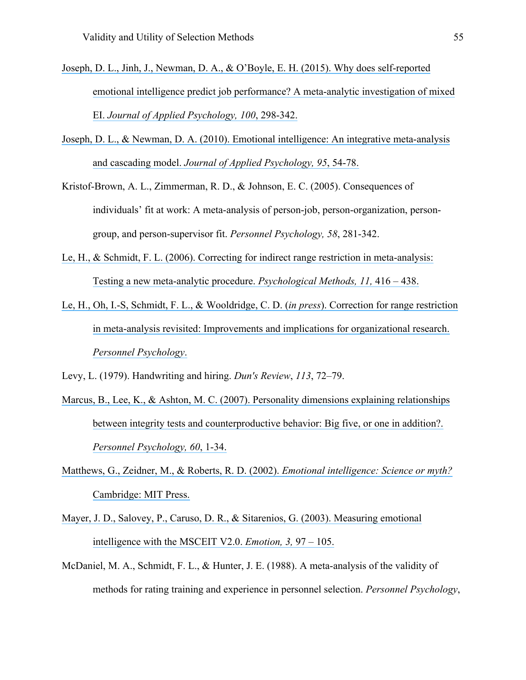- [Joseph, D. L., Jinh, J., Newman, D. A., & O'Boyle, E. H. \(2015\). Why does self-reported](https://www.researchgate.net/publication/266028180_Why_Does_Self-Reported_Emotional_Intelligence_Predict_Job_Performance_A_Meta-Analytic_Investigation_of_Mixed_EI?el=1_x_8&enrichId=rgreq-ac03d29ee90470b28e65c5b16b199479-XXX&enrichSource=Y292ZXJQYWdlOzMwOTIwMzg5ODtBUzo0MTgyNTE3OTMyODkyMThAMTQ3NjczMDQwNjU0Mw==) [emotional intelligence predict job performance? A meta-analytic investigation of mixed](https://www.researchgate.net/publication/266028180_Why_Does_Self-Reported_Emotional_Intelligence_Predict_Job_Performance_A_Meta-Analytic_Investigation_of_Mixed_EI?el=1_x_8&enrichId=rgreq-ac03d29ee90470b28e65c5b16b199479-XXX&enrichSource=Y292ZXJQYWdlOzMwOTIwMzg5ODtBUzo0MTgyNTE3OTMyODkyMThAMTQ3NjczMDQwNjU0Mw==)  EI. *[Journal of Applied Psychology, 100](https://www.researchgate.net/publication/266028180_Why_Does_Self-Reported_Emotional_Intelligence_Predict_Job_Performance_A_Meta-Analytic_Investigation_of_Mixed_EI?el=1_x_8&enrichId=rgreq-ac03d29ee90470b28e65c5b16b199479-XXX&enrichSource=Y292ZXJQYWdlOzMwOTIwMzg5ODtBUzo0MTgyNTE3OTMyODkyMThAMTQ3NjczMDQwNjU0Mw==)*, 298-342.
- [Joseph, D. L., & Newman, D. A. \(2010\). Emotional intelligence: An integrative meta-analysis](https://www.researchgate.net/publication/41087511_Emotional_Intelligence_An_Integrative_Meta-Analysis_and_Cascading_Model?el=1_x_8&enrichId=rgreq-ac03d29ee90470b28e65c5b16b199479-XXX&enrichSource=Y292ZXJQYWdlOzMwOTIwMzg5ODtBUzo0MTgyNTE3OTMyODkyMThAMTQ3NjczMDQwNjU0Mw==)  and cascading model. *[Journal of Applied Psychology, 95](https://www.researchgate.net/publication/41087511_Emotional_Intelligence_An_Integrative_Meta-Analysis_and_Cascading_Model?el=1_x_8&enrichId=rgreq-ac03d29ee90470b28e65c5b16b199479-XXX&enrichSource=Y292ZXJQYWdlOzMwOTIwMzg5ODtBUzo0MTgyNTE3OTMyODkyMThAMTQ3NjczMDQwNjU0Mw==)*, 54-78.
- Kristof-Brown, A. L., Zimmerman, R. D., & Johnson, E. C. (2005). Consequences of individuals' fit at work: A meta-analysis of person-job, person-organization, persongroup, and person-supervisor fit. *Personnel Psychology, 58*, 281-342.
- [Le, H., & Schmidt, F. L. \(2006\). Correcting for indirect range restriction in meta-analysis:](https://www.researchgate.net/publication/6644262_Correcting_for_indirect_range_restriction_in_meta-analysis_Testing_a_new_meta-analytic_procedure?el=1_x_8&enrichId=rgreq-ac03d29ee90470b28e65c5b16b199479-XXX&enrichSource=Y292ZXJQYWdlOzMwOTIwMzg5ODtBUzo0MTgyNTE3OTMyODkyMThAMTQ3NjczMDQwNjU0Mw==)  [Testing a new meta-analytic procedure.](https://www.researchgate.net/publication/6644262_Correcting_for_indirect_range_restriction_in_meta-analysis_Testing_a_new_meta-analytic_procedure?el=1_x_8&enrichId=rgreq-ac03d29ee90470b28e65c5b16b199479-XXX&enrichSource=Y292ZXJQYWdlOzMwOTIwMzg5ODtBUzo0MTgyNTE3OTMyODkyMThAMTQ3NjczMDQwNjU0Mw==) *Psychological Methods, 11,* 416 – 438.
- [Le, H., Oh, I.-S, Schmidt, F. L., & Wooldridge, C.](https://www.researchgate.net/publication/282981182_Correction_for_Range_Restriction_in_Meta-Analysis_Revisited_Improvements_and_Implications_for_Organizational_Research?el=1_x_8&enrichId=rgreq-ac03d29ee90470b28e65c5b16b199479-XXX&enrichSource=Y292ZXJQYWdlOzMwOTIwMzg5ODtBUzo0MTgyNTE3OTMyODkyMThAMTQ3NjczMDQwNjU0Mw==) D. (*in press*). Correction for range restriction [in meta-analysis revisited: Improvements and implications for organizational research.](https://www.researchgate.net/publication/282981182_Correction_for_Range_Restriction_in_Meta-Analysis_Revisited_Improvements_and_Implications_for_Organizational_Research?el=1_x_8&enrichId=rgreq-ac03d29ee90470b28e65c5b16b199479-XXX&enrichSource=Y292ZXJQYWdlOzMwOTIwMzg5ODtBUzo0MTgyNTE3OTMyODkyMThAMTQ3NjczMDQwNjU0Mw==)  *[Personnel Psychology](https://www.researchgate.net/publication/282981182_Correction_for_Range_Restriction_in_Meta-Analysis_Revisited_Improvements_and_Implications_for_Organizational_Research?el=1_x_8&enrichId=rgreq-ac03d29ee90470b28e65c5b16b199479-XXX&enrichSource=Y292ZXJQYWdlOzMwOTIwMzg5ODtBUzo0MTgyNTE3OTMyODkyMThAMTQ3NjczMDQwNjU0Mw==)*.

Levy, L. (1979). Handwriting and hiring. *Dun's Review*, *113*, 72–79.

- Marcus, B., Lee, K., & Ashton, M. C. (2007). Personality dimensions explaining relationships [between integrity tests and counterproductive behavior: Big five, or one in addition?.](https://www.researchgate.net/publication/229465335_Personality_dimensions_explaining_relationships_between_integrity_tests_and_counterproductive_behavior_Big_Five_or_one_in_addition?el=1_x_8&enrichId=rgreq-ac03d29ee90470b28e65c5b16b199479-XXX&enrichSource=Y292ZXJQYWdlOzMwOTIwMzg5ODtBUzo0MTgyNTE3OTMyODkyMThAMTQ3NjczMDQwNjU0Mw==) *[Personnel Psychology, 60](https://www.researchgate.net/publication/229465335_Personality_dimensions_explaining_relationships_between_integrity_tests_and_counterproductive_behavior_Big_Five_or_one_in_addition?el=1_x_8&enrichId=rgreq-ac03d29ee90470b28e65c5b16b199479-XXX&enrichSource=Y292ZXJQYWdlOzMwOTIwMzg5ODtBUzo0MTgyNTE3OTMyODkyMThAMTQ3NjczMDQwNjU0Mw==)*, 1-34.
- [Matthews, G., Zeidner, M., & Roberts, R. D. \(2002\).](https://www.researchgate.net/publication/233349524_Emotional_Intelligence_Science_and_Myth?el=1_x_8&enrichId=rgreq-ac03d29ee90470b28e65c5b16b199479-XXX&enrichSource=Y292ZXJQYWdlOzMwOTIwMzg5ODtBUzo0MTgyNTE3OTMyODkyMThAMTQ3NjczMDQwNjU0Mw==) *Emotional intelligence: Science or myth?*  [Cambridge: MIT Press.](https://www.researchgate.net/publication/233349524_Emotional_Intelligence_Science_and_Myth?el=1_x_8&enrichId=rgreq-ac03d29ee90470b28e65c5b16b199479-XXX&enrichSource=Y292ZXJQYWdlOzMwOTIwMzg5ODtBUzo0MTgyNTE3OTMyODkyMThAMTQ3NjczMDQwNjU0Mw==)
- [Mayer, J. D., Salovey, P., Caruso, D. R., & Sitarenios, G. \(2003\). Measuring emotional](https://www.researchgate.net/publication/10629999_Measuring_emotional_intelligence_with_the_MSCEIT_V20?el=1_x_8&enrichId=rgreq-ac03d29ee90470b28e65c5b16b199479-XXX&enrichSource=Y292ZXJQYWdlOzMwOTIwMzg5ODtBUzo0MTgyNTE3OTMyODkyMThAMTQ3NjczMDQwNjU0Mw==)  [intelligence with the MSCEIT V2.0.](https://www.researchgate.net/publication/10629999_Measuring_emotional_intelligence_with_the_MSCEIT_V20?el=1_x_8&enrichId=rgreq-ac03d29ee90470b28e65c5b16b199479-XXX&enrichSource=Y292ZXJQYWdlOzMwOTIwMzg5ODtBUzo0MTgyNTE3OTMyODkyMThAMTQ3NjczMDQwNjU0Mw==) *Emotion, 3,* 97 – 105.
- McDaniel, M. A., Schmidt, F. L., & Hunter, J. E. (1988). A meta-analysis of the validity of methods for rating training and experience in personnel selection. *Personnel Psychology*,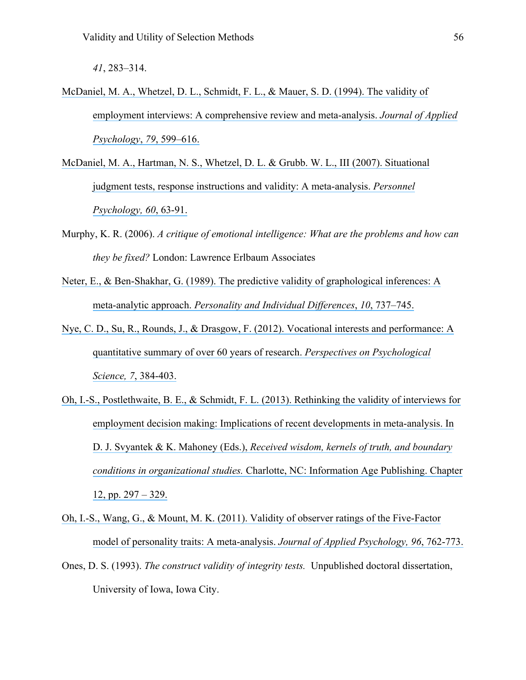*41*, 283–314.

- [McDaniel, M. A., Whetzel, D. L., Schmidt, F. L., & Mauer, S. D. \(1994\). The](https://www.researchgate.net/publication/280799263_The_Validity_of_Employment_Interviews_A_Comprehensive_Review_and_Meta-Analysis?el=1_x_8&enrichId=rgreq-ac03d29ee90470b28e65c5b16b199479-XXX&enrichSource=Y292ZXJQYWdlOzMwOTIwMzg5ODtBUzo0MTgyNTE3OTMyODkyMThAMTQ3NjczMDQwNjU0Mw==) validity of [employment interviews: A comprehensive review and meta-analysis.](https://www.researchgate.net/publication/280799263_The_Validity_of_Employment_Interviews_A_Comprehensive_Review_and_Meta-Analysis?el=1_x_8&enrichId=rgreq-ac03d29ee90470b28e65c5b16b199479-XXX&enrichSource=Y292ZXJQYWdlOzMwOTIwMzg5ODtBUzo0MTgyNTE3OTMyODkyMThAMTQ3NjczMDQwNjU0Mw==) *Journal of Applied [Psychology](https://www.researchgate.net/publication/280799263_The_Validity_of_Employment_Interviews_A_Comprehensive_Review_and_Meta-Analysis?el=1_x_8&enrichId=rgreq-ac03d29ee90470b28e65c5b16b199479-XXX&enrichSource=Y292ZXJQYWdlOzMwOTIwMzg5ODtBUzo0MTgyNTE3OTMyODkyMThAMTQ3NjczMDQwNjU0Mw==)*, *79*, 599–616.
- McDaniel, M. A., Hartman, N. S., Whetzel, D. L. & Grubb. W. [L., III \(2007\). Situational](https://www.researchgate.net/publication/227629811_Situational_judgment_tests_response_instructions_and_validity_A_meta-analysis?el=1_x_8&enrichId=rgreq-ac03d29ee90470b28e65c5b16b199479-XXX&enrichSource=Y292ZXJQYWdlOzMwOTIwMzg5ODtBUzo0MTgyNTE3OTMyODkyMThAMTQ3NjczMDQwNjU0Mw==) [judgment tests, response instructions and validity: A meta-analysis.](https://www.researchgate.net/publication/227629811_Situational_judgment_tests_response_instructions_and_validity_A_meta-analysis?el=1_x_8&enrichId=rgreq-ac03d29ee90470b28e65c5b16b199479-XXX&enrichSource=Y292ZXJQYWdlOzMwOTIwMzg5ODtBUzo0MTgyNTE3OTMyODkyMThAMTQ3NjczMDQwNjU0Mw==) *Personnel [Psychology, 60](https://www.researchgate.net/publication/227629811_Situational_judgment_tests_response_instructions_and_validity_A_meta-analysis?el=1_x_8&enrichId=rgreq-ac03d29ee90470b28e65c5b16b199479-XXX&enrichSource=Y292ZXJQYWdlOzMwOTIwMzg5ODtBUzo0MTgyNTE3OTMyODkyMThAMTQ3NjczMDQwNjU0Mw==)*, 63-91.
- Murphy, K. R. (2006). *A critique of emotional intelligence: What are the problems and how can they be fixed?* London: Lawrence Erlbaum Associates
- [Neter, E., & Ben-Shakhar, G. \(1989\). The predictive validity of graphological inferences: A](https://www.researchgate.net/publication/221989526_The_Predictive_Validity_of_Graphological_Inferences?el=1_x_8&enrichId=rgreq-ac03d29ee90470b28e65c5b16b199479-XXX&enrichSource=Y292ZXJQYWdlOzMwOTIwMzg5ODtBUzo0MTgyNTE3OTMyODkyMThAMTQ3NjczMDQwNjU0Mw==) meta-analytic approach. *[Personality and Individual Differences](https://www.researchgate.net/publication/221989526_The_Predictive_Validity_of_Graphological_Inferences?el=1_x_8&enrichId=rgreq-ac03d29ee90470b28e65c5b16b199479-XXX&enrichSource=Y292ZXJQYWdlOzMwOTIwMzg5ODtBUzo0MTgyNTE3OTMyODkyMThAMTQ3NjczMDQwNjU0Mw==)*, *10*, 737–745.
- [Nye, C. D., Su, R., Rounds, J., & Drasgow, F. \(2012\). Vocational interests and performance: A](https://www.researchgate.net/publication/233747919_Vocational_Interests_and_Performance_A_Quantitative_Summary_of_Over_60_Years_of_Research?el=1_x_8&enrichId=rgreq-ac03d29ee90470b28e65c5b16b199479-XXX&enrichSource=Y292ZXJQYWdlOzMwOTIwMzg5ODtBUzo0MTgyNTE3OTMyODkyMThAMTQ3NjczMDQwNjU0Mw==)  [quantitative summary of over 60 years of research.](https://www.researchgate.net/publication/233747919_Vocational_Interests_and_Performance_A_Quantitative_Summary_of_Over_60_Years_of_Research?el=1_x_8&enrichId=rgreq-ac03d29ee90470b28e65c5b16b199479-XXX&enrichSource=Y292ZXJQYWdlOzMwOTIwMzg5ODtBUzo0MTgyNTE3OTMyODkyMThAMTQ3NjczMDQwNjU0Mw==) *Perspectives on Psychological Science, 7*[, 384-403.](https://www.researchgate.net/publication/233747919_Vocational_Interests_and_Performance_A_Quantitative_Summary_of_Over_60_Years_of_Research?el=1_x_8&enrichId=rgreq-ac03d29ee90470b28e65c5b16b199479-XXX&enrichSource=Y292ZXJQYWdlOzMwOTIwMzg5ODtBUzo0MTgyNTE3OTMyODkyMThAMTQ3NjczMDQwNjU0Mw==)
- Oh, I.-S., Postlethwaite, B. E., & Schmidt, F. [L. \(2013\). Rethinking the validity of interviews](https://www.researchgate.net/publication/255909880_Rethinking_the_validity_of_interviews_for_employment_decision_making_Implications_of_recent_developments_in_meta-analysis_Chapter_12_pp_297-329_In_D_J_Svyantek_K_Mahoney_Eds_Received_Wisdom_Kernels_of?el=1_x_8&enrichId=rgreq-ac03d29ee90470b28e65c5b16b199479-XXX&enrichSource=Y292ZXJQYWdlOzMwOTIwMzg5ODtBUzo0MTgyNTE3OTMyODkyMThAMTQ3NjczMDQwNjU0Mw==) for [employment decision making: Implications of recent developments](https://www.researchgate.net/publication/255909880_Rethinking_the_validity_of_interviews_for_employment_decision_making_Implications_of_recent_developments_in_meta-analysis_Chapter_12_pp_297-329_In_D_J_Svyantek_K_Mahoney_Eds_Received_Wisdom_Kernels_of?el=1_x_8&enrichId=rgreq-ac03d29ee90470b28e65c5b16b199479-XXX&enrichSource=Y292ZXJQYWdlOzMwOTIwMzg5ODtBUzo0MTgyNTE3OTMyODkyMThAMTQ3NjczMDQwNjU0Mw==) in meta-analysis. In D. J. Svyantek & K. Mahoney (Eds.), *[Received wisdom, kernels of truth, and boundary](https://www.researchgate.net/publication/255909880_Rethinking_the_validity_of_interviews_for_employment_decision_making_Implications_of_recent_developments_in_meta-analysis_Chapter_12_pp_297-329_In_D_J_Svyantek_K_Mahoney_Eds_Received_Wisdom_Kernels_of?el=1_x_8&enrichId=rgreq-ac03d29ee90470b28e65c5b16b199479-XXX&enrichSource=Y292ZXJQYWdlOzMwOTIwMzg5ODtBUzo0MTgyNTE3OTMyODkyMThAMTQ3NjczMDQwNjU0Mw==)  conditions in organizational studies.* [Charlotte, NC: Information Age Publishing. Chapter](https://www.researchgate.net/publication/255909880_Rethinking_the_validity_of_interviews_for_employment_decision_making_Implications_of_recent_developments_in_meta-analysis_Chapter_12_pp_297-329_In_D_J_Svyantek_K_Mahoney_Eds_Received_Wisdom_Kernels_of?el=1_x_8&enrichId=rgreq-ac03d29ee90470b28e65c5b16b199479-XXX&enrichSource=Y292ZXJQYWdlOzMwOTIwMzg5ODtBUzo0MTgyNTE3OTMyODkyMThAMTQ3NjczMDQwNjU0Mw==)  [12, pp. 297 –](https://www.researchgate.net/publication/255909880_Rethinking_the_validity_of_interviews_for_employment_decision_making_Implications_of_recent_developments_in_meta-analysis_Chapter_12_pp_297-329_In_D_J_Svyantek_K_Mahoney_Eds_Received_Wisdom_Kernels_of?el=1_x_8&enrichId=rgreq-ac03d29ee90470b28e65c5b16b199479-XXX&enrichSource=Y292ZXJQYWdlOzMwOTIwMzg5ODtBUzo0MTgyNTE3OTMyODkyMThAMTQ3NjczMDQwNjU0Mw==) 329.
- [Oh, I.-S., Wang, G., & Mount, M. K. \(2011\). Validity of observer ratings of the Five-Factor](https://www.researchgate.net/publication/49668497_Validity_of_Observer_Ratings_of_the_Five-Factor_Model_of_Personality_Traits_A_Meta-Analysis?el=1_x_8&enrichId=rgreq-ac03d29ee90470b28e65c5b16b199479-XXX&enrichSource=Y292ZXJQYWdlOzMwOTIwMzg5ODtBUzo0MTgyNTE3OTMyODkyMThAMTQ3NjczMDQwNjU0Mw==) [model of personality traits: A meta-analysis.](https://www.researchgate.net/publication/49668497_Validity_of_Observer_Ratings_of_the_Five-Factor_Model_of_Personality_Traits_A_Meta-Analysis?el=1_x_8&enrichId=rgreq-ac03d29ee90470b28e65c5b16b199479-XXX&enrichSource=Y292ZXJQYWdlOzMwOTIwMzg5ODtBUzo0MTgyNTE3OTMyODkyMThAMTQ3NjczMDQwNjU0Mw==) *Journal of Applied Psychology, 96*, 762-773.
- Ones, D. S. (1993). *The construct validity of integrity tests.* Unpublished doctoral dissertation, University of Iowa, Iowa City.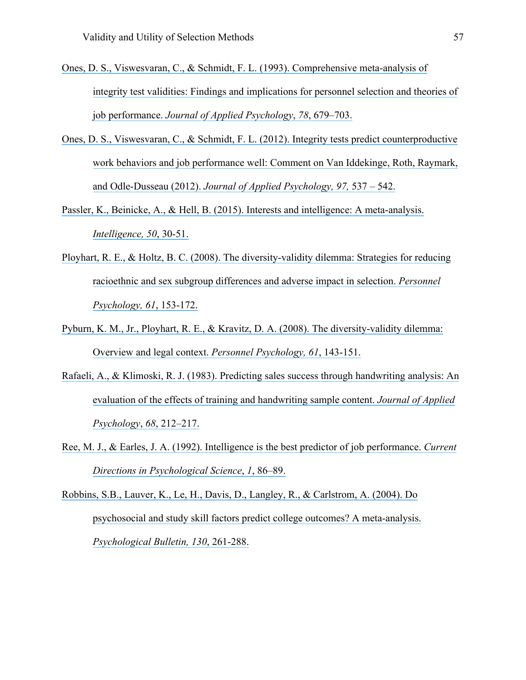- [Ones, D. S., Viswesvaran, C., & Schmidt, F. L. \(1993\). Comprehensive meta-analysis of](https://www.researchgate.net/publication/232585195_Comprehensive_Meta-Analysis_of_Integrity_Test_Validities_Findings_and_Implications_for_Personnel_Selection_and_Theories_of_Job_Performance?el=1_x_8&enrichId=rgreq-ac03d29ee90470b28e65c5b16b199479-XXX&enrichSource=Y292ZXJQYWdlOzMwOTIwMzg5ODtBUzo0MTgyNTE3OTMyODkyMThAMTQ3NjczMDQwNjU0Mw==)  [integrity test validities: Findings and implications for personnel selection and theories of](https://www.researchgate.net/publication/232585195_Comprehensive_Meta-Analysis_of_Integrity_Test_Validities_Findings_and_Implications_for_Personnel_Selection_and_Theories_of_Job_Performance?el=1_x_8&enrichId=rgreq-ac03d29ee90470b28e65c5b16b199479-XXX&enrichSource=Y292ZXJQYWdlOzMwOTIwMzg5ODtBUzo0MTgyNTE3OTMyODkyMThAMTQ3NjczMDQwNjU0Mw==)  job performance. *Journal of [Applied Psychology](https://www.researchgate.net/publication/232585195_Comprehensive_Meta-Analysis_of_Integrity_Test_Validities_Findings_and_Implications_for_Personnel_Selection_and_Theories_of_Job_Performance?el=1_x_8&enrichId=rgreq-ac03d29ee90470b28e65c5b16b199479-XXX&enrichSource=Y292ZXJQYWdlOzMwOTIwMzg5ODtBUzo0MTgyNTE3OTMyODkyMThAMTQ3NjczMDQwNjU0Mw==)*, *78*, 679–703.
- [Ones, D. S., Viswesvaran, C., & Schmidt, F. L. \(2012\). Integrity tests predict counterproductive](https://www.researchgate.net/publication/224955629_Integrity_Tests_Predict_Counterproductive_Work_Behaviors_and_Job_Performance_Well_Comment_on_Van_Iddekinge_Roth_Raymark_and_Odle-Dusseau_2012?el=1_x_8&enrichId=rgreq-ac03d29ee90470b28e65c5b16b199479-XXX&enrichSource=Y292ZXJQYWdlOzMwOTIwMzg5ODtBUzo0MTgyNTE3OTMyODkyMThAMTQ3NjczMDQwNjU0Mw==)  [work behaviors and job performance well: Comment on Van Iddekinge, Roth, Raymark,](https://www.researchgate.net/publication/224955629_Integrity_Tests_Predict_Counterproductive_Work_Behaviors_and_Job_Performance_Well_Comment_on_Van_Iddekinge_Roth_Raymark_and_Odle-Dusseau_2012?el=1_x_8&enrichId=rgreq-ac03d29ee90470b28e65c5b16b199479-XXX&enrichSource=Y292ZXJQYWdlOzMwOTIwMzg5ODtBUzo0MTgyNTE3OTMyODkyMThAMTQ3NjczMDQwNjU0Mw==) [and Odle-Dusseau \(2012\).](https://www.researchgate.net/publication/224955629_Integrity_Tests_Predict_Counterproductive_Work_Behaviors_and_Job_Performance_Well_Comment_on_Van_Iddekinge_Roth_Raymark_and_Odle-Dusseau_2012?el=1_x_8&enrichId=rgreq-ac03d29ee90470b28e65c5b16b199479-XXX&enrichSource=Y292ZXJQYWdlOzMwOTIwMzg5ODtBUzo0MTgyNTE3OTMyODkyMThAMTQ3NjczMDQwNjU0Mw==) *Journal of Applied Psychology, 97,* 537 – 542.
- [Passler, K., Beinicke, A., & Hell, B. \(2015\). Interests and intelligence: A meta-analysis.](https://www.researchgate.net/publication/272846290_Interests_and_intelligence_A_meta-analysis?el=1_x_8&enrichId=rgreq-ac03d29ee90470b28e65c5b16b199479-XXX&enrichSource=Y292ZXJQYWdlOzMwOTIwMzg5ODtBUzo0MTgyNTE3OTMyODkyMThAMTQ3NjczMDQwNjU0Mw==)  *[Intelligence, 50](https://www.researchgate.net/publication/272846290_Interests_and_intelligence_A_meta-analysis?el=1_x_8&enrichId=rgreq-ac03d29ee90470b28e65c5b16b199479-XXX&enrichSource=Y292ZXJQYWdlOzMwOTIwMzg5ODtBUzo0MTgyNTE3OTMyODkyMThAMTQ3NjczMDQwNjU0Mw==)*, 30-51.
- Ployhart, R. E., & [Holtz, B. C. \(2008\). The diversity-validity dilemma: Strategies for reducing](https://www.researchgate.net/publication/229457197_The_diversity-validity_dilemma_Strategies_for_reducing_racioethnic_and_sex_subgroup_differences_and_adverse_impact_in_selection?el=1_x_8&enrichId=rgreq-ac03d29ee90470b28e65c5b16b199479-XXX&enrichSource=Y292ZXJQYWdlOzMwOTIwMzg5ODtBUzo0MTgyNTE3OTMyODkyMThAMTQ3NjczMDQwNjU0Mw==)  [racioethnic and sex subgroup differences and adverse impact in selection.](https://www.researchgate.net/publication/229457197_The_diversity-validity_dilemma_Strategies_for_reducing_racioethnic_and_sex_subgroup_differences_and_adverse_impact_in_selection?el=1_x_8&enrichId=rgreq-ac03d29ee90470b28e65c5b16b199479-XXX&enrichSource=Y292ZXJQYWdlOzMwOTIwMzg5ODtBUzo0MTgyNTE3OTMyODkyMThAMTQ3NjczMDQwNjU0Mw==) *Personnel [Psychology, 61](https://www.researchgate.net/publication/229457197_The_diversity-validity_dilemma_Strategies_for_reducing_racioethnic_and_sex_subgroup_differences_and_adverse_impact_in_selection?el=1_x_8&enrichId=rgreq-ac03d29ee90470b28e65c5b16b199479-XXX&enrichSource=Y292ZXJQYWdlOzMwOTIwMzg5ODtBUzo0MTgyNTE3OTMyODkyMThAMTQ3NjczMDQwNjU0Mw==)*, 153-172.
- [Pyburn, K. M., Jr., Ployhart, R. E., & Kravitz, D. A. \(2008\). The diversity-validity dilemma:](https://www.researchgate.net/publication/227958936_The_diversity-validity_dilemma_Overview_and_legal_context?el=1_x_8&enrichId=rgreq-ac03d29ee90470b28e65c5b16b199479-XXX&enrichSource=Y292ZXJQYWdlOzMwOTIwMzg5ODtBUzo0MTgyNTE3OTMyODkyMThAMTQ3NjczMDQwNjU0Mw==)  [Overview and legal context.](https://www.researchgate.net/publication/227958936_The_diversity-validity_dilemma_Overview_and_legal_context?el=1_x_8&enrichId=rgreq-ac03d29ee90470b28e65c5b16b199479-XXX&enrichSource=Y292ZXJQYWdlOzMwOTIwMzg5ODtBUzo0MTgyNTE3OTMyODkyMThAMTQ3NjczMDQwNjU0Mw==) *Personnel Psychology, 61*, 143-151.
- [Rafaeli, A., & Klimoski, R. J. \(1983\). Predicting sales success through handwriting analysis: An](https://www.researchgate.net/publication/232510241_Predicting_sales_success_through_handwriting_analysis_An_evaluation_of_the_effects_of_training_and_handwriting_sample_content?el=1_x_8&enrichId=rgreq-ac03d29ee90470b28e65c5b16b199479-XXX&enrichSource=Y292ZXJQYWdlOzMwOTIwMzg5ODtBUzo0MTgyNTE3OTMyODkyMThAMTQ3NjczMDQwNjU0Mw==)  [evaluation of the effects of training and handwriting sample content.](https://www.researchgate.net/publication/232510241_Predicting_sales_success_through_handwriting_analysis_An_evaluation_of_the_effects_of_training_and_handwriting_sample_content?el=1_x_8&enrichId=rgreq-ac03d29ee90470b28e65c5b16b199479-XXX&enrichSource=Y292ZXJQYWdlOzMwOTIwMzg5ODtBUzo0MTgyNTE3OTMyODkyMThAMTQ3NjczMDQwNjU0Mw==) *Journal of Applied [Psychology](https://www.researchgate.net/publication/232510241_Predicting_sales_success_through_handwriting_analysis_An_evaluation_of_the_effects_of_training_and_handwriting_sample_content?el=1_x_8&enrichId=rgreq-ac03d29ee90470b28e65c5b16b199479-XXX&enrichSource=Y292ZXJQYWdlOzMwOTIwMzg5ODtBUzo0MTgyNTE3OTMyODkyMThAMTQ3NjczMDQwNjU0Mw==)*, *68*, 212–217.
- [Ree, M. J., & Earles, J. A. \(1992\). Intelligence is the best predictor of job performance.](https://www.researchgate.net/publication/276960988_Intelligence_Is_the_Best_Predictor_of_Job_Performance?el=1_x_8&enrichId=rgreq-ac03d29ee90470b28e65c5b16b199479-XXX&enrichSource=Y292ZXJQYWdlOzMwOTIwMzg5ODtBUzo0MTgyNTE3OTMyODkyMThAMTQ3NjczMDQwNjU0Mw==) *Current [Directions in Psychological Science](https://www.researchgate.net/publication/276960988_Intelligence_Is_the_Best_Predictor_of_Job_Performance?el=1_x_8&enrichId=rgreq-ac03d29ee90470b28e65c5b16b199479-XXX&enrichSource=Y292ZXJQYWdlOzMwOTIwMzg5ODtBUzo0MTgyNTE3OTMyODkyMThAMTQ3NjczMDQwNjU0Mw==)*, *1*, 86–89.

[Robbins, S.B., Lauver, K., Le, H., Davis, D., Langley, R., & Carlstrom, A. \(2004\). Do](https://www.researchgate.net/publication/8685856_Do_Psychosocial_and_Study_Skill_Factors_Predict_College_Outcomes_A_Meta-Analysis?el=1_x_8&enrichId=rgreq-ac03d29ee90470b28e65c5b16b199479-XXX&enrichSource=Y292ZXJQYWdlOzMwOTIwMzg5ODtBUzo0MTgyNTE3OTMyODkyMThAMTQ3NjczMDQwNjU0Mw==) [psychosocial and study skill factors predict college outcomes? A meta-analysis.](https://www.researchgate.net/publication/8685856_Do_Psychosocial_and_Study_Skill_Factors_Predict_College_Outcomes_A_Meta-Analysis?el=1_x_8&enrichId=rgreq-ac03d29ee90470b28e65c5b16b199479-XXX&enrichSource=Y292ZXJQYWdlOzMwOTIwMzg5ODtBUzo0MTgyNTE3OTMyODkyMThAMTQ3NjczMDQwNjU0Mw==)  *[Psychological Bulletin, 130](https://www.researchgate.net/publication/8685856_Do_Psychosocial_and_Study_Skill_Factors_Predict_College_Outcomes_A_Meta-Analysis?el=1_x_8&enrichId=rgreq-ac03d29ee90470b28e65c5b16b199479-XXX&enrichSource=Y292ZXJQYWdlOzMwOTIwMzg5ODtBUzo0MTgyNTE3OTMyODkyMThAMTQ3NjczMDQwNjU0Mw==)*, 261-288.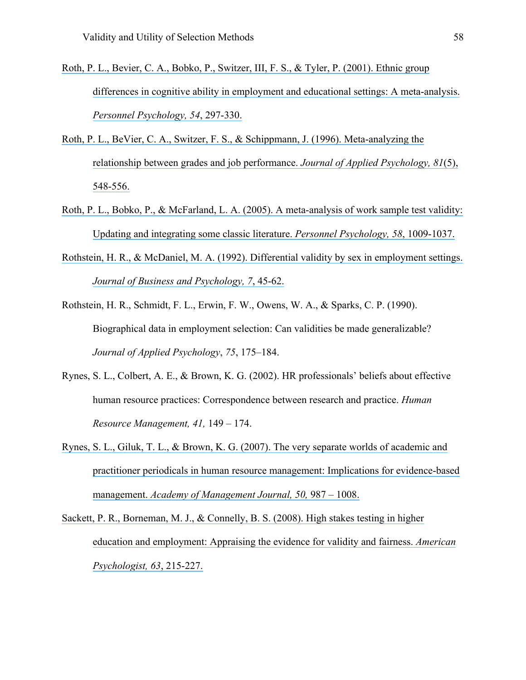- [Roth, P. L., Bevier, C. A., Bobko, P., Switzer, III, F. S., & Tyler, P. \(2001\). Ethnic group](https://www.researchgate.net/publication/229561975_Ethnic_Group_Differences_in_Cognitive_Ability_in_Employment_and_Educational_Settings?el=1_x_8&enrichId=rgreq-ac03d29ee90470b28e65c5b16b199479-XXX&enrichSource=Y292ZXJQYWdlOzMwOTIwMzg5ODtBUzo0MTgyNTE3OTMyODkyMThAMTQ3NjczMDQwNjU0Mw==)  [differences in cognitive ability in employment and educational settings: A meta-analysis.](https://www.researchgate.net/publication/229561975_Ethnic_Group_Differences_in_Cognitive_Ability_in_Employment_and_Educational_Settings?el=1_x_8&enrichId=rgreq-ac03d29ee90470b28e65c5b16b199479-XXX&enrichSource=Y292ZXJQYWdlOzMwOTIwMzg5ODtBUzo0MTgyNTE3OTMyODkyMThAMTQ3NjczMDQwNjU0Mw==)  *[Personnel Psychology, 54](https://www.researchgate.net/publication/229561975_Ethnic_Group_Differences_in_Cognitive_Ability_in_Employment_and_Educational_Settings?el=1_x_8&enrichId=rgreq-ac03d29ee90470b28e65c5b16b199479-XXX&enrichSource=Y292ZXJQYWdlOzMwOTIwMzg5ODtBUzo0MTgyNTE3OTMyODkyMThAMTQ3NjczMDQwNjU0Mw==)*, 297-330.
- [Roth, P. L., BeVier, C. A., Switzer, F. S., & Schippmann, J. \(1996\). Meta-analyzing the](https://www.researchgate.net/publication/232497939_Meta-analyzing_the_relationship_between_grades_and_job_performance?el=1_x_8&enrichId=rgreq-ac03d29ee90470b28e65c5b16b199479-XXX&enrichSource=Y292ZXJQYWdlOzMwOTIwMzg5ODtBUzo0MTgyNTE3OTMyODkyMThAMTQ3NjczMDQwNjU0Mw==)  [relationship between grades and job performance.](https://www.researchgate.net/publication/232497939_Meta-analyzing_the_relationship_between_grades_and_job_performance?el=1_x_8&enrichId=rgreq-ac03d29ee90470b28e65c5b16b199479-XXX&enrichSource=Y292ZXJQYWdlOzMwOTIwMzg5ODtBUzo0MTgyNTE3OTMyODkyMThAMTQ3NjczMDQwNjU0Mw==) *Journal of Applied Psychology, 81*(5), [548-556.](https://www.researchgate.net/publication/232497939_Meta-analyzing_the_relationship_between_grades_and_job_performance?el=1_x_8&enrichId=rgreq-ac03d29ee90470b28e65c5b16b199479-XXX&enrichSource=Y292ZXJQYWdlOzMwOTIwMzg5ODtBUzo0MTgyNTE3OTMyODkyMThAMTQ3NjczMDQwNjU0Mw==)
- [Roth, P. L., Bobko, P., & McFarland, L. A. \(2005\). A meta-analysis of work sample test validity:](https://www.researchgate.net/publication/227526262_A_meta-analysis_of_work_sample_test_validity_Updating_and_integrating_some_classic_literature?el=1_x_8&enrichId=rgreq-ac03d29ee90470b28e65c5b16b199479-XXX&enrichSource=Y292ZXJQYWdlOzMwOTIwMzg5ODtBUzo0MTgyNTE3OTMyODkyMThAMTQ3NjczMDQwNjU0Mw==)  [Updating and integrating some classic literature.](https://www.researchgate.net/publication/227526262_A_meta-analysis_of_work_sample_test_validity_Updating_and_integrating_some_classic_literature?el=1_x_8&enrichId=rgreq-ac03d29ee90470b28e65c5b16b199479-XXX&enrichSource=Y292ZXJQYWdlOzMwOTIwMzg5ODtBUzo0MTgyNTE3OTMyODkyMThAMTQ3NjczMDQwNjU0Mw==) *Personnel Psychology, 58*, 1009-1037.
- [Rothstein, H. R., & McDaniel, M. A. \(1992\). Differential validity by sex in employment settings.](https://www.researchgate.net/publication/226738937_Differential_validity_by_sex_in_employment_settings?el=1_x_8&enrichId=rgreq-ac03d29ee90470b28e65c5b16b199479-XXX&enrichSource=Y292ZXJQYWdlOzMwOTIwMzg5ODtBUzo0MTgyNTE3OTMyODkyMThAMTQ3NjczMDQwNjU0Mw==)  *[Journal of Business and Psychology, 7](https://www.researchgate.net/publication/226738937_Differential_validity_by_sex_in_employment_settings?el=1_x_8&enrichId=rgreq-ac03d29ee90470b28e65c5b16b199479-XXX&enrichSource=Y292ZXJQYWdlOzMwOTIwMzg5ODtBUzo0MTgyNTE3OTMyODkyMThAMTQ3NjczMDQwNjU0Mw==)*, 45-62.
- Rothstein, H. R., Schmidt, F. L., Erwin, F. W., Owens, W. A., & Sparks, C. P. (1990). Biographical data in employment selection: Can validities be made generalizable? *Journal of Applied Psychology*, *75*, 175–184.
- Rynes, S. L., Colbert, A. E., & Brown, K. G. (2002). HR professionals' beliefs about effective human resource practices: Correspondence between research and practice. *Human Resource Management, 41,* 149 – 174.
- [Rynes, S. L., Giluk, T. L., & Brown, K. G. \(2007\). The very separate worlds of academic and](https://www.researchgate.net/publication/228343988_The_Very_Separate_Worlds_of_Academic_and_Practitioner_Periodicals_in_Human_Resource_Management?el=1_x_8&enrichId=rgreq-ac03d29ee90470b28e65c5b16b199479-XXX&enrichSource=Y292ZXJQYWdlOzMwOTIwMzg5ODtBUzo0MTgyNTE3OTMyODkyMThAMTQ3NjczMDQwNjU0Mw==)  [practitioner periodicals in human resource management: Implications for evidence-based](https://www.researchgate.net/publication/228343988_The_Very_Separate_Worlds_of_Academic_and_Practitioner_Periodicals_in_Human_Resource_Management?el=1_x_8&enrichId=rgreq-ac03d29ee90470b28e65c5b16b199479-XXX&enrichSource=Y292ZXJQYWdlOzMwOTIwMzg5ODtBUzo0MTgyNTE3OTMyODkyMThAMTQ3NjczMDQwNjU0Mw==) management. *[Academy of Management Journal, 50,](https://www.researchgate.net/publication/228343988_The_Very_Separate_Worlds_of_Academic_and_Practitioner_Periodicals_in_Human_Resource_Management?el=1_x_8&enrichId=rgreq-ac03d29ee90470b28e65c5b16b199479-XXX&enrichSource=Y292ZXJQYWdlOzMwOTIwMzg5ODtBUzo0MTgyNTE3OTMyODkyMThAMTQ3NjczMDQwNjU0Mw==)* 987 – 1008.
- [Sackett, P. R., Borneman, M. J., & Connelly, B. S. \(2008\). High stakes testing in higher](https://www.researchgate.net/publication/null?el=1_x_8&enrichId=rgreq-ac03d29ee90470b28e65c5b16b199479-XXX&enrichSource=Y292ZXJQYWdlOzMwOTIwMzg5ODtBUzo0MTgyNTE3OTMyODkyMThAMTQ3NjczMDQwNjU0Mw==)  [education and employment: Appraising the evidence for validity and fairness.](https://www.researchgate.net/publication/null?el=1_x_8&enrichId=rgreq-ac03d29ee90470b28e65c5b16b199479-XXX&enrichSource=Y292ZXJQYWdlOzMwOTIwMzg5ODtBUzo0MTgyNTE3OTMyODkyMThAMTQ3NjczMDQwNjU0Mw==) *American [Psychologist, 63](https://www.researchgate.net/publication/null?el=1_x_8&enrichId=rgreq-ac03d29ee90470b28e65c5b16b199479-XXX&enrichSource=Y292ZXJQYWdlOzMwOTIwMzg5ODtBUzo0MTgyNTE3OTMyODkyMThAMTQ3NjczMDQwNjU0Mw==)*, 215-227.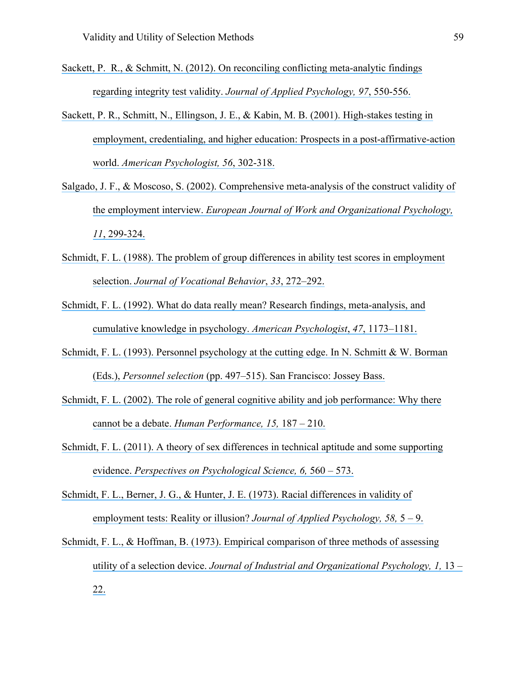- [Sackett, P. R., & Schmitt, N. \(2012\). On reconciling conflicting meta-analytic findings](https://www.researchgate.net/publication/224955631_On_Reconciling_Conflicting_Meta-Analytic_Findings_Regarding_Integrity_Test_Validity?el=1_x_8&enrichId=rgreq-ac03d29ee90470b28e65c5b16b199479-XXX&enrichSource=Y292ZXJQYWdlOzMwOTIwMzg5ODtBUzo0MTgyNTE3OTMyODkyMThAMTQ3NjczMDQwNjU0Mw==)  regarding integrity test validity. *[Journal of Applied Psychology, 97](https://www.researchgate.net/publication/224955631_On_Reconciling_Conflicting_Meta-Analytic_Findings_Regarding_Integrity_Test_Validity?el=1_x_8&enrichId=rgreq-ac03d29ee90470b28e65c5b16b199479-XXX&enrichSource=Y292ZXJQYWdlOzMwOTIwMzg5ODtBUzo0MTgyNTE3OTMyODkyMThAMTQ3NjczMDQwNjU0Mw==)*, 550-556.
- [Sackett, P. R., Schmitt, N., Ellingson, J. E., &](https://www.researchgate.net/publication/12006634_High-stakes_testing_in_employment_credentialing_and_higher_education_Prospects_in_a_post-affirmative-action_world?el=1_x_8&enrichId=rgreq-ac03d29ee90470b28e65c5b16b199479-XXX&enrichSource=Y292ZXJQYWdlOzMwOTIwMzg5ODtBUzo0MTgyNTE3OTMyODkyMThAMTQ3NjczMDQwNjU0Mw==) Kabin, M. B. (2001). High-stakes testing in [employment, credentialing, and higher education: Prospects in a post-affirmative-action](https://www.researchgate.net/publication/12006634_High-stakes_testing_in_employment_credentialing_and_higher_education_Prospects_in_a_post-affirmative-action_world?el=1_x_8&enrichId=rgreq-ac03d29ee90470b28e65c5b16b199479-XXX&enrichSource=Y292ZXJQYWdlOzMwOTIwMzg5ODtBUzo0MTgyNTE3OTMyODkyMThAMTQ3NjczMDQwNjU0Mw==)  world. *[American Psychologist, 56](https://www.researchgate.net/publication/12006634_High-stakes_testing_in_employment_credentialing_and_higher_education_Prospects_in_a_post-affirmative-action_world?el=1_x_8&enrichId=rgreq-ac03d29ee90470b28e65c5b16b199479-XXX&enrichSource=Y292ZXJQYWdlOzMwOTIwMzg5ODtBUzo0MTgyNTE3OTMyODkyMThAMTQ3NjczMDQwNjU0Mw==)*, 302-318.
- [Salgado, J. F., & Moscoso, S. \(2002\). Comprehensive meta-analysis of the construct validity of](https://www.researchgate.net/publication/239473180_Comprehensive_meta-analysis_of_the_construct_validity_of_the_employment_interview?el=1_x_8&enrichId=rgreq-ac03d29ee90470b28e65c5b16b199479-XXX&enrichSource=Y292ZXJQYWdlOzMwOTIwMzg5ODtBUzo0MTgyNTE3OTMyODkyMThAMTQ3NjczMDQwNjU0Mw==)  the employment interview. *[European Journal of Work and Organizational Psychology,](https://www.researchgate.net/publication/239473180_Comprehensive_meta-analysis_of_the_construct_validity_of_the_employment_interview?el=1_x_8&enrichId=rgreq-ac03d29ee90470b28e65c5b16b199479-XXX&enrichSource=Y292ZXJQYWdlOzMwOTIwMzg5ODtBUzo0MTgyNTE3OTMyODkyMThAMTQ3NjczMDQwNjU0Mw==)  11*[, 299-324.](https://www.researchgate.net/publication/239473180_Comprehensive_meta-analysis_of_the_construct_validity_of_the_employment_interview?el=1_x_8&enrichId=rgreq-ac03d29ee90470b28e65c5b16b199479-XXX&enrichSource=Y292ZXJQYWdlOzMwOTIwMzg5ODtBUzo0MTgyNTE3OTMyODkyMThAMTQ3NjczMDQwNjU0Mw==)
- [Schmidt, F. L. \(1988\). The problem of group differences in ability test scores in employment](https://www.researchgate.net/publication/223733812_The_problem_of_group_differences_in_ability_scores_in_employment_selection?el=1_x_8&enrichId=rgreq-ac03d29ee90470b28e65c5b16b199479-XXX&enrichSource=Y292ZXJQYWdlOzMwOTIwMzg5ODtBUzo0MTgyNTE3OTMyODkyMThAMTQ3NjczMDQwNjU0Mw==)  selection. *[Journal of Vocational Behavior](https://www.researchgate.net/publication/223733812_The_problem_of_group_differences_in_ability_scores_in_employment_selection?el=1_x_8&enrichId=rgreq-ac03d29ee90470b28e65c5b16b199479-XXX&enrichSource=Y292ZXJQYWdlOzMwOTIwMzg5ODtBUzo0MTgyNTE3OTMyODkyMThAMTQ3NjczMDQwNjU0Mw==)*, *33*, 272–292.
- [Schmidt, F. L. \(1992\). What do data really mean? Research findings, meta-analysis, and](https://www.researchgate.net/publication/280689992_What_Do_Data_Really_Mean_Research_Findings_Meta-Analysis_and_Cumulative_Knowledge_in_Psychology?el=1_x_8&enrichId=rgreq-ac03d29ee90470b28e65c5b16b199479-XXX&enrichSource=Y292ZXJQYWdlOzMwOTIwMzg5ODtBUzo0MTgyNTE3OTMyODkyMThAMTQ3NjczMDQwNjU0Mw==) [cumulative knowledge in psychology.](https://www.researchgate.net/publication/280689992_What_Do_Data_Really_Mean_Research_Findings_Meta-Analysis_and_Cumulative_Knowledge_in_Psychology?el=1_x_8&enrichId=rgreq-ac03d29ee90470b28e65c5b16b199479-XXX&enrichSource=Y292ZXJQYWdlOzMwOTIwMzg5ODtBUzo0MTgyNTE3OTMyODkyMThAMTQ3NjczMDQwNjU0Mw==) *American Psychologist*, *47*, 1173–1181.
- [Schmidt, F. L. \(1993\). Personnel psychology at the cutting edge. In N. Schmitt & W. Borman](https://www.researchgate.net/publication/248876366_Personnel_psychology_at_the_cutting_edge?el=1_x_8&enrichId=rgreq-ac03d29ee90470b28e65c5b16b199479-XXX&enrichSource=Y292ZXJQYWdlOzMwOTIwMzg5ODtBUzo0MTgyNTE3OTMyODkyMThAMTQ3NjczMDQwNjU0Mw==) (Eds.), *Personnel selection* [\(pp. 497–515\). San Francisco: Jossey Bass.](https://www.researchgate.net/publication/248876366_Personnel_psychology_at_the_cutting_edge?el=1_x_8&enrichId=rgreq-ac03d29ee90470b28e65c5b16b199479-XXX&enrichSource=Y292ZXJQYWdlOzMwOTIwMzg5ODtBUzo0MTgyNTE3OTMyODkyMThAMTQ3NjczMDQwNjU0Mw==)
- [Schmidt, F. L. \(2002\). The role](https://www.researchgate.net/publication/240237107_The_Role_of_General_Cognitive_Ability_and_Job_Performance_Why_There_Cannot_Be_a_Debate?el=1_x_8&enrichId=rgreq-ac03d29ee90470b28e65c5b16b199479-XXX&enrichSource=Y292ZXJQYWdlOzMwOTIwMzg5ODtBUzo0MTgyNTE3OTMyODkyMThAMTQ3NjczMDQwNjU0Mw==) of general cognitive ability and job performance: Why there cannot be a debate. *[Human Performance, 15,](https://www.researchgate.net/publication/240237107_The_Role_of_General_Cognitive_Ability_and_Job_Performance_Why_There_Cannot_Be_a_Debate?el=1_x_8&enrichId=rgreq-ac03d29ee90470b28e65c5b16b199479-XXX&enrichSource=Y292ZXJQYWdlOzMwOTIwMzg5ODtBUzo0MTgyNTE3OTMyODkyMThAMTQ3NjczMDQwNjU0Mw==)* 187 – 210.
- [Schmidt, F. L. \(2011\). A theory of sex differences in technical aptitude and some supporting](https://www.researchgate.net/publication/258180119_A_Theory_of_Sex_Differences_in_Technical_Aptitude_and_Some_Supporting_Evidence?el=1_x_8&enrichId=rgreq-ac03d29ee90470b28e65c5b16b199479-XXX&enrichSource=Y292ZXJQYWdlOzMwOTIwMzg5ODtBUzo0MTgyNTE3OTMyODkyMThAMTQ3NjczMDQwNjU0Mw==)  evidence. *[Perspectives on Psychological Science, 6,](https://www.researchgate.net/publication/258180119_A_Theory_of_Sex_Differences_in_Technical_Aptitude_and_Some_Supporting_Evidence?el=1_x_8&enrichId=rgreq-ac03d29ee90470b28e65c5b16b199479-XXX&enrichSource=Y292ZXJQYWdlOzMwOTIwMzg5ODtBUzo0MTgyNTE3OTMyODkyMThAMTQ3NjczMDQwNjU0Mw==)* 560 – 573.
- [Schmidt, F. L., Berner, J. G., & Hunter, J. E. \(1973\). Racial differences in validity of](https://www.researchgate.net/publication/232455505_Racial_Difference_in_Validity_of_Employment_Tests_Reality_or_Illusion?el=1_x_8&enrichId=rgreq-ac03d29ee90470b28e65c5b16b199479-XXX&enrichSource=Y292ZXJQYWdlOzMwOTIwMzg5ODtBUzo0MTgyNTE3OTMyODkyMThAMTQ3NjczMDQwNjU0Mw==)  [employment tests: Reality or illusion?](https://www.researchgate.net/publication/232455505_Racial_Difference_in_Validity_of_Employment_Tests_Reality_or_Illusion?el=1_x_8&enrichId=rgreq-ac03d29ee90470b28e65c5b16b199479-XXX&enrichSource=Y292ZXJQYWdlOzMwOTIwMzg5ODtBUzo0MTgyNTE3OTMyODkyMThAMTQ3NjczMDQwNjU0Mw==) *Journal of Applied Psychology, 58,* 5 – 9.
- [Schmidt, F. L., & Hoffman, B. \(1973\). Empirical comparison of three methods of assessing](https://www.researchgate.net/publication/232498699_Empirical_comparison_of_three_methods_of_assessing_utility_of_a_selection_device?el=1_x_8&enrichId=rgreq-ac03d29ee90470b28e65c5b16b199479-XXX&enrichSource=Y292ZXJQYWdlOzMwOTIwMzg5ODtBUzo0MTgyNTE3OTMyODkyMThAMTQ3NjczMDQwNjU0Mw==) utility of a selection device. *[Journal of Industrial and Organizational Psychology, 1,](https://www.researchgate.net/publication/232498699_Empirical_comparison_of_three_methods_of_assessing_utility_of_a_selection_device?el=1_x_8&enrichId=rgreq-ac03d29ee90470b28e65c5b16b199479-XXX&enrichSource=Y292ZXJQYWdlOzMwOTIwMzg5ODtBUzo0MTgyNTE3OTMyODkyMThAMTQ3NjczMDQwNjU0Mw==)* 13 – [22.](https://www.researchgate.net/publication/232498699_Empirical_comparison_of_three_methods_of_assessing_utility_of_a_selection_device?el=1_x_8&enrichId=rgreq-ac03d29ee90470b28e65c5b16b199479-XXX&enrichSource=Y292ZXJQYWdlOzMwOTIwMzg5ODtBUzo0MTgyNTE3OTMyODkyMThAMTQ3NjczMDQwNjU0Mw==)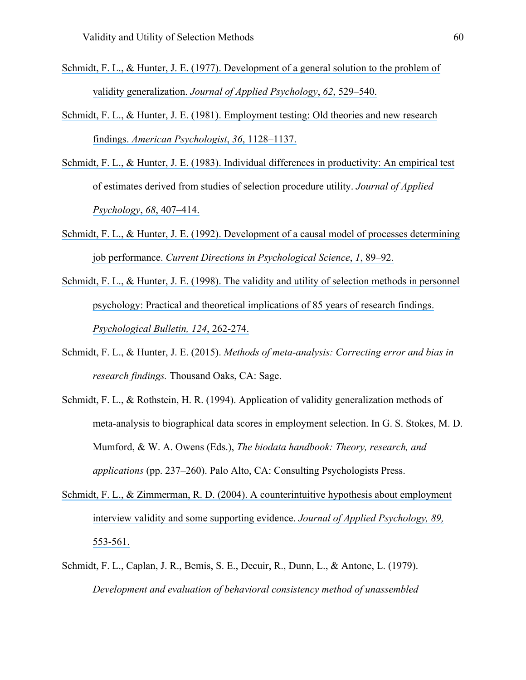- Schmidt, F. L., & Hunter, J. E. [\(1977\). Development of a general solution to the problem of](https://www.researchgate.net/publication/232591217_Development_of_a_General_Solution_to_the_Problem_of_Validity_Generalization?el=1_x_8&enrichId=rgreq-ac03d29ee90470b28e65c5b16b199479-XXX&enrichSource=Y292ZXJQYWdlOzMwOTIwMzg5ODtBUzo0MTgyNTE3OTMyODkyMThAMTQ3NjczMDQwNjU0Mw==)  validity generalization. *[Journal of Applied Psychology](https://www.researchgate.net/publication/232591217_Development_of_a_General_Solution_to_the_Problem_of_Validity_Generalization?el=1_x_8&enrichId=rgreq-ac03d29ee90470b28e65c5b16b199479-XXX&enrichSource=Y292ZXJQYWdlOzMwOTIwMzg5ODtBUzo0MTgyNTE3OTMyODkyMThAMTQ3NjczMDQwNjU0Mw==)*, *62*, 529–540.
- [Schmidt, F. L., & Hunter, J. E. \(1981\). Employment testing: Old theories and new research](https://www.researchgate.net/publication/232592668_Employment_Testing_Old_Theories_and_New_Research_Findings?el=1_x_8&enrichId=rgreq-ac03d29ee90470b28e65c5b16b199479-XXX&enrichSource=Y292ZXJQYWdlOzMwOTIwMzg5ODtBUzo0MTgyNTE3OTMyODkyMThAMTQ3NjczMDQwNjU0Mw==) findings. *[American Psychologist](https://www.researchgate.net/publication/232592668_Employment_Testing_Old_Theories_and_New_Research_Findings?el=1_x_8&enrichId=rgreq-ac03d29ee90470b28e65c5b16b199479-XXX&enrichSource=Y292ZXJQYWdlOzMwOTIwMzg5ODtBUzo0MTgyNTE3OTMyODkyMThAMTQ3NjczMDQwNjU0Mw==)*, *36*, 1128–1137.
- [Schmidt, F. L., & Hunter, J. E. \(1983\). Individual differences in productivity: An empirical test](https://www.researchgate.net/publication/232567558_Individual_Differences_in_Productivity_An_Empirical_Test_of_Estimates_Derived_from_Studies_of_Selection_Procedure_Utility?el=1_x_8&enrichId=rgreq-ac03d29ee90470b28e65c5b16b199479-XXX&enrichSource=Y292ZXJQYWdlOzMwOTIwMzg5ODtBUzo0MTgyNTE3OTMyODkyMThAMTQ3NjczMDQwNjU0Mw==) [of estimates derived from studies of selection procedure utility.](https://www.researchgate.net/publication/232567558_Individual_Differences_in_Productivity_An_Empirical_Test_of_Estimates_Derived_from_Studies_of_Selection_Procedure_Utility?el=1_x_8&enrichId=rgreq-ac03d29ee90470b28e65c5b16b199479-XXX&enrichSource=Y292ZXJQYWdlOzMwOTIwMzg5ODtBUzo0MTgyNTE3OTMyODkyMThAMTQ3NjczMDQwNjU0Mw==) *Journal of Applied [Psychology](https://www.researchgate.net/publication/232567558_Individual_Differences_in_Productivity_An_Empirical_Test_of_Estimates_Derived_from_Studies_of_Selection_Procedure_Utility?el=1_x_8&enrichId=rgreq-ac03d29ee90470b28e65c5b16b199479-XXX&enrichSource=Y292ZXJQYWdlOzMwOTIwMzg5ODtBUzo0MTgyNTE3OTMyODkyMThAMTQ3NjczMDQwNjU0Mw==)*, *68*, 407–414.
- [Schmidt, F. L., & Hunter, J. E. \(1992\). Development of](https://www.researchgate.net/publication/254081309_Development_of_a_Causal_Model_of_Processes_Determining_Job_Performance?el=1_x_8&enrichId=rgreq-ac03d29ee90470b28e65c5b16b199479-XXX&enrichSource=Y292ZXJQYWdlOzMwOTIwMzg5ODtBUzo0MTgyNTE3OTMyODkyMThAMTQ3NjczMDQwNjU0Mw==) a causal model of processes determining job performance. *[Current Directions in Psychological Science](https://www.researchgate.net/publication/254081309_Development_of_a_Causal_Model_of_Processes_Determining_Job_Performance?el=1_x_8&enrichId=rgreq-ac03d29ee90470b28e65c5b16b199479-XXX&enrichSource=Y292ZXJQYWdlOzMwOTIwMzg5ODtBUzo0MTgyNTE3OTMyODkyMThAMTQ3NjczMDQwNjU0Mw==)*, *1*, 89–92.
- Schmidt, F. L., & [Hunter, J. E. \(1998\). The validity and utility of selection methods in personnel](https://www.researchgate.net/publication/283803351_The_Validity_and_Utility_of_Selection_Methods_in_Personnel_Psychology_Practical_and_Theoretical_Implications_of_85_Years_of_Research_Findings?el=1_x_8&enrichId=rgreq-ac03d29ee90470b28e65c5b16b199479-XXX&enrichSource=Y292ZXJQYWdlOzMwOTIwMzg5ODtBUzo0MTgyNTE3OTMyODkyMThAMTQ3NjczMDQwNjU0Mw==) [psychology: Practical and theoretical implications of 85 years of research findings.](https://www.researchgate.net/publication/283803351_The_Validity_and_Utility_of_Selection_Methods_in_Personnel_Psychology_Practical_and_Theoretical_Implications_of_85_Years_of_Research_Findings?el=1_x_8&enrichId=rgreq-ac03d29ee90470b28e65c5b16b199479-XXX&enrichSource=Y292ZXJQYWdlOzMwOTIwMzg5ODtBUzo0MTgyNTE3OTMyODkyMThAMTQ3NjczMDQwNjU0Mw==)  *[Psychological Bulletin, 124](https://www.researchgate.net/publication/283803351_The_Validity_and_Utility_of_Selection_Methods_in_Personnel_Psychology_Practical_and_Theoretical_Implications_of_85_Years_of_Research_Findings?el=1_x_8&enrichId=rgreq-ac03d29ee90470b28e65c5b16b199479-XXX&enrichSource=Y292ZXJQYWdlOzMwOTIwMzg5ODtBUzo0MTgyNTE3OTMyODkyMThAMTQ3NjczMDQwNjU0Mw==)*, 262-274.
- Schmidt, F. L., & Hunter, J. E. (2015). *Methods of meta-analysis: Correcting error and bias in research findings.* Thousand Oaks, CA: Sage.
- Schmidt, F. L., & Rothstein, H. R. (1994). Application of validity generalization methods of meta-analysis to biographical data scores in employment selection. In G. S. Stokes, M. D. Mumford, & W. A. Owens (Eds.), *The biodata handbook: Theory, research, and applications* (pp. 237–260). Palo Alto, CA: Consulting Psychologists Press.
- [Schmidt, F. L., & Zimmerman, R. D. \(2004\). A counterintuitive hypothesis about employment](https://www.researchgate.net/publication/8545846_A_Counterintuitive_Hypothesis_About_Employment_Interview_Validity_and_Some_Supporting_Evidence?el=1_x_8&enrichId=rgreq-ac03d29ee90470b28e65c5b16b199479-XXX&enrichSource=Y292ZXJQYWdlOzMwOTIwMzg5ODtBUzo0MTgyNTE3OTMyODkyMThAMTQ3NjczMDQwNjU0Mw==)  interview validity and some supporting evidence. *[Journal of Applied Psychology, 89,](https://www.researchgate.net/publication/8545846_A_Counterintuitive_Hypothesis_About_Employment_Interview_Validity_and_Some_Supporting_Evidence?el=1_x_8&enrichId=rgreq-ac03d29ee90470b28e65c5b16b199479-XXX&enrichSource=Y292ZXJQYWdlOzMwOTIwMzg5ODtBUzo0MTgyNTE3OTMyODkyMThAMTQ3NjczMDQwNjU0Mw==)*  [553-561.](https://www.researchgate.net/publication/8545846_A_Counterintuitive_Hypothesis_About_Employment_Interview_Validity_and_Some_Supporting_Evidence?el=1_x_8&enrichId=rgreq-ac03d29ee90470b28e65c5b16b199479-XXX&enrichSource=Y292ZXJQYWdlOzMwOTIwMzg5ODtBUzo0MTgyNTE3OTMyODkyMThAMTQ3NjczMDQwNjU0Mw==)
- Schmidt, F. L., Caplan, J. R., Bemis, S. E., Decuir, R., Dunn, L., & Antone, L. (1979). *Development and evaluation of behavioral consistency method of unassembled*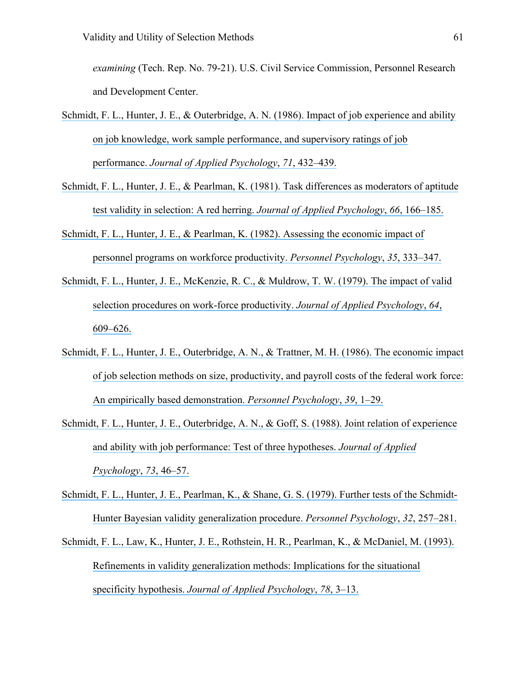*examining* (Tech. Rep. No. 79-21). U.S. Civil Service Commission, Personnel Research and Development Center.

- Schmidt, F. L., Hunter, J. E., & Outerbridge, A. N. (1986). Impact of job experience and ability [on job knowledge, work sample performance, and supervisory ratings of job](https://www.researchgate.net/publication/232601470_Impact_of_Job_Experience_and_Ability_on_Job_Knowledge_Work_Sample_Performance_and_Supervisory_Ratings_of_Job_Performance?el=1_x_8&enrichId=rgreq-ac03d29ee90470b28e65c5b16b199479-XXX&enrichSource=Y292ZXJQYWdlOzMwOTIwMzg5ODtBUzo0MTgyNTE3OTMyODkyMThAMTQ3NjczMDQwNjU0Mw==)  performance. *[Journal of Applied Psychology](https://www.researchgate.net/publication/232601470_Impact_of_Job_Experience_and_Ability_on_Job_Knowledge_Work_Sample_Performance_and_Supervisory_Ratings_of_Job_Performance?el=1_x_8&enrichId=rgreq-ac03d29ee90470b28e65c5b16b199479-XXX&enrichSource=Y292ZXJQYWdlOzMwOTIwMzg5ODtBUzo0MTgyNTE3OTMyODkyMThAMTQ3NjczMDQwNjU0Mw==)*, *71*, 432–439.
- [Schmidt, F. L., Hunter, J. E., & Pearlman, K. \(1981\). Task differences as moderators of aptitude](https://www.researchgate.net/publication/232514961_Task_differences_as_moderators_of_aptitude_test_validity_in_selection_A_red_herring?el=1_x_8&enrichId=rgreq-ac03d29ee90470b28e65c5b16b199479-XXX&enrichSource=Y292ZXJQYWdlOzMwOTIwMzg5ODtBUzo0MTgyNTE3OTMyODkyMThAMTQ3NjczMDQwNjU0Mw==)  test validity in selection: A red herring. *[Journal of Applied Psychology](https://www.researchgate.net/publication/232514961_Task_differences_as_moderators_of_aptitude_test_validity_in_selection_A_red_herring?el=1_x_8&enrichId=rgreq-ac03d29ee90470b28e65c5b16b199479-XXX&enrichSource=Y292ZXJQYWdlOzMwOTIwMzg5ODtBUzo0MTgyNTE3OTMyODkyMThAMTQ3NjczMDQwNjU0Mw==)*, *66*, 166–185.
- [Schmidt, F. L., Hunter, J. E., & Pearlman, K. \(1982\). Assessing the economic impact of](https://www.researchgate.net/publication/229614433_Assessing_the_Economic_Impact_of_Personnel_Programs_on_Workforce_Productivity?el=1_x_8&enrichId=rgreq-ac03d29ee90470b28e65c5b16b199479-XXX&enrichSource=Y292ZXJQYWdlOzMwOTIwMzg5ODtBUzo0MTgyNTE3OTMyODkyMThAMTQ3NjczMDQwNjU0Mw==)  [personnel programs on workforce productivity.](https://www.researchgate.net/publication/229614433_Assessing_the_Economic_Impact_of_Personnel_Programs_on_Workforce_Productivity?el=1_x_8&enrichId=rgreq-ac03d29ee90470b28e65c5b16b199479-XXX&enrichSource=Y292ZXJQYWdlOzMwOTIwMzg5ODtBUzo0MTgyNTE3OTMyODkyMThAMTQ3NjczMDQwNjU0Mw==) *Personnel Psychology*, *35*, 333–347.
- [Schmidt, F. L., Hunter, J. E., McKenzie, R. C., & Muldrow, T. W. \(1979\). The impact of valid](https://www.researchgate.net/publication/232549668_Impact_of_Valid_Selection_Procedures_on_Work-Force_Productivity?el=1_x_8&enrichId=rgreq-ac03d29ee90470b28e65c5b16b199479-XXX&enrichSource=Y292ZXJQYWdlOzMwOTIwMzg5ODtBUzo0MTgyNTE3OTMyODkyMThAMTQ3NjczMDQwNjU0Mw==) [selection procedures on work-force productivity.](https://www.researchgate.net/publication/232549668_Impact_of_Valid_Selection_Procedures_on_Work-Force_Productivity?el=1_x_8&enrichId=rgreq-ac03d29ee90470b28e65c5b16b199479-XXX&enrichSource=Y292ZXJQYWdlOzMwOTIwMzg5ODtBUzo0MTgyNTE3OTMyODkyMThAMTQ3NjczMDQwNjU0Mw==) *Journal of Applied Psychology*, *64*, [609–626.](https://www.researchgate.net/publication/232549668_Impact_of_Valid_Selection_Procedures_on_Work-Force_Productivity?el=1_x_8&enrichId=rgreq-ac03d29ee90470b28e65c5b16b199479-XXX&enrichSource=Y292ZXJQYWdlOzMwOTIwMzg5ODtBUzo0MTgyNTE3OTMyODkyMThAMTQ3NjczMDQwNjU0Mw==)
- [Schmidt, F. L., Hunter, J. E., Outerbridge, A. N., & Trattner, M. H. \(1986\). The economic impact](https://www.researchgate.net/publication/227913563_The_economic_impact_of_job_selection_methods_on_size_productivity_and_payroll_costs_of_the_federal_work_force_An_empirically_based_demonstration?el=1_x_8&enrichId=rgreq-ac03d29ee90470b28e65c5b16b199479-XXX&enrichSource=Y292ZXJQYWdlOzMwOTIwMzg5ODtBUzo0MTgyNTE3OTMyODkyMThAMTQ3NjczMDQwNjU0Mw==)  [of job selection methods on size, productivity, and payroll costs of the federal work force:](https://www.researchgate.net/publication/227913563_The_economic_impact_of_job_selection_methods_on_size_productivity_and_payroll_costs_of_the_federal_work_force_An_empirically_based_demonstration?el=1_x_8&enrichId=rgreq-ac03d29ee90470b28e65c5b16b199479-XXX&enrichSource=Y292ZXJQYWdlOzMwOTIwMzg5ODtBUzo0MTgyNTE3OTMyODkyMThAMTQ3NjczMDQwNjU0Mw==)  An empirically based demonstration. *[Personnel Psychology](https://www.researchgate.net/publication/227913563_The_economic_impact_of_job_selection_methods_on_size_productivity_and_payroll_costs_of_the_federal_work_force_An_empirically_based_demonstration?el=1_x_8&enrichId=rgreq-ac03d29ee90470b28e65c5b16b199479-XXX&enrichSource=Y292ZXJQYWdlOzMwOTIwMzg5ODtBUzo0MTgyNTE3OTMyODkyMThAMTQ3NjczMDQwNjU0Mw==)*, *39*, 1–29.
- [Schmidt, F. L., Hunter, J. E., Outerbridge, A. N., & Goff, S. \(1988\). Joint relation of experience](https://www.researchgate.net/publication/290815775_Joint_Relation_of_Experience_and_Ability_With_Job_Performance_Test_of_Three_Hypotheses?el=1_x_8&enrichId=rgreq-ac03d29ee90470b28e65c5b16b199479-XXX&enrichSource=Y292ZXJQYWdlOzMwOTIwMzg5ODtBUzo0MTgyNTE3OTMyODkyMThAMTQ3NjczMDQwNjU0Mw==) [and ability with job performance: Test of three hypotheses.](https://www.researchgate.net/publication/290815775_Joint_Relation_of_Experience_and_Ability_With_Job_Performance_Test_of_Three_Hypotheses?el=1_x_8&enrichId=rgreq-ac03d29ee90470b28e65c5b16b199479-XXX&enrichSource=Y292ZXJQYWdlOzMwOTIwMzg5ODtBUzo0MTgyNTE3OTMyODkyMThAMTQ3NjczMDQwNjU0Mw==) *Journal of Applied [Psychology](https://www.researchgate.net/publication/290815775_Joint_Relation_of_Experience_and_Ability_With_Job_Performance_Test_of_Three_Hypotheses?el=1_x_8&enrichId=rgreq-ac03d29ee90470b28e65c5b16b199479-XXX&enrichSource=Y292ZXJQYWdlOzMwOTIwMzg5ODtBUzo0MTgyNTE3OTMyODkyMThAMTQ3NjczMDQwNjU0Mw==)*, *73*, 46–57.
- [Schmidt, F. L., Hunter, J. E., Pearlman, K., & Shane, G. S. \(1979\). Further tests of the Schmidt-](https://www.researchgate.net/publication/229687981_Further_Tests_of_the_Schmidt-Hunter-Bayesian_Validity_Generalization_Procedure?el=1_x_8&enrichId=rgreq-ac03d29ee90470b28e65c5b16b199479-XXX&enrichSource=Y292ZXJQYWdlOzMwOTIwMzg5ODtBUzo0MTgyNTE3OTMyODkyMThAMTQ3NjczMDQwNjU0Mw==)[Hunter Bayesian validity generalization procedure.](https://www.researchgate.net/publication/229687981_Further_Tests_of_the_Schmidt-Hunter-Bayesian_Validity_Generalization_Procedure?el=1_x_8&enrichId=rgreq-ac03d29ee90470b28e65c5b16b199479-XXX&enrichSource=Y292ZXJQYWdlOzMwOTIwMzg5ODtBUzo0MTgyNTE3OTMyODkyMThAMTQ3NjczMDQwNjU0Mw==) *Personnel Psychology*, *32*, 257–281.
- [Schmidt, F. L., Law, K., Hunter, J. E., Rothstein, H. R., Pearlman, K., & McDaniel, M. \(1993\).](https://www.researchgate.net/publication/232530550_Refinements_in_Validity_Generalization_Methods_Implications_for_the_Situational_Specificity_Hypothesis?el=1_x_8&enrichId=rgreq-ac03d29ee90470b28e65c5b16b199479-XXX&enrichSource=Y292ZXJQYWdlOzMwOTIwMzg5ODtBUzo0MTgyNTE3OTMyODkyMThAMTQ3NjczMDQwNjU0Mw==)  [Refinements in validity generalization methods: Implications for the situational](https://www.researchgate.net/publication/232530550_Refinements_in_Validity_Generalization_Methods_Implications_for_the_Situational_Specificity_Hypothesis?el=1_x_8&enrichId=rgreq-ac03d29ee90470b28e65c5b16b199479-XXX&enrichSource=Y292ZXJQYWdlOzMwOTIwMzg5ODtBUzo0MTgyNTE3OTMyODkyMThAMTQ3NjczMDQwNjU0Mw==) specificity hypothesis. *[Journal of Applied Psychology](https://www.researchgate.net/publication/232530550_Refinements_in_Validity_Generalization_Methods_Implications_for_the_Situational_Specificity_Hypothesis?el=1_x_8&enrichId=rgreq-ac03d29ee90470b28e65c5b16b199479-XXX&enrichSource=Y292ZXJQYWdlOzMwOTIwMzg5ODtBUzo0MTgyNTE3OTMyODkyMThAMTQ3NjczMDQwNjU0Mw==)*, *78*, 3–13.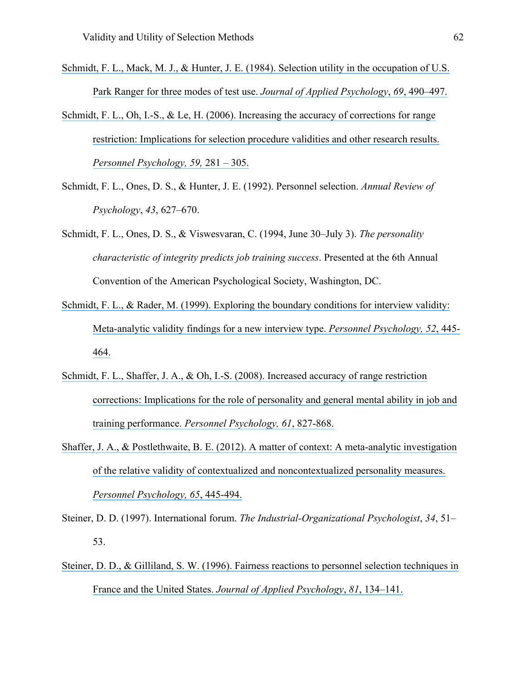Schmidt, F. L., Mack, M. J., & [Hunter, J. E. \(1984\). Selection utility in the occupation of U.S.](https://www.researchgate.net/publication/232449844_Selection_Utility_in_the_Occupation_of_US_Park_Ranger_for_Three_Modes_of_Test_Use?el=1_x_8&enrichId=rgreq-ac03d29ee90470b28e65c5b16b199479-XXX&enrichSource=Y292ZXJQYWdlOzMwOTIwMzg5ODtBUzo0MTgyNTE3OTMyODkyMThAMTQ3NjczMDQwNjU0Mw==)  [Park Ranger for three modes of test use.](https://www.researchgate.net/publication/232449844_Selection_Utility_in_the_Occupation_of_US_Park_Ranger_for_Three_Modes_of_Test_Use?el=1_x_8&enrichId=rgreq-ac03d29ee90470b28e65c5b16b199479-XXX&enrichSource=Y292ZXJQYWdlOzMwOTIwMzg5ODtBUzo0MTgyNTE3OTMyODkyMThAMTQ3NjczMDQwNjU0Mw==) *Journal of Applied Psychology*, *69*, 490–497.

- [Schmidt, F. L., Oh, I.-S., & Le, H. \(2006\). Increasing the accuracy of corrections for range](https://www.researchgate.net/publication/229458744_Increasing_the_accuracy_of_corrections_for_range_restriction_Implications_for_selection_procedure_validities_and_other_research_results?el=1_x_8&enrichId=rgreq-ac03d29ee90470b28e65c5b16b199479-XXX&enrichSource=Y292ZXJQYWdlOzMwOTIwMzg5ODtBUzo0MTgyNTE3OTMyODkyMThAMTQ3NjczMDQwNjU0Mw==) [restriction: Implications for selection procedure validities and other research results.](https://www.researchgate.net/publication/229458744_Increasing_the_accuracy_of_corrections_for_range_restriction_Implications_for_selection_procedure_validities_and_other_research_results?el=1_x_8&enrichId=rgreq-ac03d29ee90470b28e65c5b16b199479-XXX&enrichSource=Y292ZXJQYWdlOzMwOTIwMzg5ODtBUzo0MTgyNTE3OTMyODkyMThAMTQ3NjczMDQwNjU0Mw==)  *[Personnel Psychology, 59,](https://www.researchgate.net/publication/229458744_Increasing_the_accuracy_of_corrections_for_range_restriction_Implications_for_selection_procedure_validities_and_other_research_results?el=1_x_8&enrichId=rgreq-ac03d29ee90470b28e65c5b16b199479-XXX&enrichSource=Y292ZXJQYWdlOzMwOTIwMzg5ODtBUzo0MTgyNTE3OTMyODkyMThAMTQ3NjczMDQwNjU0Mw==)* 281 – 305.
- Schmidt, F. L., Ones, D. S., & Hunter, J. E. (1992). Personnel selection. *Annual Review of Psychology*, *43*, 627–670.
- Schmidt, F. L., Ones, D. S., & Viswesvaran, C. (1994, June 30–July 3). *The personality characteristic of integrity predicts job training success*. Presented at the 6th Annual Convention of the American Psychological Society, Washington, DC.
- Schmidt, F. L., & Rader, M. (1999). Exploring the boundary conditions for interview validity: [Meta-analytic validity findings for a new interview type.](https://www.researchgate.net/publication/289638536_Exploring_the_boundary_conditions_for_interview_validity_Meta-analytic_validity_findings_for_a_new_interview_type?el=1_x_8&enrichId=rgreq-ac03d29ee90470b28e65c5b16b199479-XXX&enrichSource=Y292ZXJQYWdlOzMwOTIwMzg5ODtBUzo0MTgyNTE3OTMyODkyMThAMTQ3NjczMDQwNjU0Mw==) *Personnel Psychology, 52*, 445- [464.](https://www.researchgate.net/publication/289638536_Exploring_the_boundary_conditions_for_interview_validity_Meta-analytic_validity_findings_for_a_new_interview_type?el=1_x_8&enrichId=rgreq-ac03d29ee90470b28e65c5b16b199479-XXX&enrichSource=Y292ZXJQYWdlOzMwOTIwMzg5ODtBUzo0MTgyNTE3OTMyODkyMThAMTQ3NjczMDQwNjU0Mw==)
- [Schmidt, F. L., Shaffer, J. A., & Oh, I.-S. \(2008\). Increased accuracy of range restriction](https://www.researchgate.net/publication/229646221_Increased_accuracy_for_range_restriction_corrections_Implications_for_the_role_of_personality_and_general_mental_ability_in_job_and_training_performance?el=1_x_8&enrichId=rgreq-ac03d29ee90470b28e65c5b16b199479-XXX&enrichSource=Y292ZXJQYWdlOzMwOTIwMzg5ODtBUzo0MTgyNTE3OTMyODkyMThAMTQ3NjczMDQwNjU0Mw==) [corrections: Implications for the role of personality and general mental ability in job and](https://www.researchgate.net/publication/229646221_Increased_accuracy_for_range_restriction_corrections_Implications_for_the_role_of_personality_and_general_mental_ability_in_job_and_training_performance?el=1_x_8&enrichId=rgreq-ac03d29ee90470b28e65c5b16b199479-XXX&enrichSource=Y292ZXJQYWdlOzMwOTIwMzg5ODtBUzo0MTgyNTE3OTMyODkyMThAMTQ3NjczMDQwNjU0Mw==) training performance. *[Personnel Psychology, 61](https://www.researchgate.net/publication/229646221_Increased_accuracy_for_range_restriction_corrections_Implications_for_the_role_of_personality_and_general_mental_ability_in_job_and_training_performance?el=1_x_8&enrichId=rgreq-ac03d29ee90470b28e65c5b16b199479-XXX&enrichSource=Y292ZXJQYWdlOzMwOTIwMzg5ODtBUzo0MTgyNTE3OTMyODkyMThAMTQ3NjczMDQwNjU0Mw==)*, 827-868.
- [Shaffer, J. A., & Postlethwaite, B. E. \(2012\). A matter of context: A meta-analytic investigation](https://www.researchgate.net/publication/263575588_A_Matter_of_Context_A_Meta-Analytic_Investigation_of_the_Relative_Validity_of_Contextualized_and_Noncontextualized_Personality_Measures?el=1_x_8&enrichId=rgreq-ac03d29ee90470b28e65c5b16b199479-XXX&enrichSource=Y292ZXJQYWdlOzMwOTIwMzg5ODtBUzo0MTgyNTE3OTMyODkyMThAMTQ3NjczMDQwNjU0Mw==)  [of the relative validity of contextualized and noncontextualized personality measures.](https://www.researchgate.net/publication/263575588_A_Matter_of_Context_A_Meta-Analytic_Investigation_of_the_Relative_Validity_of_Contextualized_and_Noncontextualized_Personality_Measures?el=1_x_8&enrichId=rgreq-ac03d29ee90470b28e65c5b16b199479-XXX&enrichSource=Y292ZXJQYWdlOzMwOTIwMzg5ODtBUzo0MTgyNTE3OTMyODkyMThAMTQ3NjczMDQwNjU0Mw==)  *[Personnel Psychology, 65](https://www.researchgate.net/publication/263575588_A_Matter_of_Context_A_Meta-Analytic_Investigation_of_the_Relative_Validity_of_Contextualized_and_Noncontextualized_Personality_Measures?el=1_x_8&enrichId=rgreq-ac03d29ee90470b28e65c5b16b199479-XXX&enrichSource=Y292ZXJQYWdlOzMwOTIwMzg5ODtBUzo0MTgyNTE3OTMyODkyMThAMTQ3NjczMDQwNjU0Mw==)*, 445-494.
- Steiner, D. D. (1997). International forum. *The Industrial-Organizational Psychologist*, *34*, 51– 53.
- [Steiner, D. D., & Gilliland, S. W. \(1996\). Fairness reactions to personnel selection techniques in](https://www.researchgate.net/publication/232599605_Fairness_Reactions_to_Personnel_Selection_Techniques_in_France_and_United_States?el=1_x_8&enrichId=rgreq-ac03d29ee90470b28e65c5b16b199479-XXX&enrichSource=Y292ZXJQYWdlOzMwOTIwMzg5ODtBUzo0MTgyNTE3OTMyODkyMThAMTQ3NjczMDQwNjU0Mw==)  France and the United States. *[Journal of Applied Psychology](https://www.researchgate.net/publication/232599605_Fairness_Reactions_to_Personnel_Selection_Techniques_in_France_and_United_States?el=1_x_8&enrichId=rgreq-ac03d29ee90470b28e65c5b16b199479-XXX&enrichSource=Y292ZXJQYWdlOzMwOTIwMzg5ODtBUzo0MTgyNTE3OTMyODkyMThAMTQ3NjczMDQwNjU0Mw==)*, *81*, 134–141.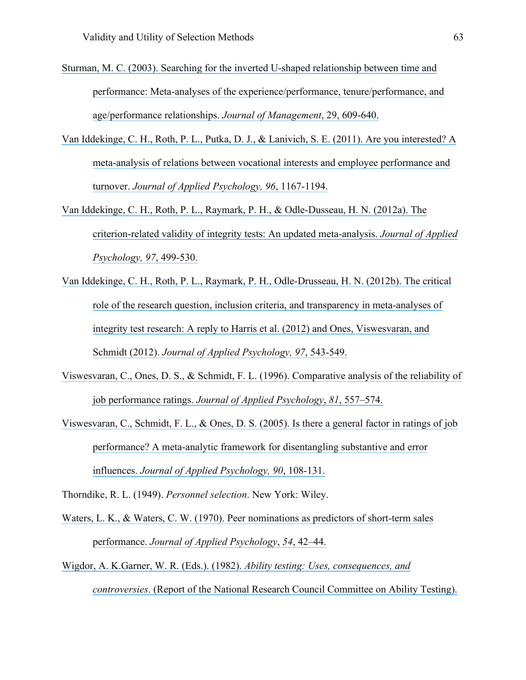- [Sturman, M. C. \(2003\). Searching for the inverted U-shaped relationship between time and](https://www.researchgate.net/publication/240249069_Searching_for_the_Inverted_U-Shaped_Relationship_Between_Time_and_Performance_Meta-Analyses_of_the_ExperiencePerformance_TenurePerformance_and_AgePerformance_Relationships?el=1_x_8&enrichId=rgreq-ac03d29ee90470b28e65c5b16b199479-XXX&enrichSource=Y292ZXJQYWdlOzMwOTIwMzg5ODtBUzo0MTgyNTE3OTMyODkyMThAMTQ3NjczMDQwNjU0Mw==)  [performance: Meta-analyses of the experience/performance, tenure/performance, and](https://www.researchgate.net/publication/240249069_Searching_for_the_Inverted_U-Shaped_Relationship_Between_Time_and_Performance_Meta-Analyses_of_the_ExperiencePerformance_TenurePerformance_and_AgePerformance_Relationships?el=1_x_8&enrichId=rgreq-ac03d29ee90470b28e65c5b16b199479-XXX&enrichSource=Y292ZXJQYWdlOzMwOTIwMzg5ODtBUzo0MTgyNTE3OTMyODkyMThAMTQ3NjczMDQwNjU0Mw==) [age/performance relationships.](https://www.researchgate.net/publication/240249069_Searching_for_the_Inverted_U-Shaped_Relationship_Between_Time_and_Performance_Meta-Analyses_of_the_ExperiencePerformance_TenurePerformance_and_AgePerformance_Relationships?el=1_x_8&enrichId=rgreq-ac03d29ee90470b28e65c5b16b199479-XXX&enrichSource=Y292ZXJQYWdlOzMwOTIwMzg5ODtBUzo0MTgyNTE3OTMyODkyMThAMTQ3NjczMDQwNjU0Mw==) *Journal of Management*, 29, 609-640.
- [Van Iddekinge, C. H., Roth, P. L., Putka, D. J., & Lanivich, S. E. \(2011\). Are you interested? A](https://www.researchgate.net/publication/51482446_Are_You_Interested_A_Meta-Analysis_of_Relations_Between_Vocational_Interests_and_Employee_Performance_and_Turnover?el=1_x_8&enrichId=rgreq-ac03d29ee90470b28e65c5b16b199479-XXX&enrichSource=Y292ZXJQYWdlOzMwOTIwMzg5ODtBUzo0MTgyNTE3OTMyODkyMThAMTQ3NjczMDQwNjU0Mw==) [meta-analysis of relations between vocational interests and employee performance and](https://www.researchgate.net/publication/51482446_Are_You_Interested_A_Meta-Analysis_of_Relations_Between_Vocational_Interests_and_Employee_Performance_and_Turnover?el=1_x_8&enrichId=rgreq-ac03d29ee90470b28e65c5b16b199479-XXX&enrichSource=Y292ZXJQYWdlOzMwOTIwMzg5ODtBUzo0MTgyNTE3OTMyODkyMThAMTQ3NjczMDQwNjU0Mw==) turnover. *[Journal of Applied Psychology, 96](https://www.researchgate.net/publication/51482446_Are_You_Interested_A_Meta-Analysis_of_Relations_Between_Vocational_Interests_and_Employee_Performance_and_Turnover?el=1_x_8&enrichId=rgreq-ac03d29ee90470b28e65c5b16b199479-XXX&enrichSource=Y292ZXJQYWdlOzMwOTIwMzg5ODtBUzo0MTgyNTE3OTMyODkyMThAMTQ3NjczMDQwNjU0Mw==)*, 1167-1194.
- [Van Iddekinge, C. H., Roth, P. L., Raymark, P. H., & Odle-Dusseau, H. N. \(2012a\). The](https://www.researchgate.net/publication/49834923_The_Criterion-Related_Validity_of_Integrity_Tests_An_Updated_Meta-Analysis?el=1_x_8&enrichId=rgreq-ac03d29ee90470b28e65c5b16b199479-XXX&enrichSource=Y292ZXJQYWdlOzMwOTIwMzg5ODtBUzo0MTgyNTE3OTMyODkyMThAMTQ3NjczMDQwNjU0Mw==)  [criterion-related validity of integrity tests: An updated meta-analysis.](https://www.researchgate.net/publication/49834923_The_Criterion-Related_Validity_of_Integrity_Tests_An_Updated_Meta-Analysis?el=1_x_8&enrichId=rgreq-ac03d29ee90470b28e65c5b16b199479-XXX&enrichSource=Y292ZXJQYWdlOzMwOTIwMzg5ODtBUzo0MTgyNTE3OTMyODkyMThAMTQ3NjczMDQwNjU0Mw==) *Journal of Applied [Psychology, 97](https://www.researchgate.net/publication/49834923_The_Criterion-Related_Validity_of_Integrity_Tests_An_Updated_Meta-Analysis?el=1_x_8&enrichId=rgreq-ac03d29ee90470b28e65c5b16b199479-XXX&enrichSource=Y292ZXJQYWdlOzMwOTIwMzg5ODtBUzo0MTgyNTE3OTMyODkyMThAMTQ3NjczMDQwNjU0Mw==)*, 499-530.
- [Van Iddekinge, C. H., Roth, P. L., Raymark, P. H., Odle-Drusseau, H. N. \(2012b\). The critical](https://www.researchgate.net/publication/224955630_The_Critical_Role_of_the_Research_Question_Inclusion_Criteria_and_Transparency_in_Meta-Analyses_of_Integrity_Test_Research_A_Reply_to_Harris_et_al_2012_and_Ones_Viswesvaran_and_Schmidt_2012?el=1_x_8&enrichId=rgreq-ac03d29ee90470b28e65c5b16b199479-XXX&enrichSource=Y292ZXJQYWdlOzMwOTIwMzg5ODtBUzo0MTgyNTE3OTMyODkyMThAMTQ3NjczMDQwNjU0Mw==)  [role of the research question, inclusion criteria, and transparency in meta-analyses of](https://www.researchgate.net/publication/224955630_The_Critical_Role_of_the_Research_Question_Inclusion_Criteria_and_Transparency_in_Meta-Analyses_of_Integrity_Test_Research_A_Reply_to_Harris_et_al_2012_and_Ones_Viswesvaran_and_Schmidt_2012?el=1_x_8&enrichId=rgreq-ac03d29ee90470b28e65c5b16b199479-XXX&enrichSource=Y292ZXJQYWdlOzMwOTIwMzg5ODtBUzo0MTgyNTE3OTMyODkyMThAMTQ3NjczMDQwNjU0Mw==)  [integrity test research: A reply to Harris et al. \(2012\) and Ones, Viswesvaran, and](https://www.researchgate.net/publication/224955630_The_Critical_Role_of_the_Research_Question_Inclusion_Criteria_and_Transparency_in_Meta-Analyses_of_Integrity_Test_Research_A_Reply_to_Harris_et_al_2012_and_Ones_Viswesvaran_and_Schmidt_2012?el=1_x_8&enrichId=rgreq-ac03d29ee90470b28e65c5b16b199479-XXX&enrichSource=Y292ZXJQYWdlOzMwOTIwMzg5ODtBUzo0MTgyNTE3OTMyODkyMThAMTQ3NjczMDQwNjU0Mw==)  Schmidt (2012). *[Journal of Applied Psychology, 97](https://www.researchgate.net/publication/224955630_The_Critical_Role_of_the_Research_Question_Inclusion_Criteria_and_Transparency_in_Meta-Analyses_of_Integrity_Test_Research_A_Reply_to_Harris_et_al_2012_and_Ones_Viswesvaran_and_Schmidt_2012?el=1_x_8&enrichId=rgreq-ac03d29ee90470b28e65c5b16b199479-XXX&enrichSource=Y292ZXJQYWdlOzMwOTIwMzg5ODtBUzo0MTgyNTE3OTMyODkyMThAMTQ3NjczMDQwNjU0Mw==)*, 543-549.
- [Viswesvaran, C., Ones, D. S., & Schmidt, F. L. \(1996\). Comparative analysis of the reliability of](https://www.researchgate.net/publication/232489357_Comparative_Analysis_of_Reliability_of_Job_Performance_Ratings?el=1_x_8&enrichId=rgreq-ac03d29ee90470b28e65c5b16b199479-XXX&enrichSource=Y292ZXJQYWdlOzMwOTIwMzg5ODtBUzo0MTgyNTE3OTMyODkyMThAMTQ3NjczMDQwNjU0Mw==) job performance ratings. *[Journal of Applied Psychology](https://www.researchgate.net/publication/232489357_Comparative_Analysis_of_Reliability_of_Job_Performance_Ratings?el=1_x_8&enrichId=rgreq-ac03d29ee90470b28e65c5b16b199479-XXX&enrichSource=Y292ZXJQYWdlOzMwOTIwMzg5ODtBUzo0MTgyNTE3OTMyODkyMThAMTQ3NjczMDQwNjU0Mw==)*, *81*, 557–574.
- [Viswesvaran, C., Schmidt, F. L., & Ones, D. S. \(2005\). Is there a general factor in ratings of job](https://www.researchgate.net/publication/8089240_Is_There_a_General_Factor_in_Ratings_of_Job_Performance_A_Meta-Analytic_Framework_for_Disentangling_Substantive_and_Error_Influence?el=1_x_8&enrichId=rgreq-ac03d29ee90470b28e65c5b16b199479-XXX&enrichSource=Y292ZXJQYWdlOzMwOTIwMzg5ODtBUzo0MTgyNTE3OTMyODkyMThAMTQ3NjczMDQwNjU0Mw==)  [performance? A meta-analytic framework for disentangling substantive and error](https://www.researchgate.net/publication/8089240_Is_There_a_General_Factor_in_Ratings_of_Job_Performance_A_Meta-Analytic_Framework_for_Disentangling_Substantive_and_Error_Influence?el=1_x_8&enrichId=rgreq-ac03d29ee90470b28e65c5b16b199479-XXX&enrichSource=Y292ZXJQYWdlOzMwOTIwMzg5ODtBUzo0MTgyNTE3OTMyODkyMThAMTQ3NjczMDQwNjU0Mw==)  influences. *[Journal of Applied Psychology, 90](https://www.researchgate.net/publication/8089240_Is_There_a_General_Factor_in_Ratings_of_Job_Performance_A_Meta-Analytic_Framework_for_Disentangling_Substantive_and_Error_Influence?el=1_x_8&enrichId=rgreq-ac03d29ee90470b28e65c5b16b199479-XXX&enrichSource=Y292ZXJQYWdlOzMwOTIwMzg5ODtBUzo0MTgyNTE3OTMyODkyMThAMTQ3NjczMDQwNjU0Mw==)*, 108-131.

Thorndike, R. L. (1949). *Personnel selection*. New York: Wiley.

- [Waters, L. K., & Waters, C. W. \(1970\). Peer nominations as predictors of short-term sales](https://www.researchgate.net/publication/17752935_Peer_Nominations_as_Predictors_of_Short_Term_Sales_Performance?el=1_x_8&enrichId=rgreq-ac03d29ee90470b28e65c5b16b199479-XXX&enrichSource=Y292ZXJQYWdlOzMwOTIwMzg5ODtBUzo0MTgyNTE3OTMyODkyMThAMTQ3NjczMDQwNjU0Mw==) performance. *Journal [of Applied Psychology](https://www.researchgate.net/publication/17752935_Peer_Nominations_as_Predictors_of_Short_Term_Sales_Performance?el=1_x_8&enrichId=rgreq-ac03d29ee90470b28e65c5b16b199479-XXX&enrichSource=Y292ZXJQYWdlOzMwOTIwMzg5ODtBUzo0MTgyNTE3OTMyODkyMThAMTQ3NjczMDQwNjU0Mw==)*, *54*, 42–44.
- [Wigdor, A. K.Garner, W. R. \(Eds.\). \(1982\).](https://www.researchgate.net/publication/229633564_Ability_Testing_Uses_Consequences_and_Controversies?el=1_x_8&enrichId=rgreq-ac03d29ee90470b28e65c5b16b199479-XXX&enrichSource=Y292ZXJQYWdlOzMwOTIwMzg5ODtBUzo0MTgyNTE3OTMyODkyMThAMTQ3NjczMDQwNjU0Mw==) *Ability testing: Uses, consequences, and controversies*[. \(Report of the National Research Council Committee on Ability Testing\).](https://www.researchgate.net/publication/229633564_Ability_Testing_Uses_Consequences_and_Controversies?el=1_x_8&enrichId=rgreq-ac03d29ee90470b28e65c5b16b199479-XXX&enrichSource=Y292ZXJQYWdlOzMwOTIwMzg5ODtBUzo0MTgyNTE3OTMyODkyMThAMTQ3NjczMDQwNjU0Mw==)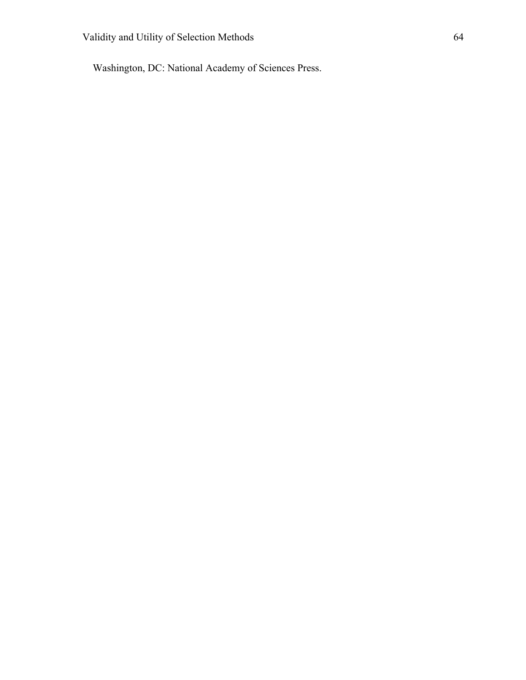Washington, DC: National Academy of Sciences Press.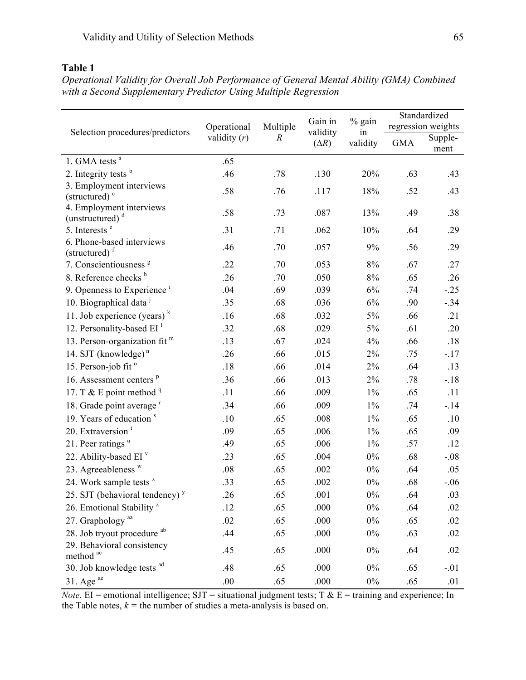# **Table 1**

| Selection procedures/predictors                     | Operational<br>validity $(r)$ | Multiple<br>$\boldsymbol{R}$ | Gain in<br>validity<br>$(\Delta R)$ | % gain<br>in<br>validity | Standardized<br>regression weights |                 |
|-----------------------------------------------------|-------------------------------|------------------------------|-------------------------------------|--------------------------|------------------------------------|-----------------|
|                                                     |                               |                              |                                     |                          |                                    |                 |
|                                                     |                               |                              |                                     |                          | <b>GMA</b>                         | Supple-<br>ment |
| 1. GMA tests $a$                                    | .65                           |                              |                                     |                          |                                    |                 |
| 2. Integrity tests $b$                              | .46                           | .78                          | .130                                | 20%                      | .63                                | .43             |
| 3. Employment interviews                            | .58                           | .76                          | .117                                | 18%                      | .52                                | .43             |
| (structured) $\degree$                              |                               |                              |                                     |                          |                                    |                 |
| 4. Employment interviews<br>(unstructured) $d$      | .58                           | .73                          | .087                                | 13%                      | .49                                | .38             |
| 5. Interests <sup>e</sup>                           | .31                           | .71                          | .062                                | 10%                      | .64                                | .29             |
| 6. Phone-based interviews                           | .46                           | .70                          | .057                                | 9%                       | .56                                | .29             |
| (structured) <sup>f</sup>                           |                               |                              |                                     |                          |                                    |                 |
| 7. Conscientiousness <sup>g</sup>                   | .22                           | .70                          | .053                                | 8%                       | .67                                | .27             |
| 8. Reference checks h                               | .26                           | .70                          | .050                                | 8%                       | .65                                | .26             |
| 9. Openness to Experience <sup><math>1</math></sup> | .04                           | .69                          | .039                                | 6%                       | .74                                | $-.25$          |
| 10. Biographical data <sup>j</sup>                  | .35                           | .68                          | .036                                | 6%                       | .90                                | $-.34$          |
| 11. Job experience (years) $k$                      | .16                           | .68                          | .032                                | 5%                       | .66                                | .21             |
| 12. Personality-based $EI$ <sup>1</sup>             | .32                           | .68                          | .029                                | $5\%$                    | .61                                | .20             |
| 13. Person-organization fit m                       | .13                           | .67                          | .024                                | 4%                       | .66                                | .18             |
| 14. SJT (knowledge) $n$                             | .26                           | .66                          | .015                                | $2\%$                    | .75                                | $-.17$          |
| 15. Person-job fit <sup>o</sup>                     | .18                           | .66                          | .014                                | 2%                       | .64                                | .13             |
| 16. Assessment centers <sup>p</sup>                 | .36                           | .66                          | .013                                | $2\%$                    | .78                                | $-18$           |
| 17. T & E point method $q$                          | .11                           | .66                          | .009                                | $1\%$                    | .65                                | .11             |
| 18. Grade point average <sup>r</sup>                | .34                           | .66                          | .009                                | $1\%$                    | .74                                | $-14$           |
| 19. Years of education <sup>s</sup>                 | .10                           | .65                          | .008                                | $1\%$                    | .65                                | .10             |
| 20. Extraversion <sup>t</sup>                       | .09                           | .65                          | .006                                | $1\%$                    | .65                                | .09             |
| 21. Peer ratings $u$                                | .49                           | .65                          | .006                                | $1\%$                    | .57                                | .12             |
| 22. Ability-based EI $v$                            | .23                           | .65                          | .004                                | $0\%$                    | .68                                | $-.08$          |
| 23. Agreeableness $W$                               | .08                           | .65                          | .002                                | $0\%$                    | .64                                | .05             |
| 24. Work sample tests x                             | .33                           | .65                          | .002                                | $0\%$                    | .68                                | $-.06$          |
| 25. SJT (behavioral tendency) $y$                   | .26                           | .65                          | .001                                | $0\%$                    | .64                                | .03             |
| 26. Emotional Stability <sup>z</sup>                | .12                           | .65                          | .000                                | $0\%$                    | .64                                | .02             |
| 27. Graphology <sup>aa</sup>                        | .02                           | .65                          | .000                                | $0\%$                    | .65                                | .02             |
| 28. Job tryout procedure ab                         | .44                           | .65                          | .000                                | $0\%$                    | .63                                | .02             |
| 29. Behavioral consistency                          | .45                           | .65                          | .000                                | $0\%$                    | .64                                | .02             |
| method <sup>ac</sup><br>30. Job knowledge tests ad  | .48                           | .65                          | .000                                | $0\%$                    | .65                                | $-.01$          |
| $31.$ Age $^{ac}$                                   | .00.                          | .65                          | .000                                | $0\%$                    | .65                                | .01             |

*Operational Validity for Overall Job Performance of General Mental Ability (GMA) Combined with a Second Supplementary Predictor Using Multiple Regression* 

*Note*. EI = emotional intelligence; SJT = situational judgment tests; T  $\&$  E = training and experience; In the Table notes,  $k =$  the number of studies a meta-analysis is based on.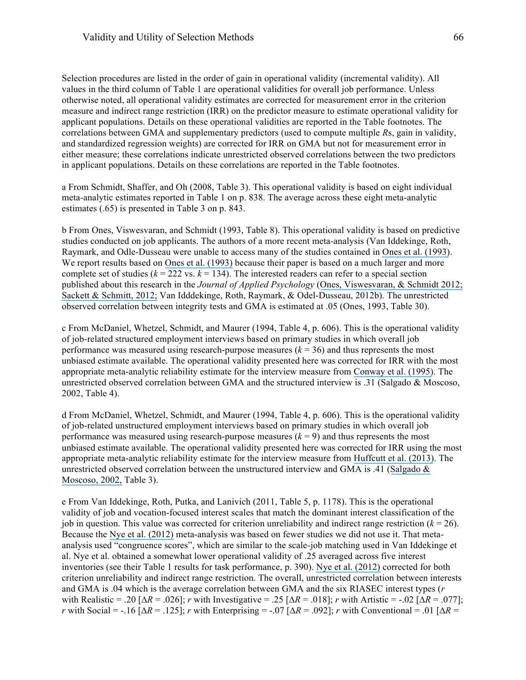Selection procedures are listed in the order of gain in operational validity (incremental validity). All values in the third column of Table 1 are operational validities for overall job performance. Unless otherwise noted, all operational validity estimates are corrected for measurement error in the criterion measure and indirect range restriction (IRR) on the predictor measure to estimate operational validity for applicant populations. Details on these operational validities are reported in the Table footnotes. The correlations between GMA and supplementary predictors (used to compute multiple *R*s, gain in validity, and standardized regression weights) are corrected for IRR on GMA but not for measurement error in either measure; these correlations indicate unrestricted observed correlations between the two predictors in applicant populations. Details on these correlations are reported in the Table footnotes.

a From Schmidt, Shaffer, and Oh (2008, Table 3). This operational validity is based on eight individual meta-analytic estimates reported in Table 1 on p. 838. The average across these eight meta-analytic estimates (.65) is presented in Table 3 on p. 843.

b From Ones, Viswesvaran, and Schmidt (1993, Table 8). This operational validity is based on predictive studies conducted on job applicants. The authors of a more recent meta-analysis (Van Iddekinge, Roth, Raymark, and Odle-Dusseau were unable to access many of the studies contained in [Ones et al. \(1993\)](https://www.researchgate.net/publication/232585195_Comprehensive_Meta-Analysis_of_Integrity_Test_Validities_Findings_and_Implications_for_Personnel_Selection_and_Theories_of_Job_Performance?el=1_x_8&enrichId=rgreq-ac03d29ee90470b28e65c5b16b199479-XXX&enrichSource=Y292ZXJQYWdlOzMwOTIwMzg5ODtBUzo0MTgyNTE3OTMyODkyMThAMTQ3NjczMDQwNjU0Mw==). We report results based on [Ones et al. \(1993\)](https://www.researchgate.net/publication/232585195_Comprehensive_Meta-Analysis_of_Integrity_Test_Validities_Findings_and_Implications_for_Personnel_Selection_and_Theories_of_Job_Performance?el=1_x_8&enrichId=rgreq-ac03d29ee90470b28e65c5b16b199479-XXX&enrichSource=Y292ZXJQYWdlOzMwOTIwMzg5ODtBUzo0MTgyNTE3OTMyODkyMThAMTQ3NjczMDQwNjU0Mw==) because their paper is based on a much larger and more complete set of studies ( $k = 222$  vs.  $k = 134$ ). The interested readers can refer to a special section published about this research in the *Journal of Applied Psychology* ([Ones, Viswesvaran, & Schmidt 2012;](https://www.researchgate.net/publication/224955629_Integrity_Tests_Predict_Counterproductive_Work_Behaviors_and_Job_Performance_Well_Comment_on_Van_Iddekinge_Roth_Raymark_and_Odle-Dusseau_2012?el=1_x_8&enrichId=rgreq-ac03d29ee90470b28e65c5b16b199479-XXX&enrichSource=Y292ZXJQYWdlOzMwOTIwMzg5ODtBUzo0MTgyNTE3OTMyODkyMThAMTQ3NjczMDQwNjU0Mw==)  [Sackett & Schmitt, 2012;](https://www.researchgate.net/publication/224955631_On_Reconciling_Conflicting_Meta-Analytic_Findings_Regarding_Integrity_Test_Validity?el=1_x_8&enrichId=rgreq-ac03d29ee90470b28e65c5b16b199479-XXX&enrichSource=Y292ZXJQYWdlOzMwOTIwMzg5ODtBUzo0MTgyNTE3OTMyODkyMThAMTQ3NjczMDQwNjU0Mw==) Van Idddekinge, Roth, Raymark, & Odel-Dusseau, 2012b). The unrestricted observed correlation between integrity tests and GMA is estimated at .05 (Ones, 1993, Table 30).

c From McDaniel, Whetzel, Schmidt, and Maurer (1994, Table 4, p. 606). This is the operational validity of job-related structured employment interviews based on primary studies in which overall job performance was measured using research-purpose measures  $(k = 36)$  and thus represents the most unbiased estimate available. The operational validity presented here was corrected for IRR with the most appropriate meta-analytic reliability estimate for the interview measure from [Conway et al. \(1995\)](https://www.researchgate.net/publication/232484641_A_Meta-Analysis_of_Interrater_and_Internal_Consistency_Reliability_of_Selection_Interviews?el=1_x_8&enrichId=rgreq-ac03d29ee90470b28e65c5b16b199479-XXX&enrichSource=Y292ZXJQYWdlOzMwOTIwMzg5ODtBUzo0MTgyNTE3OTMyODkyMThAMTQ3NjczMDQwNjU0Mw==). The unrestricted observed correlation between GMA and the structured interview is .31 (Salgado & Moscoso, 2002, Table 4).

d From McDaniel, Whetzel, Schmidt, and Maurer (1994, Table 4, p. 606). This is the operational validity of job-related unstructured employment interviews based on primary studies in which overall job performance was measured using research-purpose measures  $(k = 9)$  and thus represents the most unbiased estimate available. The operational validity presented here was corrected for IRR using the most appropriate meta-analytic reliability estimate for the interview measure from [Huffcutt et al. \(2013\)](https://www.researchgate.net/publication/259715188_Employment_Interview_Reliability_New_meta-analytic_estimates_by_structure_and_format?el=1_x_8&enrichId=rgreq-ac03d29ee90470b28e65c5b16b199479-XXX&enrichSource=Y292ZXJQYWdlOzMwOTIwMzg5ODtBUzo0MTgyNTE3OTMyODkyMThAMTQ3NjczMDQwNjU0Mw==). The unrestricted observed correlation between the unstructured interview and GMA is .41 ([Salgado &](https://www.researchgate.net/publication/239473180_Comprehensive_meta-analysis_of_the_construct_validity_of_the_employment_interview?el=1_x_8&enrichId=rgreq-ac03d29ee90470b28e65c5b16b199479-XXX&enrichSource=Y292ZXJQYWdlOzMwOTIwMzg5ODtBUzo0MTgyNTE3OTMyODkyMThAMTQ3NjczMDQwNjU0Mw==) [Moscoso, 2002,](https://www.researchgate.net/publication/239473180_Comprehensive_meta-analysis_of_the_construct_validity_of_the_employment_interview?el=1_x_8&enrichId=rgreq-ac03d29ee90470b28e65c5b16b199479-XXX&enrichSource=Y292ZXJQYWdlOzMwOTIwMzg5ODtBUzo0MTgyNTE3OTMyODkyMThAMTQ3NjczMDQwNjU0Mw==) Table 3).

e From Van Iddekinge, Roth, Putka, and Lanivich (2011, Table 5, p. 1178). This is the operational validity of job and vocation-focused interest scales that match the dominant interest classification of the job in question. This value was corrected for criterion unreliability and indirect range restriction  $(k = 26)$ . Because the [Nye et al. \(2012\)](https://www.researchgate.net/publication/233747919_Vocational_Interests_and_Performance_A_Quantitative_Summary_of_Over_60_Years_of_Research?el=1_x_8&enrichId=rgreq-ac03d29ee90470b28e65c5b16b199479-XXX&enrichSource=Y292ZXJQYWdlOzMwOTIwMzg5ODtBUzo0MTgyNTE3OTMyODkyMThAMTQ3NjczMDQwNjU0Mw==) meta-analysis was based on fewer studies we did not use it. That metaanalysis used "congruence scores", which are similar to the scale-job matching used in Van Iddekinge et al. Nye et al. obtained a somewhat lower operational validity of .25 averaged across five interest inventories (see their Table 1 results for task performance, p. 390). Nye et [al. \(2012\)](https://www.researchgate.net/publication/233747919_Vocational_Interests_and_Performance_A_Quantitative_Summary_of_Over_60_Years_of_Research?el=1_x_8&enrichId=rgreq-ac03d29ee90470b28e65c5b16b199479-XXX&enrichSource=Y292ZXJQYWdlOzMwOTIwMzg5ODtBUzo0MTgyNTE3OTMyODkyMThAMTQ3NjczMDQwNjU0Mw==) corrected for both criterion unreliability and indirect range restriction. The overall, unrestricted correlation between interests and GMA is .04 which is the average correlation between GMA and the six RIASEC interest types (*r* with Realistic = .20 [∆*R* = .026]; *r* with Investigative = .25 [∆*R* = .018]; *r* with Artistic = -.02 [∆*R* = .077]; *r* with Social = -.16 [ $\Delta R = .125$ ]; *r* with Enterprising = -.07 [ $\Delta R = .092$ ]; *r* with Conventional = .01 [ $\Delta R = .022$ ]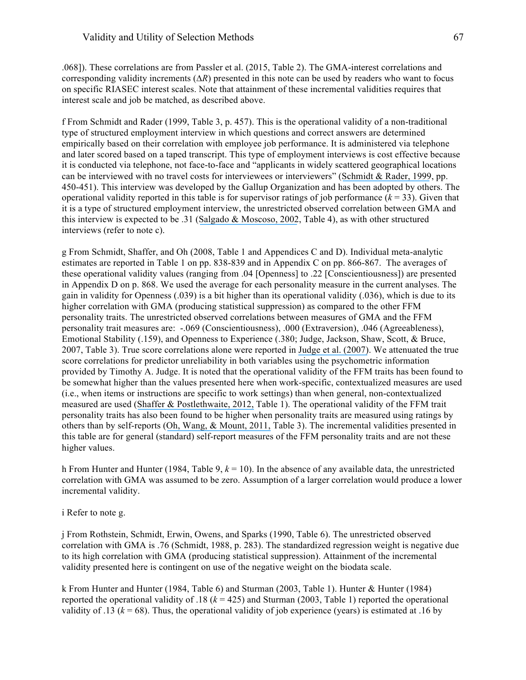.068]). These correlations are from Passler et al. (2015, Table 2). The GMA-interest correlations and corresponding validity increments (∆*R*) presented in this note can be used by readers who want to focus on specific RIASEC interest scales. Note that attainment of these incremental validities requires that interest scale and job be matched, as described above.

f From Schmidt and Rader (1999, Table 3, p. 457). This is the operational validity of a non-traditional type of structured employment interview in which questions and correct answers are determined empirically based on their correlation with employee job performance. It is administered via telephone and later scored based on a taped transcript. This type of employment interviews is cost effective because it is conducted via telephone, not face-to-face and "applicants in widely scattered geographical locations can be interviewed with no travel costs for interviewees or interviewers" ([Schmidt & Rader, 1999](https://www.researchgate.net/publication/289638536_Exploring_the_boundary_conditions_for_interview_validity_Meta-analytic_validity_findings_for_a_new_interview_type?el=1_x_8&enrichId=rgreq-ac03d29ee90470b28e65c5b16b199479-XXX&enrichSource=Y292ZXJQYWdlOzMwOTIwMzg5ODtBUzo0MTgyNTE3OTMyODkyMThAMTQ3NjczMDQwNjU0Mw==), pp. 450-451). This interview was developed by the Gallup Organization and has been adopted by others. The operational validity reported in this table is for supervisor ratings of job performance  $(k = 33)$ . Given that it is a type of structured employment interview, the unrestricted observed correlation between GMA and this interview is expected to be .31 ([Salgado & Moscoso, 2002](https://www.researchgate.net/publication/239473180_Comprehensive_meta-analysis_of_the_construct_validity_of_the_employment_interview?el=1_x_8&enrichId=rgreq-ac03d29ee90470b28e65c5b16b199479-XXX&enrichSource=Y292ZXJQYWdlOzMwOTIwMzg5ODtBUzo0MTgyNTE3OTMyODkyMThAMTQ3NjczMDQwNjU0Mw==), Table 4), as with other structured interviews (refer to note c).

g From Schmidt, Shaffer, and Oh (2008, Table 1 and Appendices C and D). Individual meta-analytic estimates are reported in Table 1 on pp. 838-839 and in Appendix C on pp. 866-867. The averages of these operational validity values (ranging from .04 [Openness] to .22 [Conscientiousness]) are presented in Appendix D on p. 868. We used the average for each personality measure in the current analyses. The gain in validity for Openness (.039) is a bit higher than its operational validity (.036), which is due to its higher correlation with GMA (producing statistical suppression) as compared to the other FFM personality traits. The unrestricted observed correlations between measures of GMA and the FFM personality trait measures are: -.069 (Conscientiousness), .000 (Extraversion), .046 (Agreeableness), Emotional Stability (.159), and Openness to Experience (.380; Judge, Jackson, Shaw, Scott, & Bruce, 2007, Table 3). True score correlations alone were reported in [Judge et al. \(2007\)](https://www.researchgate.net/publication/null?el=1_x_8&enrichId=rgreq-ac03d29ee90470b28e65c5b16b199479-XXX&enrichSource=Y292ZXJQYWdlOzMwOTIwMzg5ODtBUzo0MTgyNTE3OTMyODkyMThAMTQ3NjczMDQwNjU0Mw==). We attenuated the true score correlations for predictor unreliability in both variables using the psychometric information provided by Timothy A. Judge. It is noted that the operational validity of the FFM traits has been found to be somewhat higher than the values presented here when work-specific, contextualized measures are used (i.e., when items or instructions are specific to work settings) than when general, non-contextualized measured are used ([Shaffer & Postlethwaite, 2012,](https://www.researchgate.net/publication/263575588_A_Matter_of_Context_A_Meta-Analytic_Investigation_of_the_Relative_Validity_of_Contextualized_and_Noncontextualized_Personality_Measures?el=1_x_8&enrichId=rgreq-ac03d29ee90470b28e65c5b16b199479-XXX&enrichSource=Y292ZXJQYWdlOzMwOTIwMzg5ODtBUzo0MTgyNTE3OTMyODkyMThAMTQ3NjczMDQwNjU0Mw==) Table 1). The operational validity of the FFM trait personality traits has also been found to be higher when personality traits are measured using ratings by others than by self-reports ([Oh, Wang, & Mount, 2011,](https://www.researchgate.net/publication/49668497_Validity_of_Observer_Ratings_of_the_Five-Factor_Model_of_Personality_Traits_A_Meta-Analysis?el=1_x_8&enrichId=rgreq-ac03d29ee90470b28e65c5b16b199479-XXX&enrichSource=Y292ZXJQYWdlOzMwOTIwMzg5ODtBUzo0MTgyNTE3OTMyODkyMThAMTQ3NjczMDQwNjU0Mw==) Table 3). The incremental validities presented in this table are for general (standard) self-report measures of the FFM personality traits and are not these higher values.

h From Hunter and Hunter (1984, Table 9,  $k = 10$ ). In the absence of any available data, the unrestricted correlation with GMA was assumed to be zero. Assumption of a larger correlation would produce a lower incremental validity.

#### i Refer to note g.

j From Rothstein, Schmidt, Erwin, Owens, and Sparks (1990, Table 6). The unrestricted observed correlation with GMA is .76 (Schmidt, 1988, p. 283). The standardized regression weight is negative due to its high correlation with GMA (producing statistical suppression). Attainment of the incremental validity presented here is contingent on use of the negative weight on the biodata scale.

k From Hunter and Hunter (1984, Table 6) and Sturman (2003, Table 1). Hunter & Hunter (1984) reported the operational validity of .18  $(k = 425)$  and Sturman (2003, Table 1) reported the operational validity of .13 ( $k = 68$ ). Thus, the operational validity of job experience (years) is estimated at .16 by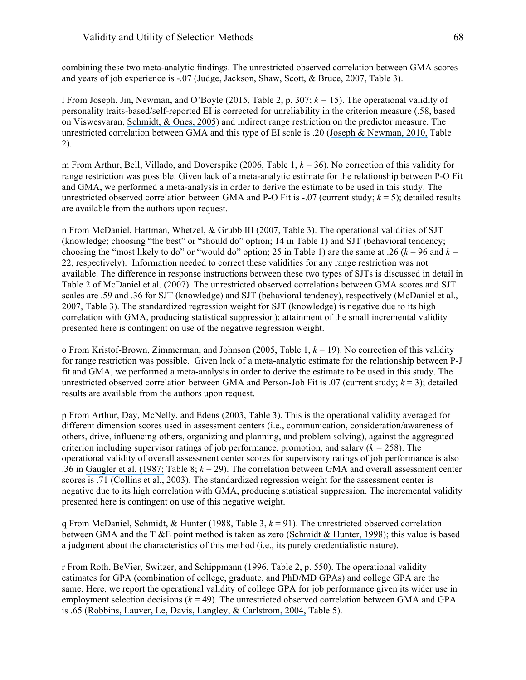combining these two meta-analytic findings. The unrestricted observed correlation between GMA scores and years of job experience is -.07 (Judge, Jackson, Shaw, Scott, & Bruce, 2007, Table 3).

l From Joseph, Jin, Newman, and O'Boyle (2015, Table 2, p. 307; *k =* 15). The operational validity of personality traits-based/self-reported EI is corrected for unreliability in the criterion measure (.58, based on Viswesvaran, [Schmidt, & Ones,](https://www.researchgate.net/publication/8089240_Is_There_a_General_Factor_in_Ratings_of_Job_Performance_A_Meta-Analytic_Framework_for_Disentangling_Substantive_and_Error_Influence?el=1_x_8&enrichId=rgreq-ac03d29ee90470b28e65c5b16b199479-XXX&enrichSource=Y292ZXJQYWdlOzMwOTIwMzg5ODtBUzo0MTgyNTE3OTMyODkyMThAMTQ3NjczMDQwNjU0Mw==) 2005) and indirect range restriction on the predictor measure. The unrestricted correlation between GMA and this type of EI scale is .20 ([Joseph & Newman, 2010,](https://www.researchgate.net/publication/41087511_Emotional_Intelligence_An_Integrative_Meta-Analysis_and_Cascading_Model?el=1_x_8&enrichId=rgreq-ac03d29ee90470b28e65c5b16b199479-XXX&enrichSource=Y292ZXJQYWdlOzMwOTIwMzg5ODtBUzo0MTgyNTE3OTMyODkyMThAMTQ3NjczMDQwNjU0Mw==) Table 2).

m From Arthur, Bell, Villado, and Doverspike (2006, Table 1, *k* = 36). No correction of this validity for range restriction was possible. Given lack of a meta-analytic estimate for the relationship between P-O Fit and GMA, we performed a meta-analysis in order to derive the estimate to be used in this study. The unrestricted observed correlation between GMA and P-O Fit is  $-.07$  (current study;  $k = 5$ ); detailed results are available from the authors upon request.

n From McDaniel, Hartman, Whetzel, & Grubb III (2007, Table 3). The operational validities of SJT (knowledge; choosing "the best" or "should do" option; 14 in Table 1) and SJT (behavioral tendency; choosing the "most likely to do" or "would do" option; 25 in Table 1) are the same at .26  $(k = 96$  and  $k =$ 22, respectively). Information needed to correct these validities for any range restriction was not available. The difference in response instructions between these two types of SJTs is discussed in detail in Table 2 of McDaniel et al. (2007). The unrestricted observed correlations between GMA scores and SJT scales are .59 and .36 for SJT (knowledge) and SJT (behavioral tendency), respectively (McDaniel et al., 2007, Table 3). The standardized regression weight for SJT (knowledge) is negative due to its high correlation with GMA, producing statistical suppression); attainment of the small incremental validity presented here is contingent on use of the negative regression weight.

o From Kristof-Brown, Zimmerman, and Johnson (2005, Table 1, *k* = 19). No correction of this validity for range restriction was possible. Given lack of a meta-analytic estimate for the relationship between P-J fit and GMA, we performed a meta-analysis in order to derive the estimate to be used in this study. The unrestricted observed correlation between GMA and Person-Job Fit is .07 (current study;  $k = 3$ ); detailed results are available from the authors upon request.

p From Arthur, Day, McNelly, and Edens (2003, Table 3). This is the operational validity averaged for different dimension scores used in assessment centers (i.e., communication, consideration/awareness of others, drive, influencing others, organizing and planning, and problem solving), against the aggregated criterion including supervisor ratings of job performance, promotion, and salary  $(k = 258)$ . The operational validity of overall assessment center scores for supervisory ratings of job performance is also .36 in [Gaugler et al. \(1987;](https://www.researchgate.net/publication/232599285_Meta-Analysis_of_Assessment_Center_Validity?el=1_x_8&enrichId=rgreq-ac03d29ee90470b28e65c5b16b199479-XXX&enrichSource=Y292ZXJQYWdlOzMwOTIwMzg5ODtBUzo0MTgyNTE3OTMyODkyMThAMTQ3NjczMDQwNjU0Mw==) Table 8; *k* = 29). The correlation between GMA and overall assessment center scores is .71 (Collins et al., 2003). The standardized regression weight for the assessment center is negative due to its high correlation with GMA, producing statistical suppression. The incremental validity presented here is contingent on use of this negative weight.

q From McDaniel, Schmidt, & Hunter (1988, Table 3,  $k = 91$ ). The unrestricted observed correlation between GMA and the T &E point method is taken as zero ([Schmidt & Hunter, 1998](https://www.researchgate.net/publication/283803351_The_Validity_and_Utility_of_Selection_Methods_in_Personnel_Psychology_Practical_and_Theoretical_Implications_of_85_Years_of_Research_Findings?el=1_x_8&enrichId=rgreq-ac03d29ee90470b28e65c5b16b199479-XXX&enrichSource=Y292ZXJQYWdlOzMwOTIwMzg5ODtBUzo0MTgyNTE3OTMyODkyMThAMTQ3NjczMDQwNjU0Mw==)); this value is based a judgment about the characteristics of this method (i.e., its purely credentialistic nature).

r From Roth, BeVier, Switzer, and Schippmann (1996, Table 2, p. 550). The operational validity estimates for GPA (combination of college, graduate, and PhD/MD GPAs) and college GPA are the same. Here, we report the operational validity of college GPA for job performance given its wider use in employment selection decisions  $(k = 49)$ . The unrestricted observed correlation between GMA and GPA is .65 ([Robbins, Lauver, Le, Davis, Langley, & Carlstrom, 2004,](https://www.researchgate.net/publication/8685856_Do_Psychosocial_and_Study_Skill_Factors_Predict_College_Outcomes_A_Meta-Analysis?el=1_x_8&enrichId=rgreq-ac03d29ee90470b28e65c5b16b199479-XXX&enrichSource=Y292ZXJQYWdlOzMwOTIwMzg5ODtBUzo0MTgyNTE3OTMyODkyMThAMTQ3NjczMDQwNjU0Mw==) Table 5).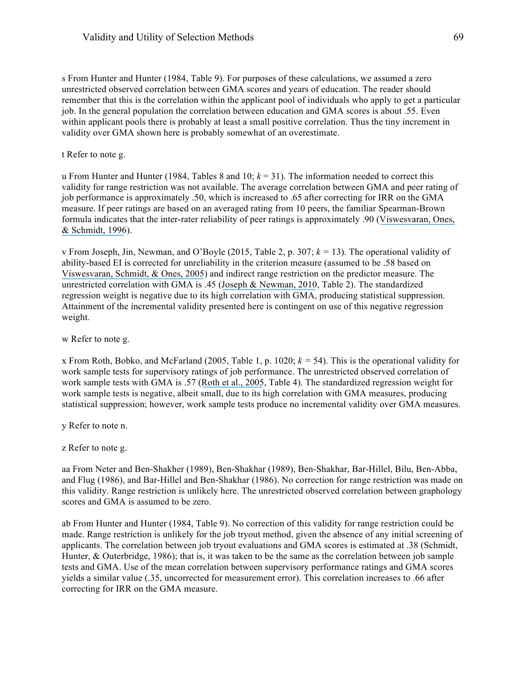s From Hunter and Hunter (1984, Table 9). For purposes of these calculations, we assumed a zero unrestricted observed correlation between GMA scores and years of education. The reader should remember that this is the correlation within the applicant pool of individuals who apply to get a particular job. In the general population the correlation between education and GMA scores is about .55. Even within applicant pools there is probably at least a small positive correlation. Thus the tiny increment in validity over GMA shown here is probably somewhat of an overestimate.

t Refer to note g.

u From Hunter and Hunter (1984, Tables 8 and 10;  $k = 31$ ). The information needed to correct this validity for range restriction was not available. The average correlation between GMA and peer rating of job performance is approximately .50, which is increased to .65 after correcting for IRR on the GMA measure. If peer ratings are based on an averaged rating from 10 peers, the familiar Spearman-Brown formula indicates that the inter-rater reliability of peer ratings is approximately .90 ([Viswesvaran, Ones,](https://www.researchgate.net/publication/232489357_Comparative_Analysis_of_Reliability_of_Job_Performance_Ratings?el=1_x_8&enrichId=rgreq-ac03d29ee90470b28e65c5b16b199479-XXX&enrichSource=Y292ZXJQYWdlOzMwOTIwMzg5ODtBUzo0MTgyNTE3OTMyODkyMThAMTQ3NjczMDQwNjU0Mw==)  [& Schmidt, 1996](https://www.researchgate.net/publication/232489357_Comparative_Analysis_of_Reliability_of_Job_Performance_Ratings?el=1_x_8&enrichId=rgreq-ac03d29ee90470b28e65c5b16b199479-XXX&enrichSource=Y292ZXJQYWdlOzMwOTIwMzg5ODtBUzo0MTgyNTE3OTMyODkyMThAMTQ3NjczMDQwNjU0Mw==)).

v From Joseph, Jin, Newman, and O'Boyle (2015, Table 2, p. 307; *k =* 13). The operational validity of ability-based EI is corrected for unreliability in the criterion measure (assumed to be .58 based on [Viswesvaran, Schmidt, & Ones, 2005](https://www.researchgate.net/publication/8089240_Is_There_a_General_Factor_in_Ratings_of_Job_Performance_A_Meta-Analytic_Framework_for_Disentangling_Substantive_and_Error_Influence?el=1_x_8&enrichId=rgreq-ac03d29ee90470b28e65c5b16b199479-XXX&enrichSource=Y292ZXJQYWdlOzMwOTIwMzg5ODtBUzo0MTgyNTE3OTMyODkyMThAMTQ3NjczMDQwNjU0Mw==)) and indirect range restriction on the predictor measure. The unrestricted correlation with GMA is .45 ([Joseph & Newman, 2010](https://www.researchgate.net/publication/41087511_Emotional_Intelligence_An_Integrative_Meta-Analysis_and_Cascading_Model?el=1_x_8&enrichId=rgreq-ac03d29ee90470b28e65c5b16b199479-XXX&enrichSource=Y292ZXJQYWdlOzMwOTIwMzg5ODtBUzo0MTgyNTE3OTMyODkyMThAMTQ3NjczMDQwNjU0Mw==), Table 2). The standardized regression weight is negative due to its high correlation with GMA, producing statistical suppression. Attainment of the incremental validity presented here is contingent on use of this negative regression weight.

w Refer to note g.

x From Roth, Bobko, and McFarland (2005, Table 1, p. 1020;  $k = 54$ ). This is the operational validity for work sample tests for supervisory ratings of job performance. The unrestricted observed correlation of work sample tests with GMA is .57 ([Roth et al., 2005](https://www.researchgate.net/publication/227526262_A_meta-analysis_of_work_sample_test_validity_Updating_and_integrating_some_classic_literature?el=1_x_8&enrichId=rgreq-ac03d29ee90470b28e65c5b16b199479-XXX&enrichSource=Y292ZXJQYWdlOzMwOTIwMzg5ODtBUzo0MTgyNTE3OTMyODkyMThAMTQ3NjczMDQwNjU0Mw==), Table 4). The standardized regression weight for work sample tests is negative, albeit small, due to its high correlation with GMA measures, producing statistical suppression; however, work sample tests produce no incremental validity over GMA measures.

y Refer to note n.

z Refer to note g.

aa From Neter and Ben-Shakher (1989), Ben-Shakhar (1989), Ben-Shakhar, Bar-Hillel, Bilu, Ben-Abba, and Flug (1986), and Bar-Hillel and Ben-Shakhar (1986). No correction for range restriction was made on this validity. Range restriction is unlikely here. The unrestricted observed correlation between graphology scores and GMA is assumed to be zero.

ab From Hunter and Hunter (1984, Table 9). No correction of this validity for range restriction could be made. Range restriction is unlikely for the job tryout method, given the absence of any initial screening of applicants. The correlation between job tryout evaluations and GMA scores is estimated at .38 (Schmidt, Hunter, & Outerbridge, 1986); that is, it was taken to be the same as the correlation between job sample tests and GMA. Use of the mean correlation between supervisory performance ratings and GMA scores yields a similar value (.35, uncorrected for measurement error). This correlation increases to .66 after correcting for IRR on the GMA measure.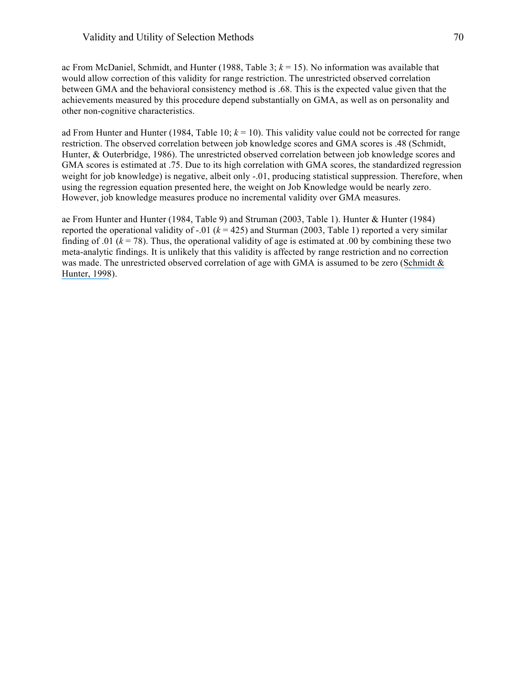ac From McDaniel, Schmidt, and Hunter (1988, Table 3;  $k = 15$ ). No information was available that would allow correction of this validity for range restriction. The unrestricted observed correlation between GMA and the behavioral consistency method is .68. This is the expected value given that the achievements measured by this procedure depend substantially on GMA, as well as on personality and other non-cognitive characteristics.

ad From Hunter and Hunter (1984, Table 10; *k* = 10). This validity value could not be corrected for range restriction. The observed correlation between job knowledge scores and GMA scores is .48 (Schmidt, Hunter, & Outerbridge, 1986). The unrestricted observed correlation between job knowledge scores and GMA scores is estimated at .75. Due to its high correlation with GMA scores, the standardized regression weight for job knowledge) is negative, albeit only -.01, producing statistical suppression. Therefore, when using the regression equation presented here, the weight on Job Knowledge would be nearly zero. However, job knowledge measures produce no incremental validity over GMA measures.

ae From Hunter and Hunter (1984, Table 9) and Struman (2003, Table 1). Hunter & Hunter (1984) reported the operational validity of -.01 (*k* = 425) and Sturman (2003, Table 1) reported a very similar finding of .01 ( $k = 78$ ). Thus, the operational validity of age is estimated at .00 by combining these two meta-analytic findings. It is unlikely that this validity is affected by range restriction and no correction was made. The unrestricted observed correlation of age with GMA is assumed to be zero (Schmidt & [Hunter, 1998](https://www.researchgate.net/publication/283803351_The_Validity_and_Utility_of_Selection_Methods_in_Personnel_Psychology_Practical_and_Theoretical_Implications_of_85_Years_of_Research_Findings?el=1_x_8&enrichId=rgreq-ac03d29ee90470b28e65c5b16b199479-XXX&enrichSource=Y292ZXJQYWdlOzMwOTIwMzg5ODtBUzo0MTgyNTE3OTMyODkyMThAMTQ3NjczMDQwNjU0Mw==)).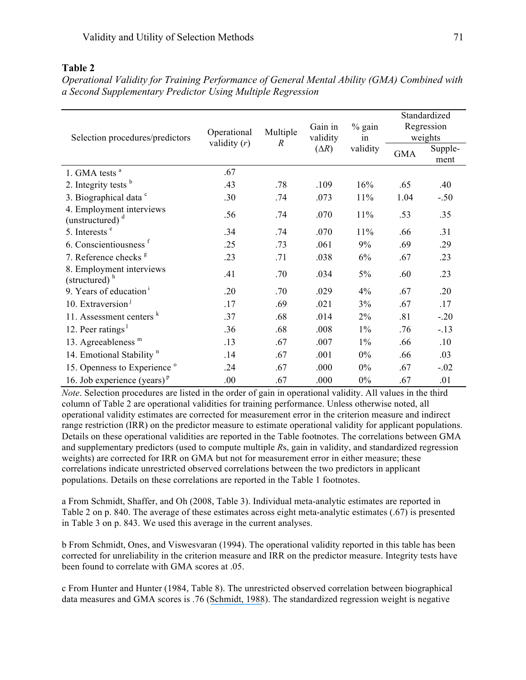# **Table 2**

| Selection procedures/predictors                      | Operational<br>validity $(r)$ | Multiple<br>$\boldsymbol{R}$ | Gain in<br>validity<br>$(\Delta R)$ | % gain<br>in<br>validity | Standardized<br>Regression<br>weights |                 |
|------------------------------------------------------|-------------------------------|------------------------------|-------------------------------------|--------------------------|---------------------------------------|-----------------|
|                                                      |                               |                              |                                     |                          | <b>GMA</b>                            | Supple-<br>ment |
| 1. GMA tests <sup>a</sup>                            | .67                           |                              |                                     |                          |                                       |                 |
| 2. Integrity tests $b$                               | .43                           | .78                          | .109                                | 16%                      | .65                                   | .40             |
| 3. Biographical data c                               | .30                           | .74                          | .073                                | 11%                      | 1.04                                  | $-.50$          |
| 4. Employment interviews<br>(unstructured) $d$       | .56                           | .74                          | .070                                | 11%                      | .53                                   | .35             |
| 5. Interests <sup>e</sup>                            | .34                           | .74                          | .070                                | 11%                      | .66                                   | .31             |
| 6. Conscientiousness f                               | .25                           | .73                          | .061                                | 9%                       | .69                                   | .29             |
| 7. Reference checks <sup>g</sup>                     | .23                           | .71                          | .038                                | 6%                       | .67                                   | .23             |
| 8. Employment interviews<br>(structured) $h$         | .41                           | .70                          | .034                                | 5%                       | .60                                   | .23             |
| 9. Years of education <sup>1</sup>                   | .20                           | .70                          | .029                                | 4%                       | .67                                   | .20             |
| 10. Extraversion <sup>1</sup>                        | .17                           | .69                          | .021                                | 3%                       | .67                                   | .17             |
| 11. Assessment centers <sup>k</sup>                  | .37                           | .68                          | .014                                | $2\%$                    | .81                                   | $-.20$          |
| 12. Peer ratings <sup>1</sup>                        | .36                           | .68                          | .008                                | $1\%$                    | .76                                   | $-13$           |
| 13. Agreeableness <sup>m</sup>                       | .13                           | .67                          | .007                                | $1\%$                    | .66                                   | .10             |
| 14. Emotional Stability <sup>n</sup>                 | .14                           | .67                          | .001                                | $0\%$                    | .66                                   | .03             |
| 15. Openness to Experience <sup>o</sup>              | .24                           | .67                          | .000                                | $0\%$                    | .67                                   | $-.02$          |
| 16. Job experience (years) <sup><math>p</math></sup> | .00                           | .67                          | .000                                | $0\%$                    | .67                                   | .01             |

*Operational Validity for Training Performance of General Mental Ability (GMA) Combined with a Second Supplementary Predictor Using Multiple Regression* 

*Note*. Selection procedures are listed in the order of gain in operational validity. All values in the third column of Table 2 are operational validities for training performance. Unless otherwise noted, all operational validity estimates are corrected for measurement error in the criterion measure and indirect range restriction (IRR) on the predictor measure to estimate operational validity for applicant populations. Details on these operational validities are reported in the Table footnotes. The correlations between GMA and supplementary predictors (used to compute multiple *R*s, gain in validity, and standardized regression weights) are corrected for IRR on GMA but not for measurement error in either measure; these correlations indicate unrestricted observed correlations between the two predictors in applicant populations. Details on these correlations are reported in the Table 1 footnotes.

a From Schmidt, Shaffer, and Oh (2008, Table 3). Individual meta-analytic estimates are reported in Table 2 on p. 840. The average of these estimates across eight meta-analytic estimates (.67) is presented in Table 3 on p. 843. We used this average in the current analyses.

b From Schmidt, Ones, and Viswesvaran (1994). The operational validity reported in this table has been corrected for unreliability in the criterion measure and IRR on the predictor measure. Integrity tests have been found to correlate with GMA scores at .05.

c From Hunter and Hunter (1984, Table 8). The unrestricted observed correlation between biographical data measures and GMA scores is .76 ([Schmidt, 1988](https://www.researchgate.net/publication/223733812_The_problem_of_group_differences_in_ability_scores_in_employment_selection?el=1_x_8&enrichId=rgreq-ac03d29ee90470b28e65c5b16b199479-XXX&enrichSource=Y292ZXJQYWdlOzMwOTIwMzg5ODtBUzo0MTgyNTE3OTMyODkyMThAMTQ3NjczMDQwNjU0Mw==)). The standardized regression weight is negative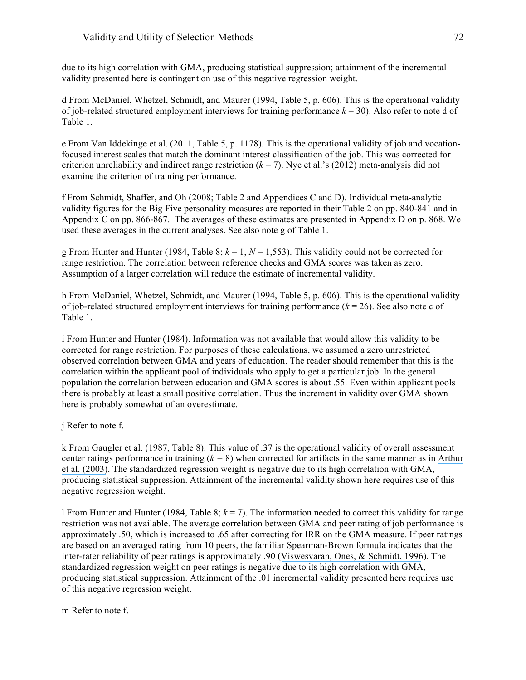## Validity and Utility of Selection Methods 72

due to its high correlation with GMA, producing statistical suppression; attainment of the incremental validity presented here is contingent on use of this negative regression weight.

d From McDaniel, Whetzel, Schmidt, and Maurer (1994, Table 5, p. 606). This is the operational validity of job-related structured employment interviews for training performance  $k = 30$ ). Also refer to note d of Table 1.

e From Van Iddekinge et al. (2011, Table 5, p. 1178). This is the operational validity of job and vocationfocused interest scales that match the dominant interest classification of the job. This was corrected for criterion unreliability and indirect range restriction  $(k = 7)$ . Nye et al.'s (2012) meta-analysis did not examine the criterion of training performance.

f From Schmidt, Shaffer, and Oh (2008; Table 2 and Appendices C and D). Individual meta-analytic validity figures for the Big Five personality measures are reported in their Table 2 on pp. 840-841 and in Appendix C on pp. 866-867. The averages of these estimates are presented in Appendix D on p. 868. We used these averages in the current analyses. See also note g of Table 1.

g From Hunter and Hunter (1984, Table 8;  $k = 1$ ,  $N = 1,553$ ). This validity could not be corrected for range restriction. The correlation between reference checks and GMA scores was taken as zero. Assumption of a larger correlation will reduce the estimate of incremental validity.

h From McDaniel, Whetzel, Schmidt, and Maurer (1994, Table 5, p. 606). This is the operational validity of job-related structured employment interviews for training performance  $(k = 26)$ . See also note c of Table 1.

i From Hunter and Hunter (1984). Information was not available that would allow this validity to be corrected for range restriction. For purposes of these calculations, we assumed a zero unrestricted observed correlation between GMA and years of education. The reader should remember that this is the correlation within the applicant pool of individuals who apply to get a particular job. In the general population the correlation between education and GMA scores is about .55. Even within applicant pools there is probably at least a small positive correlation. Thus the increment in validity over GMA shown here is probably somewhat of an overestimate.

j Refer to note f.

k From Gaugler et al. (1987, Table 8). This value of .37 is the operational validity of overall assessment center ratings performance in training (*k =* 8) when corrected for artifacts in the same manner as in [Arthur](https://www.researchgate.net/publication/229866212_A_Meta-Analysis_of_the_Criterion-Related_Validity_of_Assessment_Center_Dimensions?el=1_x_8&enrichId=rgreq-ac03d29ee90470b28e65c5b16b199479-XXX&enrichSource=Y292ZXJQYWdlOzMwOTIwMzg5ODtBUzo0MTgyNTE3OTMyODkyMThAMTQ3NjczMDQwNjU0Mw==) [et al. \(2003\)](https://www.researchgate.net/publication/229866212_A_Meta-Analysis_of_the_Criterion-Related_Validity_of_Assessment_Center_Dimensions?el=1_x_8&enrichId=rgreq-ac03d29ee90470b28e65c5b16b199479-XXX&enrichSource=Y292ZXJQYWdlOzMwOTIwMzg5ODtBUzo0MTgyNTE3OTMyODkyMThAMTQ3NjczMDQwNjU0Mw==). The standardized regression weight is negative due to its high correlation with GMA, producing statistical suppression. Attainment of the incremental validity shown here requires use of this negative regression weight.

l From Hunter and Hunter (1984, Table 8;  $k = 7$ ). The information needed to correct this validity for range restriction was not available. The average correlation between GMA and peer rating of job performance is approximately .50, which is increased to .65 after correcting for IRR on the GMA measure. If peer ratings are based on an averaged rating from 10 peers, the familiar Spearman-Brown formula indicates that the inter-rater reliability of peer ratings is approximately .90 ([Viswesvaran, Ones, & Schmidt, 1996](https://www.researchgate.net/publication/232489357_Comparative_Analysis_of_Reliability_of_Job_Performance_Ratings?el=1_x_8&enrichId=rgreq-ac03d29ee90470b28e65c5b16b199479-XXX&enrichSource=Y292ZXJQYWdlOzMwOTIwMzg5ODtBUzo0MTgyNTE3OTMyODkyMThAMTQ3NjczMDQwNjU0Mw==)). The standardized regression weight on peer ratings is negative due to its high correlation with GMA, producing statistical suppression. Attainment of the .01 incremental validity presented here requires use of this negative regression weight.

m Refer to note f.